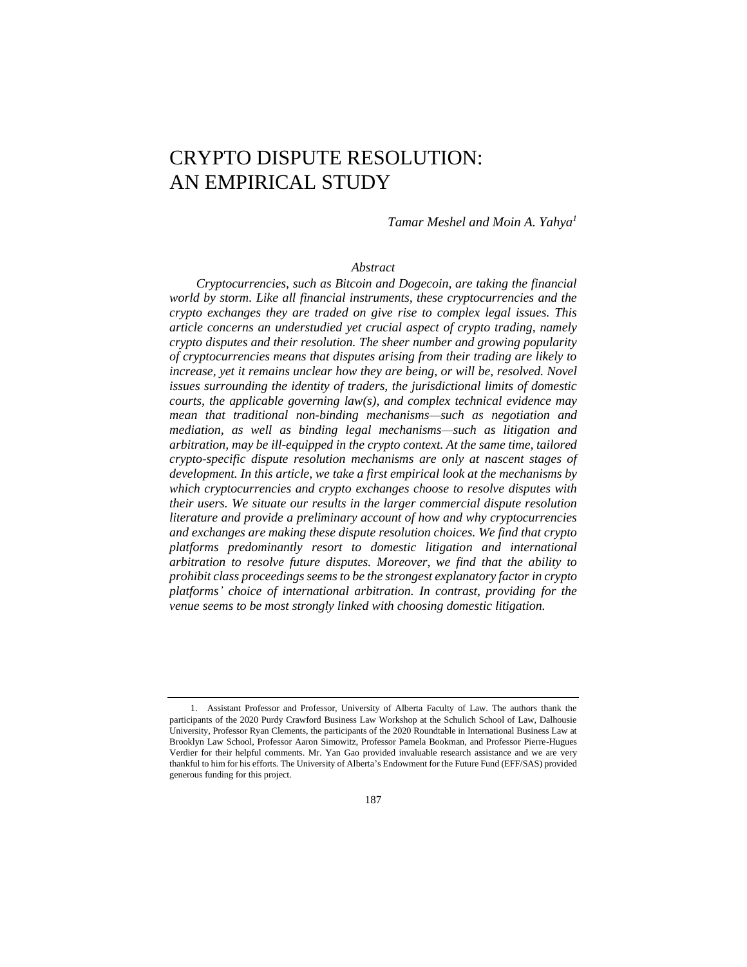# CRYPTO DISPUTE RESOLUTION: AN EMPIRICAL STUDY

*Tamar Meshel and Moin A. Yahya<sup>1</sup>*

#### *Abstract*

*Cryptocurrencies, such as Bitcoin and Dogecoin, are taking the financial world by storm. Like all financial instruments, these cryptocurrencies and the crypto exchanges they are traded on give rise to complex legal issues. This article concerns an understudied yet crucial aspect of crypto trading, namely crypto disputes and their resolution. The sheer number and growing popularity of cryptocurrencies means that disputes arising from their trading are likely to increase, yet it remains unclear how they are being, or will be, resolved. Novel issues surrounding the identity of traders, the jurisdictional limits of domestic courts, the applicable governing law(s), and complex technical evidence may mean that traditional non-binding mechanisms—such as negotiation and mediation, as well as binding legal mechanisms—such as litigation and arbitration, may be ill-equipped in the crypto context. At the same time, tailored crypto-specific dispute resolution mechanisms are only at nascent stages of development. In this article, we take a first empirical look at the mechanisms by which cryptocurrencies and crypto exchanges choose to resolve disputes with their users. We situate our results in the larger commercial dispute resolution literature and provide a preliminary account of how and why cryptocurrencies and exchanges are making these dispute resolution choices. We find that crypto platforms predominantly resort to domestic litigation and international arbitration to resolve future disputes. Moreover, we find that the ability to prohibit class proceedings seems to be the strongest explanatory factor in crypto platforms' choice of international arbitration. In contrast, providing for the venue seems to be most strongly linked with choosing domestic litigation.*

<sup>1.</sup> Assistant Professor and Professor, University of Alberta Faculty of Law. The authors thank the participants of the 2020 Purdy Crawford Business Law Workshop at the Schulich School of Law, Dalhousie University, Professor Ryan Clements, the participants of the 2020 Roundtable in International Business Law at Brooklyn Law School, Professor Aaron Simowitz, Professor Pamela Bookman, and Professor Pierre-Hugues Verdier for their helpful comments. Mr. Yan Gao provided invaluable research assistance and we are very thankful to him for his efforts. The University of Alberta's Endowment for the Future Fund (EFF/SAS) provided generous funding for this project.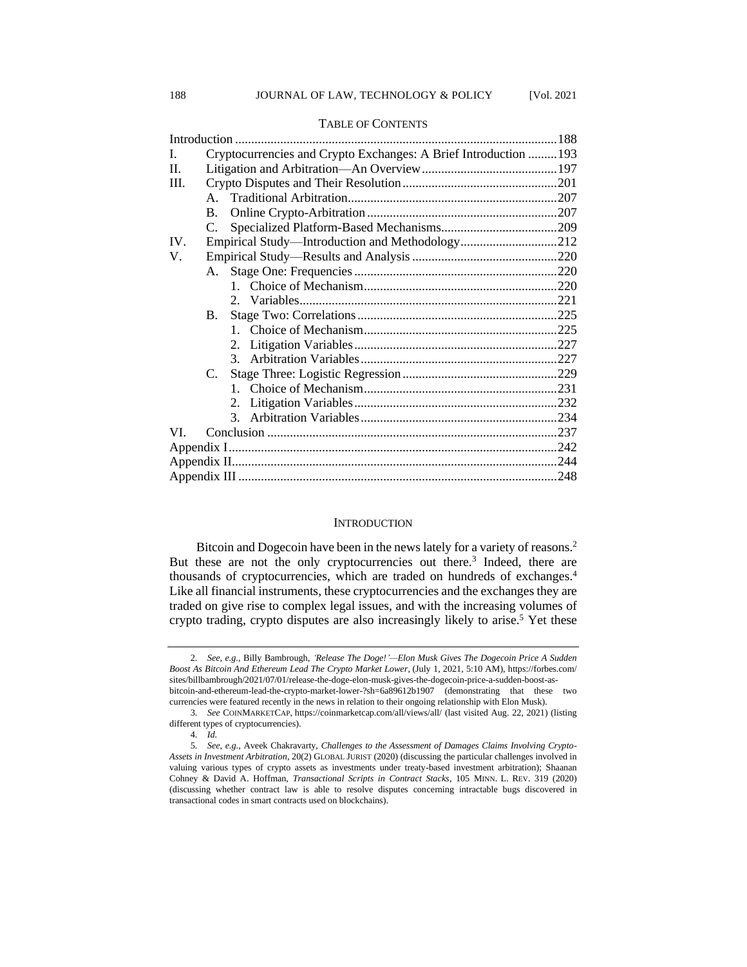| I.   |           | Cryptocurrencies and Crypto Exchanges: A Brief Introduction  193 |  |
|------|-----------|------------------------------------------------------------------|--|
| H.   |           |                                                                  |  |
| III. |           |                                                                  |  |
|      |           |                                                                  |  |
|      | <b>B.</b> |                                                                  |  |
|      | C.        |                                                                  |  |
| IV.  |           | Empirical Study—Introduction and Methodology212                  |  |
| V.   |           |                                                                  |  |
|      |           |                                                                  |  |
|      |           |                                                                  |  |
|      |           |                                                                  |  |
|      | <b>B.</b> |                                                                  |  |
|      |           |                                                                  |  |
|      |           |                                                                  |  |
|      |           |                                                                  |  |
|      | C.        |                                                                  |  |
|      |           |                                                                  |  |
|      |           | 2.                                                               |  |
|      |           |                                                                  |  |
| VI.  |           |                                                                  |  |
|      |           |                                                                  |  |
|      |           |                                                                  |  |
|      |           |                                                                  |  |

#### TABLE OF CONTENTS

#### **INTRODUCTION**

Bitcoin and Dogecoin have been in the news lately for a variety of reasons.<sup>2</sup> But these are not the only cryptocurrencies out there.<sup>3</sup> Indeed, there are thousands of cryptocurrencies, which are traded on hundreds of exchanges.<sup>4</sup> Like all financial instruments, these cryptocurrencies and the exchanges they are traded on give rise to complex legal issues, and with the increasing volumes of crypto trading, crypto disputes are also increasingly likely to arise.<sup>5</sup> Yet these

<sup>2</sup>*. See, e.g.*, Billy Bambrough, *'Release The Doge!'—Elon Musk Gives The Dogecoin Price A Sudden Boost As Bitcoin And Ethereum Lead The Crypto Market Lower*, (July 1, 2021, 5:10 AM), https://forbes.com/ sites/billbambrough/2021/07/01/release-the-doge-elon-musk-gives-the-dogecoin-price-a-sudden-boost-asbitcoin-and-ethereum-lead-the-crypto-market-lower-?sh=6a89612b1907 (demonstrating that these two currencies were featured recently in the news in relation to their ongoing relationship with Elon Musk).

<sup>3</sup>*. See* COINMARKETCAP, https://coinmarketcap.com/all/views/all/ (last visited Aug. 22, 2021) (listing different types of cryptocurrencies).

<sup>4</sup>*. Id.*

<sup>5</sup>*. See, e.g.,* Aveek Chakravarty, *Challenges to the Assessment of Damages Claims Involving Crypto-Assets in Investment Arbitration*, 20(2) GLOBAL JURIST (2020) (discussing the particular challenges involved in valuing various types of crypto assets as investments under treaty-based investment arbitration); Shaanan Cohney & David A. Hoffman, *Transactional Scripts in Contract Stacks*, 105 MINN. L. REV. 319 (2020) (discussing whether contract law is able to resolve disputes concerning intractable bugs discovered in transactional codes in smart contracts used on blockchains).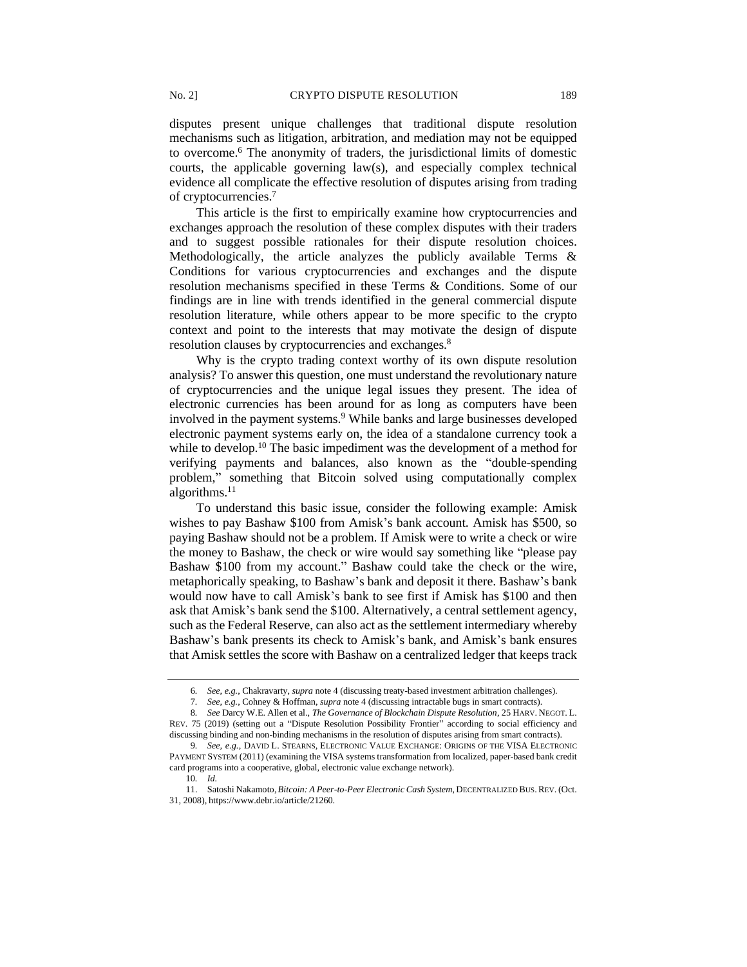disputes present unique challenges that traditional dispute resolution mechanisms such as litigation, arbitration, and mediation may not be equipped to overcome.<sup>6</sup> The anonymity of traders, the jurisdictional limits of domestic courts, the applicable governing law(s), and especially complex technical evidence all complicate the effective resolution of disputes arising from trading of cryptocurrencies.<sup>7</sup>

This article is the first to empirically examine how cryptocurrencies and exchanges approach the resolution of these complex disputes with their traders and to suggest possible rationales for their dispute resolution choices. Methodologically, the article analyzes the publicly available Terms  $\&$ Conditions for various cryptocurrencies and exchanges and the dispute resolution mechanisms specified in these Terms & Conditions. Some of our findings are in line with trends identified in the general commercial dispute resolution literature, while others appear to be more specific to the crypto context and point to the interests that may motivate the design of dispute resolution clauses by cryptocurrencies and exchanges.<sup>8</sup>

Why is the crypto trading context worthy of its own dispute resolution analysis? To answer this question, one must understand the revolutionary nature of cryptocurrencies and the unique legal issues they present. The idea of electronic currencies has been around for as long as computers have been involved in the payment systems.<sup>9</sup> While banks and large businesses developed electronic payment systems early on, the idea of a standalone currency took a while to develop.<sup>10</sup> The basic impediment was the development of a method for verifying payments and balances, also known as the "double-spending problem," something that Bitcoin solved using computationally complex algorithms.<sup>11</sup>

To understand this basic issue, consider the following example: Amisk wishes to pay Bashaw \$100 from Amisk's bank account. Amisk has \$500, so paying Bashaw should not be a problem. If Amisk were to write a check or wire the money to Bashaw, the check or wire would say something like "please pay Bashaw \$100 from my account." Bashaw could take the check or the wire, metaphorically speaking, to Bashaw's bank and deposit it there. Bashaw's bank would now have to call Amisk's bank to see first if Amisk has \$100 and then ask that Amisk's bank send the \$100. Alternatively, a central settlement agency, such as the Federal Reserve, can also act as the settlement intermediary whereby Bashaw's bank presents its check to Amisk's bank, and Amisk's bank ensures that Amisk settles the score with Bashaw on a centralized ledger that keeps track

10*. Id.*

<sup>6</sup>*. See, e.g.*, Chakravarty, *supra* note 4 (discussing treaty-based investment arbitration challenges).

<sup>7</sup>*. See, e.g.*, Cohney & Hoffman, *supra* note 4 (discussing intractable bugs in smart contracts).

<sup>8</sup>*. See* Darcy W.E. Allen et al., *The Governance of Blockchain Dispute Resolution*, 25 HARV. NEGOT. L. REV. 75 (2019) (setting out a "Dispute Resolution Possibility Frontier" according to social efficiency and discussing binding and non-binding mechanisms in the resolution of disputes arising from smart contracts).

<sup>9</sup>*. See, e.g.*, DAVID L. STEARNS, ELECTRONIC VALUE EXCHANGE: ORIGINS OF THE VISA ELECTRONIC PAYMENT SYSTEM (2011) (examining the VISA systems transformation from localized, paper-based bank credit card programs into a cooperative, global, electronic value exchange network).

<sup>11.</sup> Satoshi Nakamoto, Bitcoin: A Peer-to-Peer Electronic Cash System, DECENTRALIZED BUS. REV. (Oct. 31, 2008), https://www.debr.io/article/21260.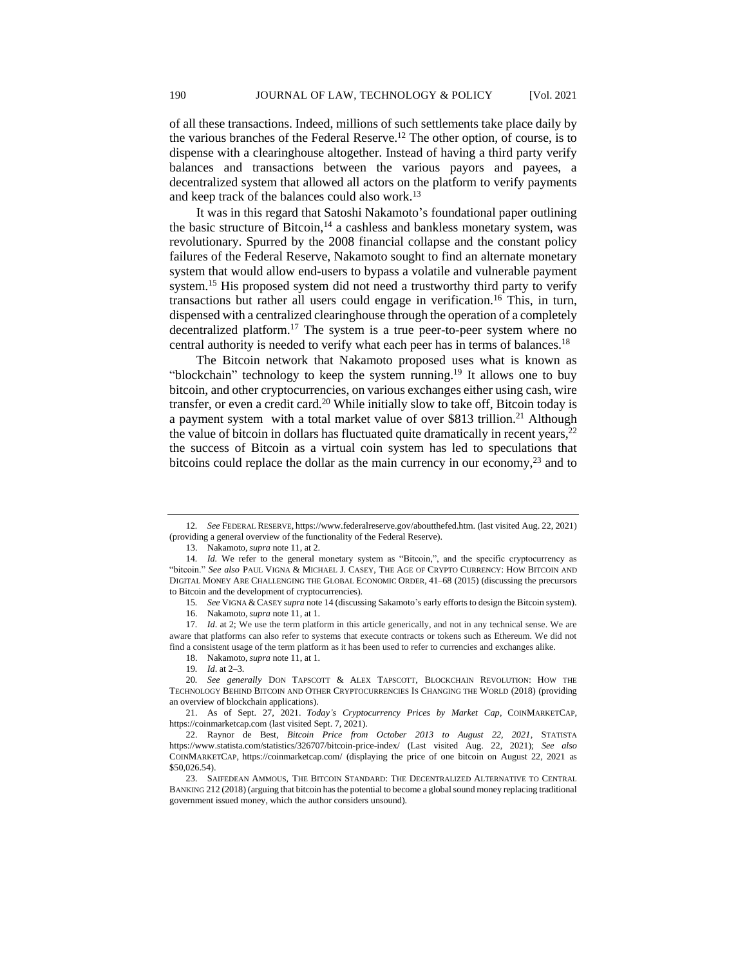of all these transactions. Indeed, millions of such settlements take place daily by the various branches of the Federal Reserve.<sup>12</sup> The other option, of course, is to dispense with a clearinghouse altogether. Instead of having a third party verify balances and transactions between the various payors and payees, a decentralized system that allowed all actors on the platform to verify payments and keep track of the balances could also work.<sup>13</sup>

It was in this regard that Satoshi Nakamoto's foundational paper outlining the basic structure of Bitcoin, $14$  a cashless and bankless monetary system, was revolutionary. Spurred by the 2008 financial collapse and the constant policy failures of the Federal Reserve, Nakamoto sought to find an alternate monetary system that would allow end-users to bypass a volatile and vulnerable payment system.<sup>15</sup> His proposed system did not need a trustworthy third party to verify transactions but rather all users could engage in verification.<sup>16</sup> This, in turn, dispensed with a centralized clearinghouse through the operation of a completely decentralized platform.<sup>17</sup> The system is a true peer-to-peer system where no central authority is needed to verify what each peer has in terms of balances.<sup>18</sup>

The Bitcoin network that Nakamoto proposed uses what is known as "blockchain" technology to keep the system running.<sup>19</sup> It allows one to buy bitcoin, and other cryptocurrencies, on various exchanges either using cash, wire transfer, or even a credit card.<sup>20</sup> While initially slow to take off, Bitcoin today is a payment system with a total market value of over \$813 trillion.<sup>21</sup> Although the value of bitcoin in dollars has fluctuated quite dramatically in recent years,  $2<sup>2</sup>$ the success of Bitcoin as a virtual coin system has led to speculations that bitcoins could replace the dollar as the main currency in our economy, $^{23}$  and to

<sup>12</sup>*. See* FEDERAL RESERVE, https://www.federalreserve.gov/aboutthefed.htm. (last visited Aug. 22, 2021) (providing a general overview of the functionality of the Federal Reserve).

<sup>13.</sup> Nakamoto,*supra* note 11, at 2.

<sup>14</sup>*. Id.* We refer to the general monetary system as "Bitcoin,", and the specific cryptocurrency as "bitcoin." *See also* PAUL VIGNA & MICHAEL J. CASEY, THE AGE OF CRYPTO CURRENCY: HOW BITCOIN AND DIGITAL MONEY ARE CHALLENGING THE GLOBAL ECONOMIC ORDER, 41–68 (2015) (discussing the precursors to Bitcoin and the development of cryptocurrencies).

<sup>15</sup>*. See* VIGNA & CASEY *supra* note 14 (discussing Sakamoto's early efforts to design the Bitcoin system).

<sup>16.</sup> Nakamoto,*supra* note 11, at 1.

<sup>17.</sup> *Id.* at 2; We use the term platform in this article generically, and not in any technical sense. We are aware that platforms can also refer to systems that execute contracts or tokens such as Ethereum. We did not find a consistent usage of the term platform as it has been used to refer to currencies and exchanges alike. 18. Nakamoto,*supra* note 11, at 1.

<sup>19</sup>*. Id*. at 2–3.

<sup>20</sup>*. See generally* DON TAPSCOTT & ALEX TAPSCOTT, BLOCKCHAIN REVOLUTION: HOW THE TECHNOLOGY BEHIND BITCOIN AND OTHER CRYPTOCURRENCIES IS CHANGING THE WORLD (2018) (providing an overview of blockchain applications).

<sup>21.</sup> As of Sept. 27, 2021. *Today's Cryptocurrency Prices by Market Cap*, COINMARKETCAP, https://coinmarketcap.com (last visited Sept. 7, 2021).

<sup>22.</sup> Raynor de Best, *Bitcoin Price from October 2013 to August 22, 2021*, STATISTA https://www.statista.com/statistics/326707/bitcoin-price-index/ (Last visited Aug. 22, 2021); *See also* COINMARKETCAP, https://coinmarketcap.com/ (displaying the price of one bitcoin on August 22, 2021 as \$50,026.54).

<sup>23.</sup> SAIFEDEAN AMMOUS, THE BITCOIN STANDARD: THE DECENTRALIZED ALTERNATIVE TO CENTRAL BANKING 212 (2018) (arguing that bitcoin has the potential to become a global sound money replacing traditional government issued money, which the author considers unsound).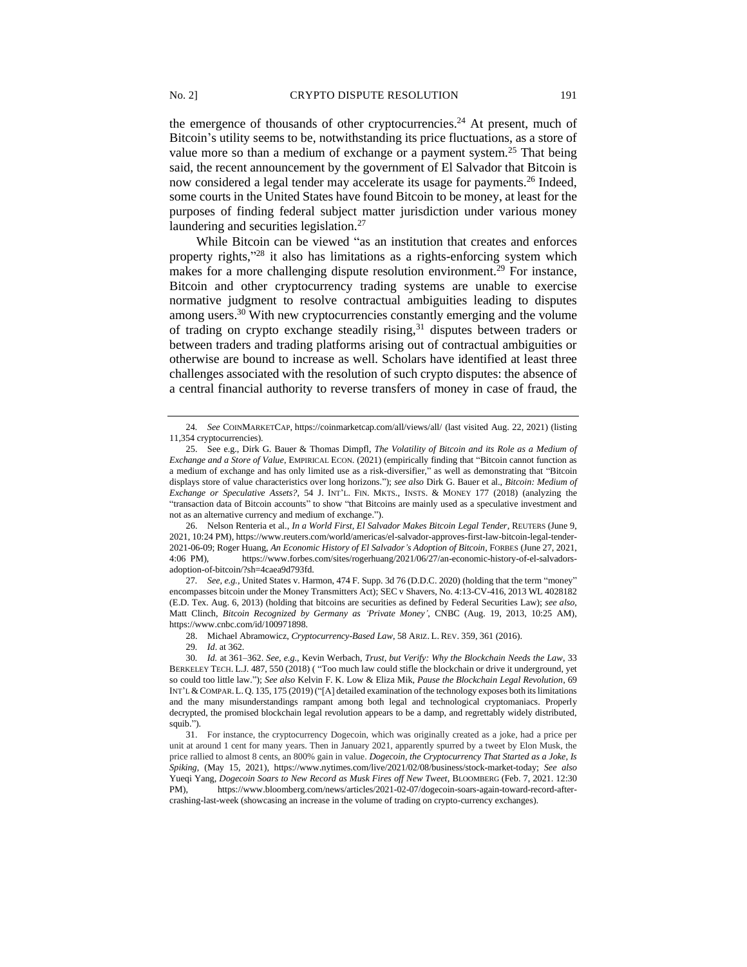the emergence of thousands of other cryptocurrencies.<sup>24</sup> At present, much of Bitcoin's utility seems to be, notwithstanding its price fluctuations, as a store of value more so than a medium of exchange or a payment system.<sup>25</sup> That being said, the recent announcement by the government of El Salvador that Bitcoin is now considered a legal tender may accelerate its usage for payments.<sup>26</sup> Indeed, some courts in the United States have found Bitcoin to be money, at least for the purposes of finding federal subject matter jurisdiction under various money

While Bitcoin can be viewed "as an institution that creates and enforces property rights,"<sup>28</sup> it also has limitations as a rights-enforcing system which makes for a more challenging dispute resolution environment.<sup>29</sup> For instance, Bitcoin and other cryptocurrency trading systems are unable to exercise normative judgment to resolve contractual ambiguities leading to disputes among users.<sup>30</sup> With new cryptocurrencies constantly emerging and the volume of trading on crypto exchange steadily rising, $31$  disputes between traders or between traders and trading platforms arising out of contractual ambiguities or otherwise are bound to increase as well. Scholars have identified at least three challenges associated with the resolution of such crypto disputes: the absence of a central financial authority to reverse transfers of money in case of fraud, the

27*. See, e.g.,* United States v. Harmon, 474 F. Supp. 3d 76 (D.D.C. 2020) (holding that the term "money" encompasses bitcoin under the Money Transmitters Act); SEC v Shavers, No. 4:13-CV-416, 2013 WL 4028182 (E.D. Tex. Aug. 6, 2013) (holding that bitcoins are securities as defined by Federal Securities Law); *see also*, Matt Clinch, *Bitcoin Recognized by Germany as 'Private Money'*, CNBC (Aug. 19, 2013, 10:25 AM), https://www.cnbc.com/id/100971898.

28. Michael Abramowicz, *Cryptocurrency-Based Law*, 58 ARIZ. L. REV. 359, 361 (2016).

29*. Id*. at 362.

laundering and securities legislation.<sup>27</sup>

<sup>24</sup>*. See* COINMARKETCAP, https://coinmarketcap.com/all/views/all/ (last visited Aug. 22, 2021) (listing 11,354 cryptocurrencies).

<sup>25.</sup> See e.g., Dirk G. Bauer & Thomas Dimpfl, *The Volatility of Bitcoin and its Role as a Medium of Exchange and a Store of Value*, EMPIRICAL ECON. (2021) (empirically finding that "Bitcoin cannot function as a medium of exchange and has only limited use as a risk-diversifier," as well as demonstrating that "Bitcoin displays store of value characteristics over long horizons."); *see also* Dirk G. Bauer et al., *Bitcoin: Medium of Exchange or Speculative Assets?*, 54 J. INT'L. FIN. MKTS., INSTS. & MONEY 177 (2018) (analyzing the "transaction data of Bitcoin accounts" to show "that Bitcoins are mainly used as a speculative investment and not as an alternative currency and medium of exchange.").

<sup>26.</sup> Nelson Renteria et al., *In a World First, El Salvador Makes Bitcoin Legal Tender*, REUTERS (June 9, 2021, 10:24 PM), https://www.reuters.com/world/americas/el-salvador-approves-first-law-bitcoin-legal-tender-2021-06-09; Roger Huang, *An Economic History of El Salvador's Adoption of Bitcoin*, FORBES (June 27, 2021, 4:06 PM), https://www.forbes.com/sites/rogerhuang/2021/06/27/an-economic-history-of-el-salvadorsadoption-of-bitcoin/?sh=4caea9d793fd.

<sup>30</sup>*. Id.* at 361–362. *See*, *e.g.,* Kevin Werbach, *Trust, but Verify: Why the Blockchain Needs the Law*, 33 BERKELEY TECH. L.J. 487, 550 (2018) ( "Too much law could stifle the blockchain or drive it underground, yet so could too little law."); *See also* Kelvin F. K. Low & Eliza Mik, *Pause the Blockchain Legal Revolution*, 69 INT'L &COMPAR.L. Q. 135, 175 (2019) ("[A] detailed examination of the technology exposes both its limitations and the many misunderstandings rampant among both legal and technological cryptomaniacs. Properly decrypted, the promised blockchain legal revolution appears to be a damp, and regrettably widely distributed, squib.").

<sup>31.</sup> For instance, the cryptocurrency Dogecoin, which was originally created as a joke, had a price per unit at around 1 cent for many years. Then in January 2021, apparently spurred by a tweet by Elon Musk, the price rallied to almost 8 cents, an 800% gain in value. *Dogecoin, the Cryptocurrency That Started as a Joke, Is Spiking*, (May 15, 2021), https://www.nytimes.com/live/2021/02/08/business/stock-market-today; *See also* Yueqi Yang, *Dogecoin Soars to New Record as Musk Fires off New Tweet*, BLOOMBERG (Feb. 7, 2021. 12:30 PM), https://www.bloomberg.com/news/articles/2021-02-07/dogecoin-soars-again-toward-record-aftercrashing-last-week (showcasing an increase in the volume of trading on crypto-currency exchanges).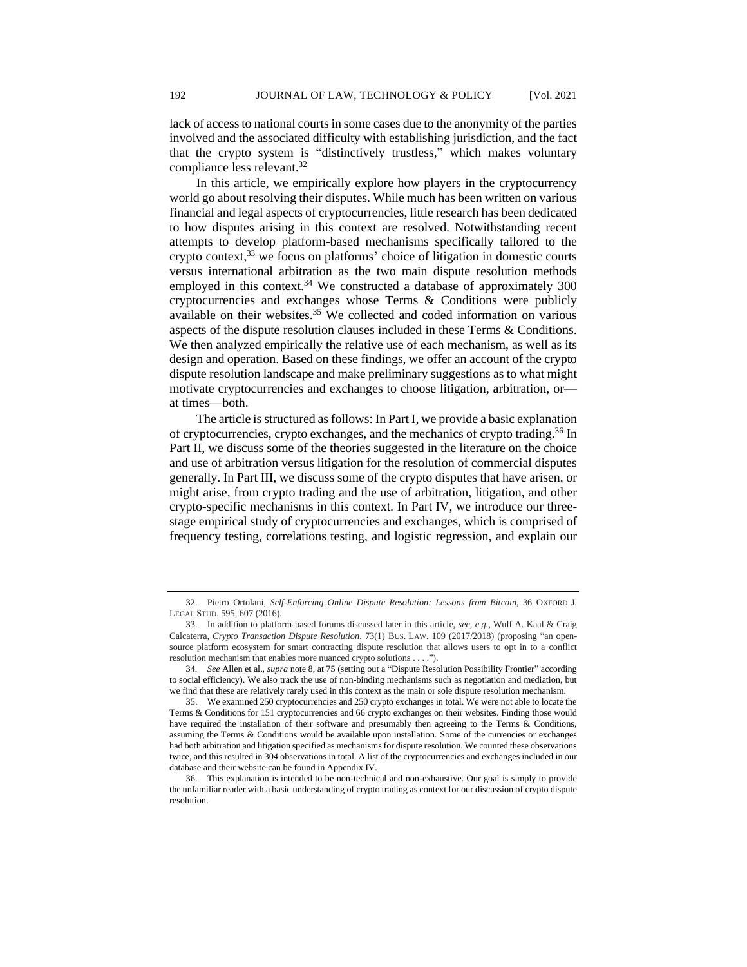lack of access to national courts in some cases due to the anonymity of the parties involved and the associated difficulty with establishing jurisdiction, and the fact that the crypto system is "distinctively trustless," which makes voluntary compliance less relevant.<sup>32</sup>

In this article, we empirically explore how players in the cryptocurrency world go about resolving their disputes. While much has been written on various financial and legal aspects of cryptocurrencies, little research has been dedicated to how disputes arising in this context are resolved. Notwithstanding recent attempts to develop platform-based mechanisms specifically tailored to the crypto context,  $33$  we focus on platforms' choice of litigation in domestic courts versus international arbitration as the two main dispute resolution methods employed in this context.<sup>34</sup> We constructed a database of approximately  $300$ cryptocurrencies and exchanges whose Terms & Conditions were publicly available on their websites. $35$  We collected and coded information on various aspects of the dispute resolution clauses included in these Terms & Conditions. We then analyzed empirically the relative use of each mechanism, as well as its design and operation. Based on these findings, we offer an account of the crypto dispute resolution landscape and make preliminary suggestions as to what might motivate cryptocurrencies and exchanges to choose litigation, arbitration, or at times—both.

The article is structured as follows: In Part I, we provide a basic explanation of cryptocurrencies, crypto exchanges, and the mechanics of crypto trading.<sup>36</sup> In Part II, we discuss some of the theories suggested in the literature on the choice and use of arbitration versus litigation for the resolution of commercial disputes generally. In Part III, we discuss some of the crypto disputes that have arisen, or might arise, from crypto trading and the use of arbitration, litigation, and other crypto-specific mechanisms in this context. In Part IV, we introduce our threestage empirical study of cryptocurrencies and exchanges, which is comprised of frequency testing, correlations testing, and logistic regression, and explain our

<sup>32.</sup> Pietro Ortolani, *Self-Enforcing Online Dispute Resolution: Lessons from Bitcoin*, 36 OXFORD J. LEGAL STUD. 595, 607 (2016).

<sup>33.</sup> In addition to platform-based forums discussed later in this article, *see, e.g.,* Wulf A. Kaal & Craig Calcaterra*, Crypto Transaction Dispute Resolution,* 73(1) BUS. LAW. 109 (2017/2018) (proposing "an opensource platform ecosystem for smart contracting dispute resolution that allows users to opt in to a conflict resolution mechanism that enables more nuanced crypto solutions . . . .").

<sup>34</sup>*. See* Allen et al., *supra* note 8, at 75 (setting out a "Dispute Resolution Possibility Frontier" according to social efficiency). We also track the use of non-binding mechanisms such as negotiation and mediation, but we find that these are relatively rarely used in this context as the main or sole dispute resolution mechanism.

<sup>35.</sup> We examined 250 cryptocurrencies and 250 crypto exchanges in total. We were not able to locate the Terms & Conditions for 151 cryptocurrencies and 66 crypto exchanges on their websites. Finding those would have required the installation of their software and presumably then agreeing to the Terms & Conditions, assuming the Terms & Conditions would be available upon installation. Some of the currencies or exchanges had both arbitration and litigation specified as mechanisms for dispute resolution. We counted these observations twice, and this resulted in 304 observations in total. A list of the cryptocurrencies and exchanges included in our database and their website can be found in Appendix IV.

<sup>36.</sup> This explanation is intended to be non-technical and non-exhaustive. Our goal is simply to provide the unfamiliar reader with a basic understanding of crypto trading as context for our discussion of crypto dispute resolution.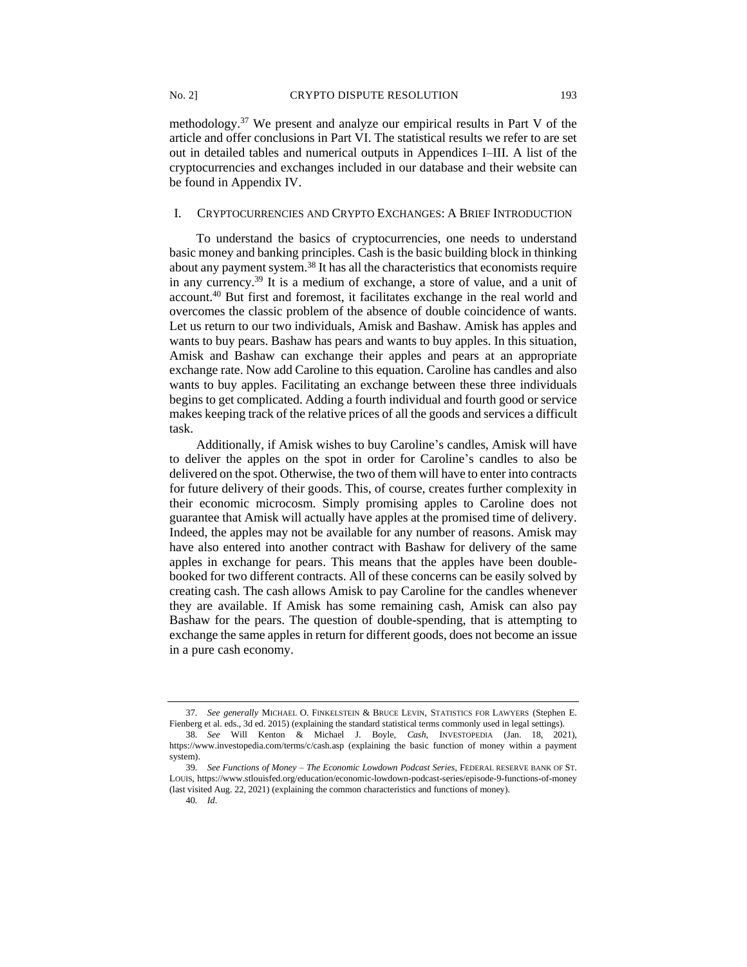methodology.<sup>37</sup> We present and analyze our empirical results in Part V of the article and offer conclusions in Part VI. The statistical results we refer to are set out in detailed tables and numerical outputs in Appendices I–III. A list of the cryptocurrencies and exchanges included in our database and their website can be found in Appendix IV.

#### I. CRYPTOCURRENCIES AND CRYPTO EXCHANGES: A BRIEF INTRODUCTION

To understand the basics of cryptocurrencies, one needs to understand basic money and banking principles. Cash is the basic building block in thinking about any payment system.<sup>38</sup> It has all the characteristics that economists require in any currency.<sup>39</sup> It is a medium of exchange, a store of value, and a unit of account.<sup>40</sup> But first and foremost, it facilitates exchange in the real world and overcomes the classic problem of the absence of double coincidence of wants. Let us return to our two individuals, Amisk and Bashaw. Amisk has apples and wants to buy pears. Bashaw has pears and wants to buy apples. In this situation, Amisk and Bashaw can exchange their apples and pears at an appropriate exchange rate. Now add Caroline to this equation. Caroline has candles and also wants to buy apples. Facilitating an exchange between these three individuals begins to get complicated. Adding a fourth individual and fourth good or service makes keeping track of the relative prices of all the goods and services a difficult task.

Additionally, if Amisk wishes to buy Caroline's candles, Amisk will have to deliver the apples on the spot in order for Caroline's candles to also be delivered on the spot. Otherwise, the two of them will have to enter into contracts for future delivery of their goods. This, of course, creates further complexity in their economic microcosm. Simply promising apples to Caroline does not guarantee that Amisk will actually have apples at the promised time of delivery. Indeed, the apples may not be available for any number of reasons. Amisk may have also entered into another contract with Bashaw for delivery of the same apples in exchange for pears. This means that the apples have been doublebooked for two different contracts. All of these concerns can be easily solved by creating cash. The cash allows Amisk to pay Caroline for the candles whenever they are available. If Amisk has some remaining cash, Amisk can also pay Bashaw for the pears. The question of double-spending, that is attempting to exchange the same apples in return for different goods, does not become an issue in a pure cash economy.

40*. Id*.

<sup>37</sup>*. See generally* MICHAEL O. FINKELSTEIN & BRUCE LEVIN, STATISTICS FOR LAWYERS (Stephen E. Fienberg et al. eds., 3d ed. 2015) (explaining the standard statistical terms commonly used in legal settings).

<sup>38</sup>*. See* Will Kenton & Michael J. Boyle, *Cash*, INVESTOPEDIA (Jan. 18, 2021), https://www.investopedia.com/terms/c/cash.asp (explaining the basic function of money within a payment system).

<sup>39</sup>*. See Functions of Money – The Economic Lowdown Podcast Series,* FEDERAL RESERVE BANK OF ST. LOUIS, https://www.stlouisfed.org/education/economic-lowdown-podcast-series/episode-9-functions-of-money (last visited Aug. 22, 2021) (explaining the common characteristics and functions of money).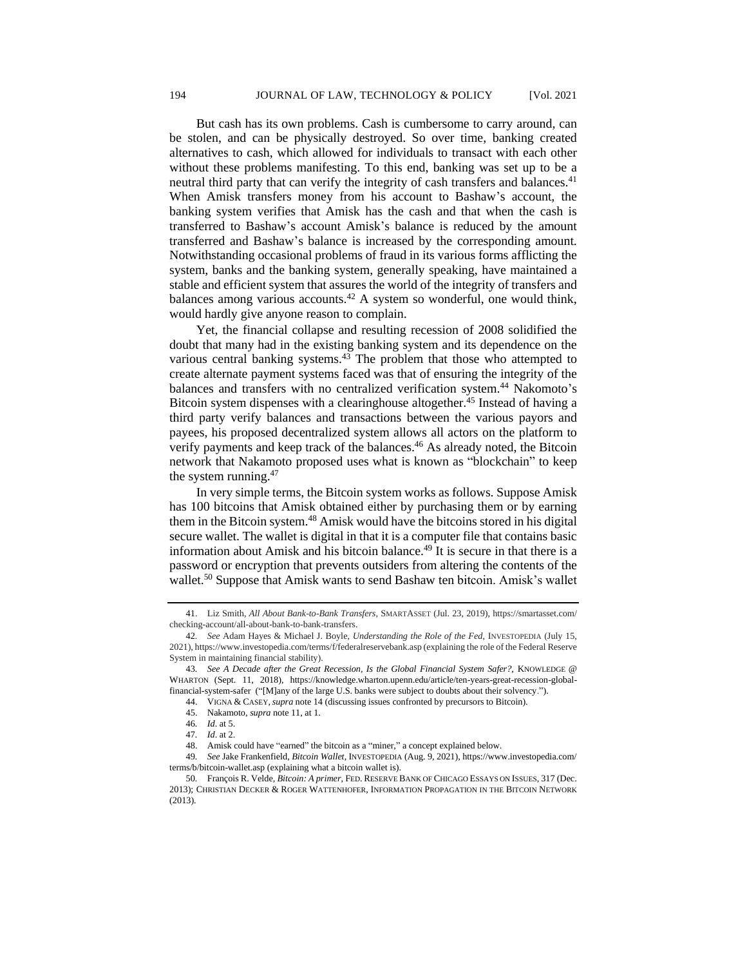But cash has its own problems. Cash is cumbersome to carry around, can be stolen, and can be physically destroyed. So over time, banking created alternatives to cash, which allowed for individuals to transact with each other without these problems manifesting. To this end, banking was set up to be a neutral third party that can verify the integrity of cash transfers and balances.<sup>41</sup> When Amisk transfers money from his account to Bashaw's account, the banking system verifies that Amisk has the cash and that when the cash is transferred to Bashaw's account Amisk's balance is reduced by the amount transferred and Bashaw's balance is increased by the corresponding amount. Notwithstanding occasional problems of fraud in its various forms afflicting the system, banks and the banking system, generally speaking, have maintained a stable and efficient system that assures the world of the integrity of transfers and balances among various accounts.<sup>42</sup> A system so wonderful, one would think, would hardly give anyone reason to complain.

Yet, the financial collapse and resulting recession of 2008 solidified the doubt that many had in the existing banking system and its dependence on the various central banking systems. $43$  The problem that those who attempted to create alternate payment systems faced was that of ensuring the integrity of the balances and transfers with no centralized verification system.<sup>44</sup> Nakomoto's Bitcoin system dispenses with a clearinghouse altogether.<sup>45</sup> Instead of having a third party verify balances and transactions between the various payors and payees, his proposed decentralized system allows all actors on the platform to verify payments and keep track of the balances.<sup>46</sup> As already noted, the Bitcoin network that Nakamoto proposed uses what is known as "blockchain" to keep the system running.<sup>47</sup>

In very simple terms, the Bitcoin system works as follows. Suppose Amisk has 100 bitcoins that Amisk obtained either by purchasing them or by earning them in the Bitcoin system.<sup>48</sup> Amisk would have the bitcoins stored in his digital secure wallet. The wallet is digital in that it is a computer file that contains basic information about Amisk and his bitcoin balance.<sup>49</sup> It is secure in that there is a password or encryption that prevents outsiders from altering the contents of the wallet.<sup>50</sup> Suppose that Amisk wants to send Bashaw ten bitcoin. Amisk's wallet

<sup>41.</sup> Liz Smith, *All About Bank-to-Bank Transfers*, SMARTASSET (Jul. 23, 2019), https://smartasset.com/ checking-account/all-about-bank-to-bank-transfers.

<sup>42</sup>*. See* Adam Hayes & Michael J. Boyle, *Understanding the Role of the Fed*, INVESTOPEDIA (July 15, 2021), https://www.investopedia.com/terms/f/federalreservebank.asp (explaining the role of the Federal Reserve System in maintaining financial stability).

<sup>43</sup>*. See A Decade after the Great Recession, Is the Global Financial System Safer?,* KNOWLEDGE @ WHARTON (Sept. 11, 2018), https://knowledge.wharton.upenn.edu/article/ten-years-great-recession-globalfinancial-system-safer ("[M]any of the large U.S. banks were subject to doubts about their solvency.").

<sup>44.</sup> VIGNA & CASEY,*supra* note 14 (discussing issues confronted by precursors to Bitcoin).

<sup>45.</sup> Nakamoto, *supra* note 11, at 1.

<sup>46</sup>*. Id*. at 5.

<sup>47</sup>*. Id*. at 2.

<sup>48.</sup> Amisk could have "earned" the bitcoin as a "miner," a concept explained below.

<sup>49</sup>*. See* Jake Frankenfield, *Bitcoin Wallet*, INVESTOPEDIA (Aug. 9, 2021), https://www.investopedia.com/ terms/b/bitcoin-wallet.asp (explaining what a bitcoin wallet is).

<sup>50</sup>*.* François R. Velde, *Bitcoin: A primer*, FED. RESERVE BANK OF CHICAGO ESSAYS ON ISSUES, 317 (Dec. 2013); CHRISTIAN DECKER & ROGER WATTENHOFER, INFORMATION PROPAGATION IN THE BITCOIN NETWORK (2013).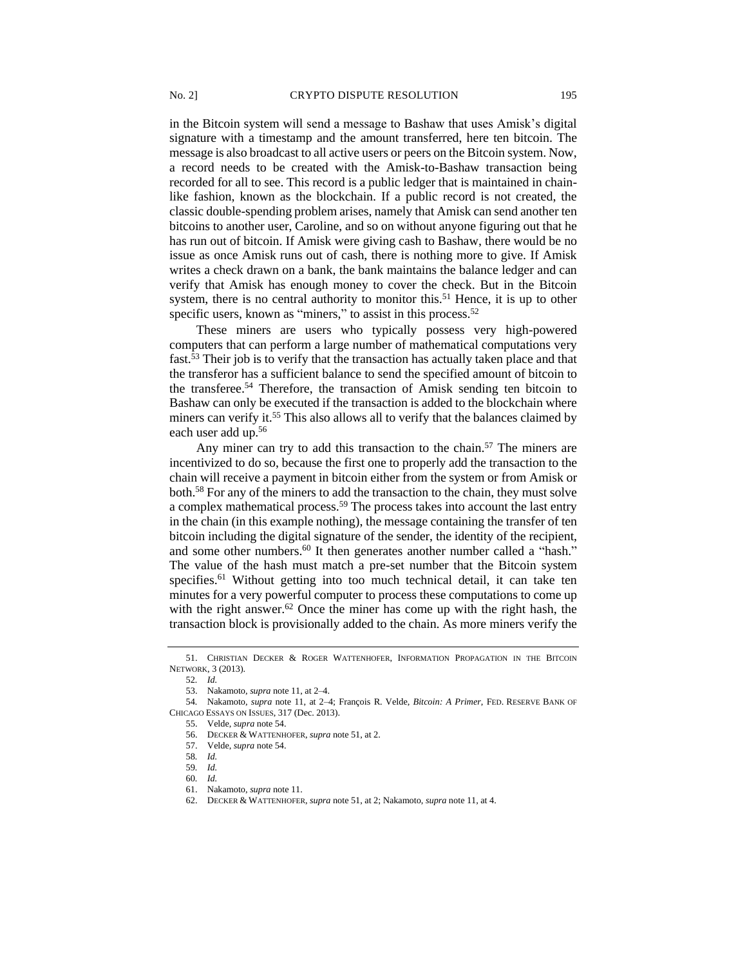in the Bitcoin system will send a message to Bashaw that uses Amisk's digital signature with a timestamp and the amount transferred, here ten bitcoin. The message is also broadcast to all active users or peers on the Bitcoin system. Now, a record needs to be created with the Amisk-to-Bashaw transaction being recorded for all to see. This record is a public ledger that is maintained in chainlike fashion, known as the blockchain. If a public record is not created, the classic double-spending problem arises, namely that Amisk can send another ten bitcoins to another user, Caroline, and so on without anyone figuring out that he has run out of bitcoin. If Amisk were giving cash to Bashaw, there would be no issue as once Amisk runs out of cash, there is nothing more to give. If Amisk writes a check drawn on a bank, the bank maintains the balance ledger and can verify that Amisk has enough money to cover the check. But in the Bitcoin system, there is no central authority to monitor this.<sup>51</sup> Hence, it is up to other specific users, known as "miners," to assist in this process.<sup>52</sup>

These miners are users who typically possess very high-powered computers that can perform a large number of mathematical computations very fast.<sup>53</sup> Their job is to verify that the transaction has actually taken place and that the transferor has a sufficient balance to send the specified amount of bitcoin to the transferee. <sup>54</sup> Therefore, the transaction of Amisk sending ten bitcoin to Bashaw can only be executed if the transaction is added to the blockchain where miners can verify it.<sup>55</sup> This also allows all to verify that the balances claimed by each user add up.<sup>56</sup>

Any miner can try to add this transaction to the chain.<sup>57</sup> The miners are incentivized to do so, because the first one to properly add the transaction to the chain will receive a payment in bitcoin either from the system or from Amisk or both.<sup>58</sup> For any of the miners to add the transaction to the chain, they must solve a complex mathematical process.<sup>59</sup> The process takes into account the last entry in the chain (in this example nothing), the message containing the transfer of ten bitcoin including the digital signature of the sender, the identity of the recipient, and some other numbers.<sup>60</sup> It then generates another number called a "hash." The value of the hash must match a pre-set number that the Bitcoin system specifies.<sup>61</sup> Without getting into too much technical detail, it can take ten minutes for a very powerful computer to process these computations to come up with the right answer.<sup>62</sup> Once the miner has come up with the right hash, the transaction block is provisionally added to the chain. As more miners verify the

<sup>51.</sup> CHRISTIAN DECKER & ROGER WATTENHOFER, INFORMATION PROPAGATION IN THE BITCOIN NETWORK, 3 (2013).

<sup>52</sup>*. Id.*

<sup>53.</sup> Nakamoto, *supra* note 11, at 2–4.

<sup>54</sup>*.* Nakamoto, *supra* note 11, at 2–4; François R. Velde, *Bitcoin: A Primer*, FED. RESERVE BANK OF CHICAGO ESSAYS ON ISSUES, 317 (Dec. 2013).

<sup>55.</sup> Velde, *supra* note 54.

<sup>56.</sup> DECKER & WATTENHOFER, *supra* note 51, at 2.

<sup>57.</sup> Velde, *supra* note 54.

<sup>58</sup>*. Id.*

<sup>59</sup>*. Id.*

<sup>60</sup>*. Id.*

<sup>61.</sup> Nakamoto, *supra* note 11.

<sup>62.</sup> DECKER & WATTENHOFER, *supra* note 51, at 2; Nakamoto, *supra* note 11, at 4.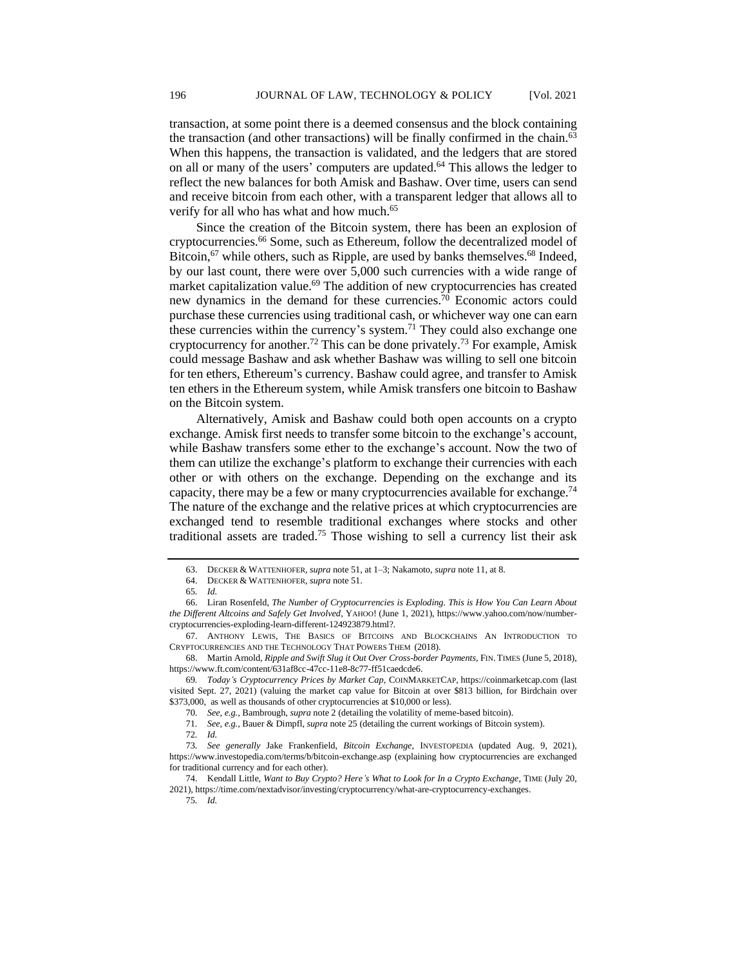transaction, at some point there is a deemed consensus and the block containing the transaction (and other transactions) will be finally confirmed in the chain.<sup>63</sup> When this happens, the transaction is validated, and the ledgers that are stored on all or many of the users' computers are updated.<sup>64</sup> This allows the ledger to reflect the new balances for both Amisk and Bashaw. Over time, users can send and receive bitcoin from each other, with a transparent ledger that allows all to verify for all who has what and how much.<sup>65</sup>

Since the creation of the Bitcoin system, there has been an explosion of cryptocurrencies.<sup>66</sup> Some, such as Ethereum, follow the decentralized model of Bitcoin, $67$  while others, such as Ripple, are used by banks themselves. $68$  Indeed, by our last count, there were over 5,000 such currencies with a wide range of market capitalization value.<sup>69</sup> The addition of new cryptocurrencies has created new dynamics in the demand for these currencies.<sup>70</sup> Economic actors could purchase these currencies using traditional cash, or whichever way one can earn these currencies within the currency's system.<sup>71</sup> They could also exchange one cryptocurrency for another.<sup>72</sup> This can be done privately.<sup>73</sup> For example, Amisk could message Bashaw and ask whether Bashaw was willing to sell one bitcoin for ten ethers, Ethereum's currency. Bashaw could agree, and transfer to Amisk ten ethers in the Ethereum system, while Amisk transfers one bitcoin to Bashaw on the Bitcoin system.

Alternatively, Amisk and Bashaw could both open accounts on a crypto exchange. Amisk first needs to transfer some bitcoin to the exchange's account, while Bashaw transfers some ether to the exchange's account. Now the two of them can utilize the exchange's platform to exchange their currencies with each other or with others on the exchange. Depending on the exchange and its capacity, there may be a few or many cryptocurrencies available for exchange.<sup>74</sup> The nature of the exchange and the relative prices at which cryptocurrencies are exchanged tend to resemble traditional exchanges where stocks and other traditional assets are traded.<sup>75</sup> Those wishing to sell a currency list their ask

<sup>63.</sup> DECKER & WATTENHOFER, *supra* note 51, at 1–3; Nakamoto, *supra* note 11, at 8.

<sup>64.</sup> DECKER & WATTENHOFER, *supra* note 51.

<sup>65</sup>*. Id.*

<sup>66.</sup> Liran Rosenfeld, *The Number of Cryptocurrencies is Exploding. This is How You Can Learn About the Different Altcoins and Safely Get Involved*, YAHOO! (June 1, 2021), https://www.yahoo.com/now/numbercryptocurrencies-exploding-learn-different-124923879.html?.

<sup>67.</sup> ANTHONY LEWIS, THE BASICS OF BITCOINS AND BLOCKCHAINS AN INTRODUCTION TO CRYPTOCURRENCIES AND THE TECHNOLOGY THAT POWERS THEM (2018).

<sup>68.</sup> Martin Arnold, *Ripple and Swift Slug it Out Over Cross-border Payments,* FIN. TIMES (June 5, 2018), https://www.ft.com/content/631af8cc-47cc-11e8-8c77-ff51caedcde6.

<sup>69</sup>*. Today's Cryptocurrency Prices by Market Cap,* COINMARKETCAP, https://coinmarketcap.com (last visited Sept. 27, 2021) (valuing the market cap value for Bitcoin at over \$813 billion, for Birdchain over \$373,000, as well as thousands of other cryptocurrencies at \$10,000 or less).

<sup>70</sup>*. See, e.g.,* Bambrough, *supra* note 2 (detailing the volatility of meme-based bitcoin).

<sup>71</sup>*. See, e.g.,* Bauer & Dimpfl, *supra* note 25 (detailing the current workings of Bitcoin system).

<sup>72</sup>*. Id.*

<sup>73</sup>*. See generally* Jake Frankenfield, *Bitcoin Exchange,* INVESTOPEDIA (updated Aug. 9, 2021), https://www.investopedia.com/terms/b/bitcoin-exchange.asp (explaining how cryptocurrencies are exchanged for traditional currency and for each other).

<sup>74.</sup> Kendall Little, *Want to Buy Crypto? Here's What to Look for In a Crypto Exchange*, TIME (July 20, 2021), https://time.com/nextadvisor/investing/cryptocurrency/what-are-cryptocurrency-exchanges.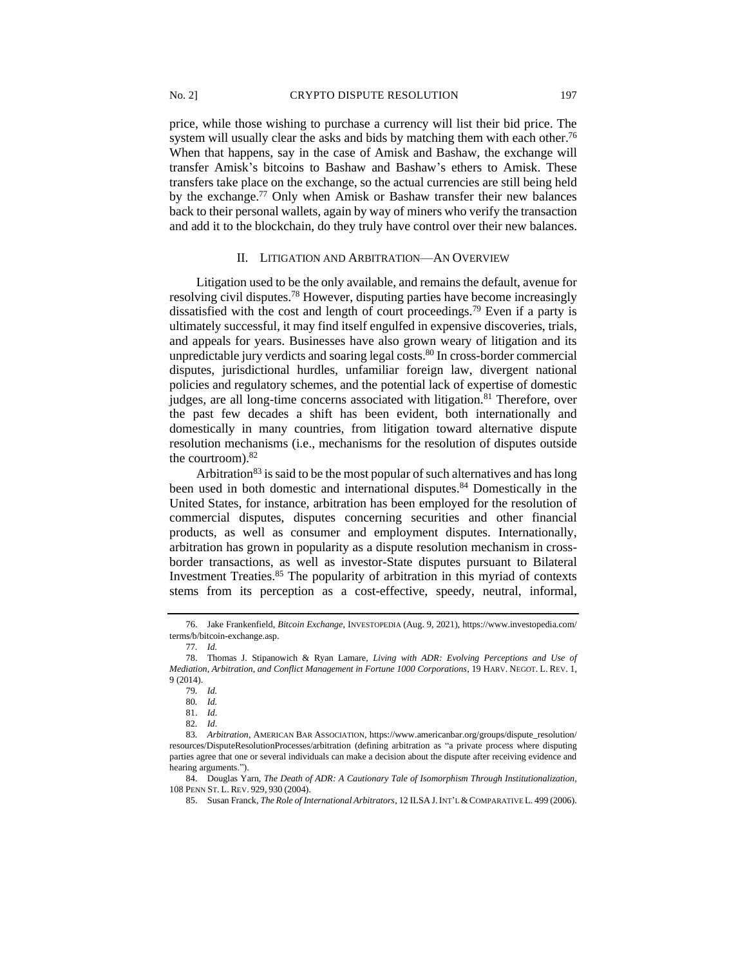price, while those wishing to purchase a currency will list their bid price. The system will usually clear the asks and bids by matching them with each other.<sup>76</sup> When that happens, say in the case of Amisk and Bashaw, the exchange will transfer Amisk's bitcoins to Bashaw and Bashaw's ethers to Amisk. These transfers take place on the exchange, so the actual currencies are still being held by the exchange.<sup>77</sup> Only when Amisk or Bashaw transfer their new balances back to their personal wallets, again by way of miners who verify the transaction and add it to the blockchain, do they truly have control over their new balances.

#### II. LITIGATION AND ARBITRATION––AN OVERVIEW

Litigation used to be the only available, and remains the default, avenue for resolving civil disputes.<sup>78</sup> However, disputing parties have become increasingly dissatisfied with the cost and length of court proceedings.<sup>79</sup> Even if a party is ultimately successful, it may find itself engulfed in expensive discoveries, trials, and appeals for years. Businesses have also grown weary of litigation and its unpredictable jury verdicts and soaring legal costs.<sup>80</sup> In cross-border commercial disputes, jurisdictional hurdles, unfamiliar foreign law, divergent national policies and regulatory schemes, and the potential lack of expertise of domestic judges, are all long-time concerns associated with litigation.<sup>81</sup> Therefore, over the past few decades a shift has been evident, both internationally and domestically in many countries, from litigation toward alternative dispute resolution mechanisms (i.e., mechanisms for the resolution of disputes outside the courtroom).<sup>82</sup>

Arbitration<sup>83</sup> is said to be the most popular of such alternatives and has long been used in both domestic and international disputes. <sup>84</sup> Domestically in the United States, for instance, arbitration has been employed for the resolution of commercial disputes, disputes concerning securities and other financial products, as well as consumer and employment disputes. Internationally, arbitration has grown in popularity as a dispute resolution mechanism in crossborder transactions, as well as investor-State disputes pursuant to Bilateral Investment Treaties.<sup>85</sup> The popularity of arbitration in this myriad of contexts stems from its perception as a cost-effective, speedy, neutral, informal,

84. Douglas Yarn, *The Death of ADR: A Cautionary Tale of Isomorphism Through Institutionalization,*  108 PENN ST. L. REV. 929, 930 (2004).

<sup>76.</sup> Jake Frankenfield, *Bitcoin Exchange*, INVESTOPEDIA (Aug. 9, 2021), https://www.investopedia.com/ terms/b/bitcoin-exchange.asp.

<sup>77</sup>*. Id.*

<sup>78.</sup> Thomas J. Stipanowich & Ryan Lamare, *Living with ADR: Evolving Perceptions and Use of Mediation, Arbitration, and Conflict Management in Fortune 1000 Corporations*, 19 HARV. NEGOT. L. REV. 1, 9 (2014).

<sup>79</sup>*. Id.*

<sup>80</sup>*. Id.*

<sup>81.</sup> *Id*.

<sup>82</sup>*. Id*.

<sup>83</sup>*. Arbitration*, AMERICAN BAR ASSOCIATION, https://www.americanbar.org/groups/dispute\_resolution/ resources/DisputeResolutionProcesses/arbitration (defining arbitration as "a private process where disputing parties agree that one or several individuals can make a decision about the dispute after receiving evidence and hearing arguments.").

<sup>85.</sup> Susan Franck, *The Role of International Arbitrators*, 12 ILSA J.INT'L &COMPARATIVE L. 499 (2006).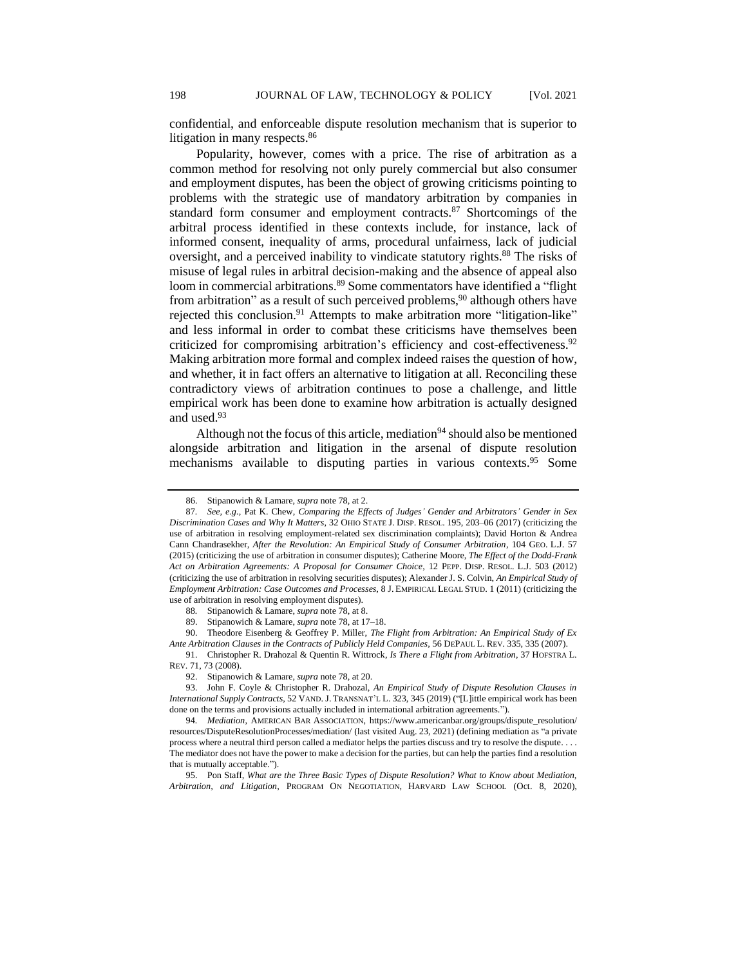confidential, and enforceable dispute resolution mechanism that is superior to litigation in many respects.<sup>86</sup>

Popularity, however, comes with a price. The rise of arbitration as a common method for resolving not only purely commercial but also consumer and employment disputes, has been the object of growing criticisms pointing to problems with the strategic use of mandatory arbitration by companies in standard form consumer and employment contracts.<sup>87</sup> Shortcomings of the arbitral process identified in these contexts include, for instance, lack of informed consent, inequality of arms, procedural unfairness, lack of judicial oversight, and a perceived inability to vindicate statutory rights.<sup>88</sup> The risks of misuse of legal rules in arbitral decision-making and the absence of appeal also loom in commercial arbitrations.<sup>89</sup> Some commentators have identified a "flight from arbitration" as a result of such perceived problems,  $90$  although others have rejected this conclusion.<sup>91</sup> Attempts to make arbitration more "litigation-like" and less informal in order to combat these criticisms have themselves been criticized for compromising arbitration's efficiency and cost-effectiveness.<sup>92</sup> Making arbitration more formal and complex indeed raises the question of how, and whether, it in fact offers an alternative to litigation at all. Reconciling these contradictory views of arbitration continues to pose a challenge, and little empirical work has been done to examine how arbitration is actually designed and used.<sup>93</sup>

Although not the focus of this article, mediation<sup>94</sup> should also be mentioned alongside arbitration and litigation in the arsenal of dispute resolution mechanisms available to disputing parties in various contexts.<sup>95</sup> Some

90. Theodore Eisenberg & Geoffrey P. Miller, *The Flight from Arbitration: An Empirical Study of Ex Ante Arbitration Clauses in the Contracts of Publicly Held Companies,* 56 DEPAUL L. REV. 335, 335 (2007).

91. Christopher R. Drahozal & Quentin R. Wittrock, *Is There a Flight from Arbitration*, 37 HOFSTRA L. REV. 71, 73 (2008).

92. Stipanowich & Lamare, *supra* note 78, at 20.

93. John F. Coyle & Christopher R. Drahozal, *An Empirical Study of Dispute Resolution Clauses in International Supply Contracts*, 52 VAND. J. TRANSNAT'L L. 323, 345 (2019) ("[L]ittle empirical work has been done on the terms and provisions actually included in international arbitration agreements.").

95. Pon Staff, *What are the Three Basic Types of Dispute Resolution? What to Know about Mediation, Arbitration, and Litigation*, PROGRAM ON NEGOTIATION, HARVARD LAW SCHOOL (Oct. 8, 2020),

<sup>86.</sup> Stipanowich & Lamare, *supra* note 78, at 2.

<sup>87</sup>*. See, e.g.,* Pat K. Chew, *Comparing the Effects of Judges' Gender and Arbitrators' Gender in Sex Discrimination Cases and Why It Matters*, 32 OHIO STATE J. DISP. RESOL. 195, 203–06 (2017) (criticizing the use of arbitration in resolving employment-related sex discrimination complaints); David Horton & Andrea Cann Chandrasekher, *After the Revolution: An Empirical Study of Consumer Arbitration*, 104 GEO. L.J. 57 (2015) (criticizing the use of arbitration in consumer disputes); Catherine Moore, *The Effect of the Dodd-Frank Act on Arbitration Agreements: A Proposal for Consumer Choice*, 12 PEPP. DISP. RESOL. L.J. 503 (2012) (criticizing the use of arbitration in resolving securities disputes); Alexander J. S. Colvin, *An Empirical Study of Employment Arbitration: Case Outcomes and Processes*, 8 J. EMPIRICAL LEGAL STUD. 1 (2011) (criticizing the use of arbitration in resolving employment disputes).

<sup>88</sup>*.* Stipanowich & Lamare, *supra* note 78, at 8.

<sup>89.</sup> Stipanowich & Lamare, *supra* note 78, at 17–18.

<sup>94</sup>*. Mediation*, AMERICAN BAR ASSOCIATION, https://www.americanbar.org/groups/dispute\_resolution/ resources/DisputeResolutionProcesses/mediation/ (last visited Aug. 23, 2021) (defining mediation as "a private process where a neutral third person called a mediator helps the parties discuss and try to resolve the dispute. . . . The mediator does not have the power to make a decision for the parties, but can help the parties find a resolution that is mutually acceptable.").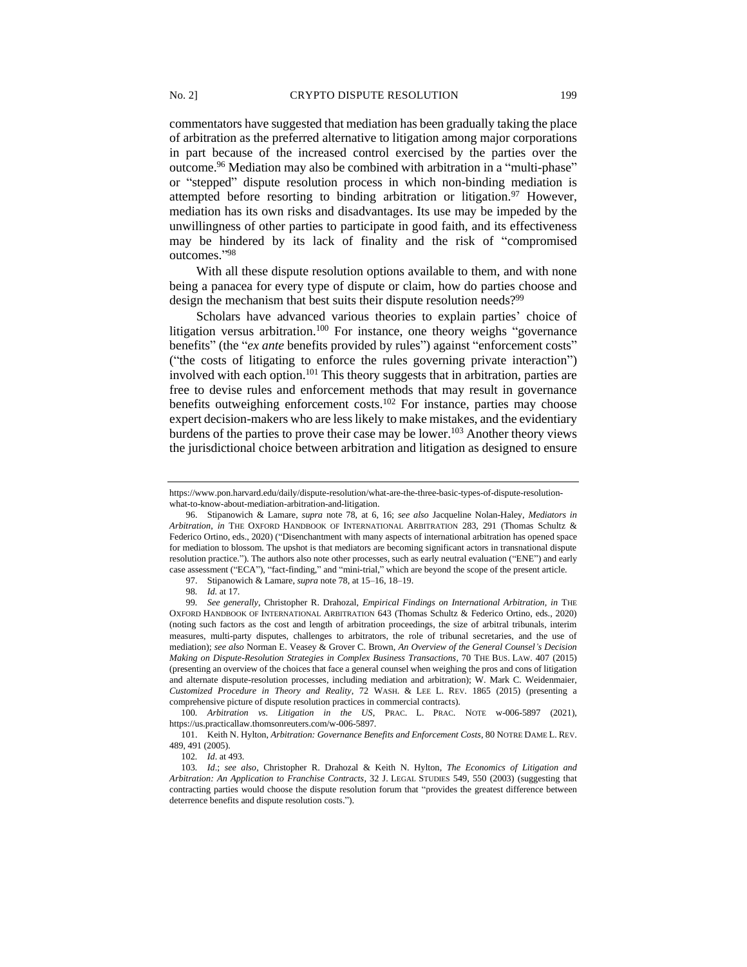commentators have suggested that mediation has been gradually taking the place of arbitration as the preferred alternative to litigation among major corporations in part because of the increased control exercised by the parties over the outcome.<sup>96</sup> Mediation may also be combined with arbitration in a "multi-phase" or "stepped" dispute resolution process in which non-binding mediation is attempted before resorting to binding arbitration or litigation.<sup>97</sup> However, mediation has its own risks and disadvantages. Its use may be impeded by the unwillingness of other parties to participate in good faith, and its effectiveness may be hindered by its lack of finality and the risk of "compromised outcomes." 98

With all these dispute resolution options available to them, and with none being a panacea for every type of dispute or claim, how do parties choose and design the mechanism that best suits their dispute resolution needs?<sup>99</sup>

Scholars have advanced various theories to explain parties' choice of litigation versus arbitration.<sup>100</sup> For instance, one theory weighs "governance" benefits" (the "*ex ante* benefits provided by rules") against "enforcement costs" ("the costs of litigating to enforce the rules governing private interaction") involved with each option.<sup>101</sup> This theory suggests that in arbitration, parties are free to devise rules and enforcement methods that may result in governance benefits outweighing enforcement costs.<sup>102</sup> For instance, parties may choose expert decision-makers who are less likely to make mistakes, and the evidentiary burdens of the parties to prove their case may be lower.<sup>103</sup> Another theory views the jurisdictional choice between arbitration and litigation as designed to ensure

100*. Arbitration vs. Litigation in the US*, PRAC. L. PRAC. NOTE w-006-5897 (2021), https://us.practicallaw.thomsonreuters.com/w-006-5897.

101. Keith N. Hylton, *Arbitration: Governance Benefits and Enforcement Costs*, 80 NOTRE DAME L. REV. 489, 491 (2005).

https://www.pon.harvard.edu/daily/dispute-resolution/what-are-the-three-basic-types-of-dispute-resolutionwhat-to-know-about-mediation-arbitration-and-litigation.

<sup>96.</sup> Stipanowich & Lamare, *supra* note 78, at 6, 16; *see also* Jacqueline Nolan-Haley, *Mediators in Arbitration*, *in* THE OXFORD HANDBOOK OF INTERNATIONAL ARBITRATION 283, 291 (Thomas Schultz & Federico Ortino, eds., 2020) ("Disenchantment with many aspects of international arbitration has opened space for mediation to blossom. The upshot is that mediators are becoming significant actors in transnational dispute resolution practice."). The authors also note other processes, such as early neutral evaluation ("ENE") and early case assessment ("ECA"), "fact-finding," and "mini-trial," which are beyond the scope of the present article.

<sup>97.</sup> Stipanowich & Lamare, *supra* note 78, at 15–16, 18–19.

<sup>98</sup>*. Id.* at 17.

<sup>99</sup>*. See generally*, Christopher R. Drahozal, *Empirical Findings on International Arbitration, in* THE OXFORD HANDBOOK OF INTERNATIONAL ARBITRATION 643 (Thomas Schultz & Federico Ortino, eds., 2020) (noting such factors as the cost and length of arbitration proceedings, the size of arbitral tribunals, interim measures, multi-party disputes, challenges to arbitrators, the role of tribunal secretaries, and the use of mediation); *see also* Norman E. Veasey & Grover C. Brown, *An Overview of the General Counsel's Decision Making on Dispute-Resolution Strategies in Complex Business Transactions*, 70 THE BUS. LAW. 407 (2015) (presenting an overview of the choices that face a general counsel when weighing the pros and cons of litigation and alternate dispute-resolution processes, including mediation and arbitration); W. Mark C. Weidenmaier, *Customized Procedure in Theory and Reality*, 72 WASH. & LEE L. REV. 1865 (2015) (presenting a comprehensive picture of dispute resolution practices in commercial contracts).

<sup>102</sup>*. Id*. at 493.

<sup>103</sup>*. Id*.; *see also*, Christopher R. Drahozal & Keith N. Hylton, *The Economics of Litigation and Arbitration: An Application to Franchise Contracts*, 32 J. LEGAL STUDIES 549, 550 (2003) (suggesting that contracting parties would choose the dispute resolution forum that "provides the greatest difference between deterrence benefits and dispute resolution costs.").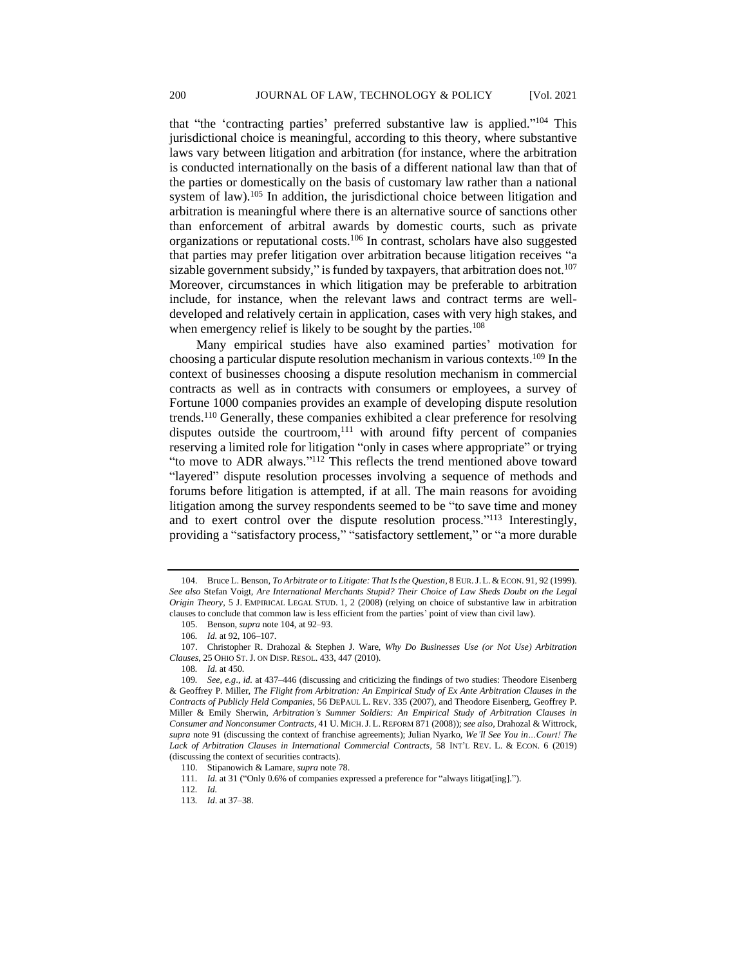that "the 'contracting parties' preferred substantive law is applied." <sup>104</sup> This jurisdictional choice is meaningful, according to this theory, where substantive laws vary between litigation and arbitration (for instance, where the arbitration is conducted internationally on the basis of a different national law than that of the parties or domestically on the basis of customary law rather than a national system of law).<sup>105</sup> In addition, the jurisdictional choice between litigation and arbitration is meaningful where there is an alternative source of sanctions other than enforcement of arbitral awards by domestic courts, such as private organizations or reputational costs.<sup>106</sup> In contrast, scholars have also suggested that parties may prefer litigation over arbitration because litigation receives "a sizable government subsidy," is funded by taxpayers, that arbitration does not.<sup>107</sup> Moreover, circumstances in which litigation may be preferable to arbitration include, for instance, when the relevant laws and contract terms are welldeveloped and relatively certain in application, cases with very high stakes, and when emergency relief is likely to be sought by the parties.<sup>108</sup>

Many empirical studies have also examined parties' motivation for choosing a particular dispute resolution mechanism in various contexts.<sup>109</sup> In the context of businesses choosing a dispute resolution mechanism in commercial contracts as well as in contracts with consumers or employees, a survey of Fortune 1000 companies provides an example of developing dispute resolution trends.<sup>110</sup> Generally, these companies exhibited a clear preference for resolving disputes outside the courtroom, $111$  with around fifty percent of companies reserving a limited role for litigation "only in cases where appropriate" or trying "to move to ADR always."<sup>112</sup> This reflects the trend mentioned above toward "layered" dispute resolution processes involving a sequence of methods and forums before litigation is attempted, if at all. The main reasons for avoiding litigation among the survey respondents seemed to be "to save time and money and to exert control over the dispute resolution process."<sup>113</sup> Interestingly, providing a "satisfactory process," "satisfactory settlement," or "a more durable

108*. Id.* at 450.

<sup>104.</sup> Bruce L. Benson, *To Arbitrate or to Litigate: That Is the Question*, 8 EUR.J.L. &ECON. 91, 92 (1999). *See also* Stefan Voigt, *Are International Merchants Stupid? Their Choice of Law Sheds Doubt on the Legal Origin Theory*, 5 J. EMPIRICAL LEGAL STUD. 1, 2 (2008) (relying on choice of substantive law in arbitration clauses to conclude that common law is less efficient from the parties' point of view than civil law).

<sup>105.</sup> Benson, *supra* note 104, at 92–93.

<sup>106</sup>*. Id.* at 92, 106–107.

<sup>107.</sup> Christopher R. Drahozal & Stephen J. Ware, *Why Do Businesses Use (or Not Use) Arbitration Clauses*, 25 OHIO ST.J. ON DISP. RESOL. 433, 447 (2010).

<sup>109</sup>*. See, e.g*., *id.* at 437–446 (discussing and criticizing the findings of two studies: Theodore Eisenberg & Geoffrey P. Miller, *The Flight from Arbitration: An Empirical Study of Ex Ante Arbitration Clauses in the Contracts of Publicly Held Companies*, 56 DEPAUL L. REV. 335 (2007), and Theodore Eisenberg, Geoffrey P. Miller & Emily Sherwin, *Arbitration's Summer Soldiers: An Empirical Study of Arbitration Clauses in Consumer and Nonconsumer Contracts*, 41 U. MICH.J. L. REFORM 871 (2008)); *see also*, Drahozal & Wittrock, *supra* note 91 (discussing the context of franchise agreements); Julian Nyarko, *We'll See You in…Court! The Lack of Arbitration Clauses in International Commercial Contracts*, 58 INT'L REV. L. & ECON. 6 (2019) (discussing the context of securities contracts).

<sup>110.</sup> Stipanowich & Lamare, *supra* note 78.

<sup>111</sup>*. Id.* at 31 ("Only 0.6% of companies expressed a preference for "always litigat[ing].").

<sup>112</sup>*. Id.*

<sup>113</sup>*. Id*. at 37–38.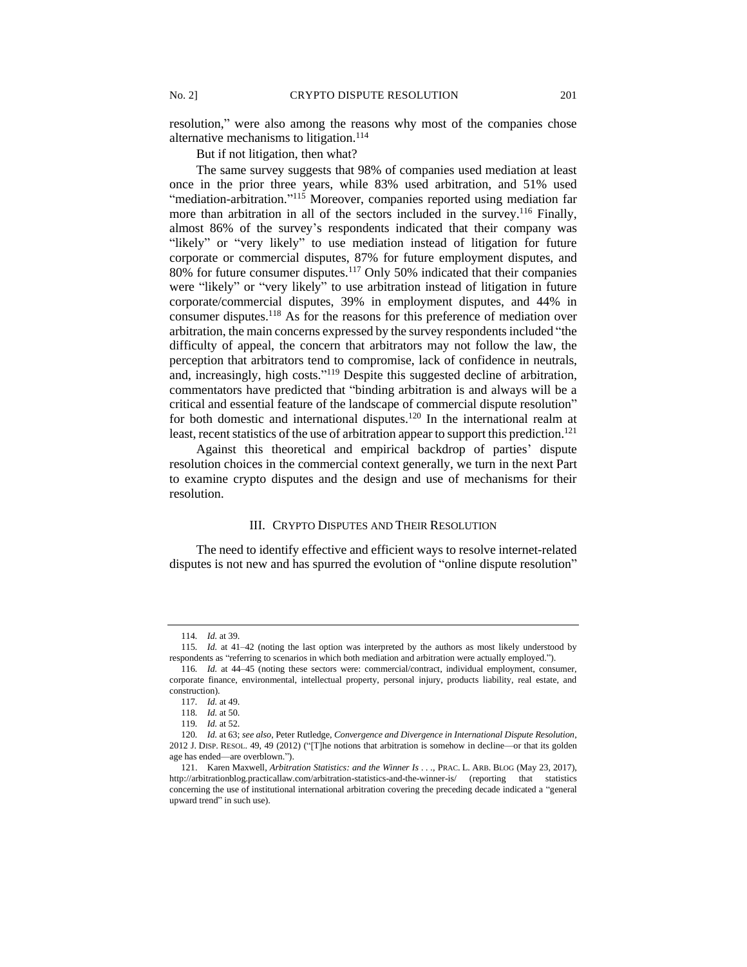resolution," were also among the reasons why most of the companies chose alternative mechanisms to litigation.<sup>114</sup>

But if not litigation, then what?

The same survey suggests that 98% of companies used mediation at least once in the prior three years, while 83% used arbitration, and 51% used "mediation-arbitration."<sup>115</sup> Moreover, companies reported using mediation far more than arbitration in all of the sectors included in the survey.<sup>116</sup> Finally, almost 86% of the survey's respondents indicated that their company was "likely" or "very likely" to use mediation instead of litigation for future corporate or commercial disputes, 87% for future employment disputes, and 80% for future consumer disputes.<sup>117</sup> Only 50% indicated that their companies were "likely" or "very likely" to use arbitration instead of litigation in future corporate/commercial disputes, 39% in employment disputes, and 44% in consumer disputes.<sup>118</sup> As for the reasons for this preference of mediation over arbitration, the main concerns expressed by the survey respondents included "the difficulty of appeal, the concern that arbitrators may not follow the law, the perception that arbitrators tend to compromise, lack of confidence in neutrals, and, increasingly, high costs." <sup>119</sup> Despite this suggested decline of arbitration, commentators have predicted that "binding arbitration is and always will be a critical and essential feature of the landscape of commercial dispute resolution" for both domestic and international disputes.<sup>120</sup> In the international realm at least, recent statistics of the use of arbitration appear to support this prediction.<sup>121</sup>

Against this theoretical and empirical backdrop of parties' dispute resolution choices in the commercial context generally, we turn in the next Part to examine crypto disputes and the design and use of mechanisms for their resolution.

#### III. CRYPTO DISPUTES AND THEIR RESOLUTION

The need to identify effective and efficient ways to resolve internet-related disputes is not new and has spurred the evolution of "online dispute resolution"

<sup>114</sup>*. Id.* at 39.

<sup>115</sup>*. Id.* at 41–42 (noting the last option was interpreted by the authors as most likely understood by respondents as "referring to scenarios in which both mediation and arbitration were actually employed.").

<sup>116</sup>*. Id.* at 44–45 (noting these sectors were: commercial/contract, individual employment, consumer, corporate finance, environmental, intellectual property, personal injury, products liability, real estate, and construction).

<sup>117</sup>*. Id.* at 49.

<sup>118</sup>*. Id.* at 50.

<sup>119</sup>*. Id.* at 52.

<sup>120</sup>*. Id.* at 63; *see also*, Peter Rutledge, *Convergence and Divergence in International Dispute Resolution*, 2012 J. DISP. RESOL. 49, 49 (2012) ("[T]he notions that arbitration is somehow in decline—or that its golden age has ended—are overblown.").

<sup>121.</sup> Karen Maxwell, *Arbitration Statistics: and the Winner Is . . .*, PRAC. L. ARB. BLOG (May 23, 2017), http://arbitrationblog.practicallaw.com/arbitration-statistics-and-the-winner-is/ (reporting that statistics concerning the use of institutional international arbitration covering the preceding decade indicated a "general upward trend" in such use).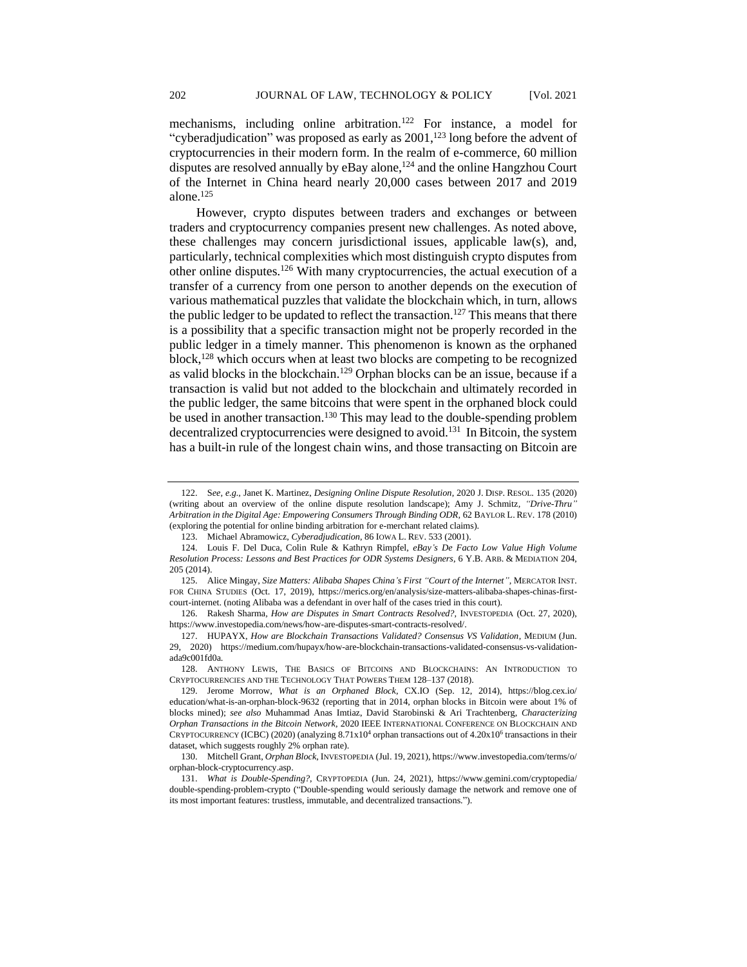mechanisms, including online arbitration.<sup>122</sup> For instance, a model for "cyberadjudication" was proposed as early as  $2001$ ,<sup>123</sup> long before the advent of cryptocurrencies in their modern form. In the realm of e-commerce, 60 million disputes are resolved annually by eBay alone,<sup>124</sup> and the online Hangzhou Court of the Internet in China heard nearly 20,000 cases between 2017 and 2019 alone. 125

However, crypto disputes between traders and exchanges or between traders and cryptocurrency companies present new challenges. As noted above, these challenges may concern jurisdictional issues, applicable law(s), and, particularly, technical complexities which most distinguish crypto disputes from other online disputes.<sup>126</sup> With many cryptocurrencies, the actual execution of a transfer of a currency from one person to another depends on the execution of various mathematical puzzles that validate the blockchain which, in turn, allows the public ledger to be updated to reflect the transaction.<sup>127</sup> This means that there is a possibility that a specific transaction might not be properly recorded in the public ledger in a timely manner. This phenomenon is known as the orphaned block,<sup>128</sup> which occurs when at least two blocks are competing to be recognized as valid blocks in the blockchain.<sup>129</sup> Orphan blocks can be an issue, because if a transaction is valid but not added to the blockchain and ultimately recorded in the public ledger, the same bitcoins that were spent in the orphaned block could be used in another transaction.<sup>130</sup> This may lead to the double-spending problem decentralized cryptocurrencies were designed to avoid.<sup>131</sup> In Bitcoin, the system has a built-in rule of the longest chain wins, and those transacting on Bitcoin are

<sup>122.</sup> S*ee, e.g.,* Janet K. Martinez, *Designing Online Dispute Resolution*, 2020 J. DISP. RESOL. 135 (2020) (writing about an overview of the online dispute resolution landscape); Amy J. Schmitz*, "Drive-Thru" Arbitration in the Digital Age: Empowering Consumers Through Binding ODR,* 62 BAYLOR L. REV. 178 (2010) (exploring the potential for online binding arbitration for e-merchant related claims).

<sup>123.</sup> Michael Abramowicz, *Cyberadjudication*, 86 IOWA L. REV. 533 (2001).

<sup>124.</sup> Louis F. Del Duca, Colin Rule & Kathryn Rimpfel, *eBay's De Facto Low Value High Volume Resolution Process: Lessons and Best Practices for ODR Systems Designers*, 6 Y.B. ARB. & MEDIATION 204, 205 (2014).

<sup>125.</sup> Alice Mingay, *Size Matters: Alibaba Shapes China's First "Court of the Internet",* MERCATOR INST. FOR CHINA STUDIES (Oct. 17, 2019), https://merics.org/en/analysis/size-matters-alibaba-shapes-chinas-firstcourt-internet. (noting Alibaba was a defendant in over half of the cases tried in this court).

<sup>126.</sup> Rakesh Sharma*, How are Disputes in Smart Contracts Resolved?,* INVESTOPEDIA (Oct. 27, 2020), https://www.investopedia.com/news/how-are-disputes-smart-contracts-resolved/.

<sup>127.</sup> HUPAYX, *How are Blockchain Transactions Validated? Consensus VS Validation*, MEDIUM (Jun. 29, 2020) https://medium.com/hupayx/how-are-blockchain-transactions-validated-consensus-vs-validationada9c001fd0a.

<sup>128.</sup> ANTHONY LEWIS, THE BASICS OF BITCOINS AND BLOCKCHAINS: AN INTRODUCTION TO CRYPTOCURRENCIES AND THE TECHNOLOGY THAT POWERS THEM 128–137 (2018).

<sup>129.</sup> Jerome Morrow, *What is an Orphaned Block*, CX.IO (Sep. 12, 2014), https://blog.cex.io/ education/what-is-an-orphan-block-9632 (reporting that in 2014, orphan blocks in Bitcoin were about 1% of blocks mined); *see also* Muhammad Anas Imtiaz, David Starobinski & Ari Trachtenberg, *Characterizing Orphan Transactions in the Bitcoin Network,* 2020 IEEE INTERNATIONAL CONFERENCE ON BLOCKCHAIN AND CRYPTOCURRENCY (ICBC) (2020) (analyzing 8.71x10<sup>4</sup> orphan transactions out of 4.20x10<sup>6</sup> transactions in their dataset, which suggests roughly 2% orphan rate).

<sup>130.</sup> Mitchell Grant, *Orphan Block*, INVESTOPEDIA (Jul. 19, 2021), https://www.investopedia.com/terms/o/ orphan-block-cryptocurrency.asp.

<sup>131.</sup> *What is Double-Spending?*, CRYPTOPEDIA (Jun. 24, 2021), https://www.gemini.com/cryptopedia/ double-spending-problem-crypto ("Double-spending would seriously damage the network and remove one of its most important features: trustless, immutable, and decentralized transactions.").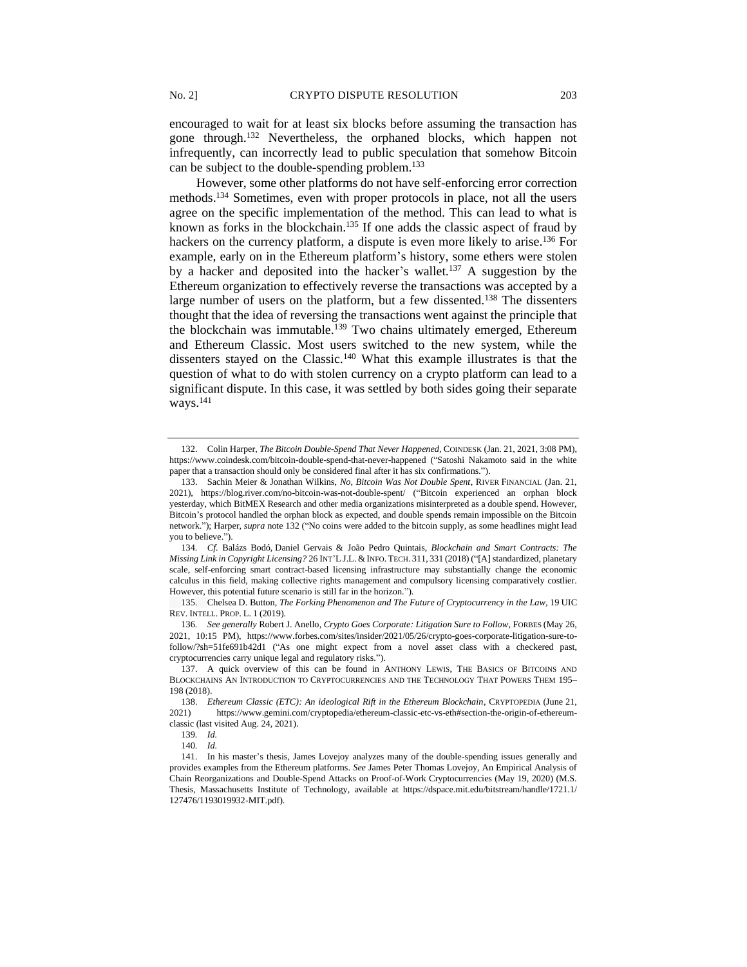encouraged to wait for at least six blocks before assuming the transaction has gone through.<sup>132</sup> Nevertheless, the orphaned blocks, which happen not infrequently, can incorrectly lead to public speculation that somehow Bitcoin can be subject to the double-spending problem.<sup>133</sup>

However, some other platforms do not have self-enforcing error correction methods.<sup>134</sup> Sometimes, even with proper protocols in place, not all the users agree on the specific implementation of the method. This can lead to what is known as forks in the blockchain.<sup>135</sup> If one adds the classic aspect of fraud by hackers on the currency platform, a dispute is even more likely to arise.<sup>136</sup> For example, early on in the Ethereum platform's history, some ethers were stolen by a hacker and deposited into the hacker's wallet.<sup>137</sup> A suggestion by the Ethereum organization to effectively reverse the transactions was accepted by a large number of users on the platform, but a few dissented.<sup>138</sup> The dissenters thought that the idea of reversing the transactions went against the principle that the blockchain was immutable.<sup>139</sup> Two chains ultimately emerged, Ethereum and Ethereum Classic. Most users switched to the new system, while the dissenters stayed on the Classic.<sup>140</sup> What this example illustrates is that the question of what to do with stolen currency on a crypto platform can lead to a significant dispute. In this case, it was settled by both sides going their separate ways.<sup>141</sup>

135. Chelsea D. Button, *The Forking Phenomenon and The Future of Cryptocurrency in the Law*, 19 UIC REV. INTELL. PROP. L. 1 (2019).

136*. See generally* Robert J. Anello, *Crypto Goes Corporate: Litigation Sure to Follow*, FORBES (May 26, 2021, 10:15 PM), https://www.forbes.com/sites/insider/2021/05/26/crypto-goes-corporate-litigation-sure-tofollow/?sh=51fe691b42d1 ("As one might expect from a novel asset class with a checkered past, cryptocurrencies carry unique legal and regulatory risks.").

137. A quick overview of this can be found in ANTHONY LEWIS, THE BASICS OF BITCOINS AND BLOCKCHAINS AN INTRODUCTION TO CRYPTOCURRENCIES AND THE TECHNOLOGY THAT POWERS THEM 195– 198 (2018).

<sup>132.</sup> Colin Harper, *The Bitcoin Double-Spend That Never Happened*, COINDESK (Jan. 21, 2021, 3:08 PM), https://www.coindesk.com/bitcoin-double-spend-that-never-happened ("Satoshi Nakamoto said in the white paper that a transaction should only be considered final after it has six confirmations.").

<sup>133.</sup> Sachin Meier & Jonathan Wilkins, *No, Bitcoin Was Not Double Spent*, RIVER FINANCIAL (Jan. 21, 2021), https://blog.river.com/no-bitcoin-was-not-double-spent/ ("Bitcoin experienced an orphan block yesterday, which BitMEX Research and other media organizations misinterpreted as a double spend. However, Bitcoin's protocol handled the orphan block as expected, and double spends remain impossible on the Bitcoin network."); Harper, *supra* note 132 ("No coins were added to the bitcoin supply, as some headlines might lead you to believe.").

<sup>134</sup>*. Cf.* Balázs Bodó, Daniel Gervais & João Pedro Quintais, *Blockchain and Smart Contracts: The Missing Link in Copyright Licensing?* 26 INT'L J.L. & INFO.TECH. 311, 331 (2018) ("[A] standardized, planetary scale, self-enforcing smart contract-based licensing infrastructure may substantially change the economic calculus in this field, making collective rights management and compulsory licensing comparatively costlier. However, this potential future scenario is still far in the horizon.").

<sup>138.</sup> *Ethereum Classic (ETC): An ideological Rift in the Ethereum Blockchain*, CRYPTOPEDIA (June 21, 2021) https://www.gemini.com/cryptopedia/ethereum-classic-etc-vs-eth#section-the-origin-of-ethereumclassic (last visited Aug. 24, 2021).

<sup>139</sup>*. Id.*

<sup>140</sup>*. Id.*

<sup>141.</sup> In his master's thesis, James Lovejoy analyzes many of the double-spending issues generally and provides examples from the Ethereum platforms. *See* James Peter Thomas Lovejoy, An Empirical Analysis of Chain Reorganizations and Double-Spend Attacks on Proof-of-Work Cryptocurrencies (May 19, 2020) (M.S. Thesis, Massachusetts Institute of Technology, available at https://dspace.mit.edu/bitstream/handle/1721.1/ 127476/1193019932-MIT.pdf).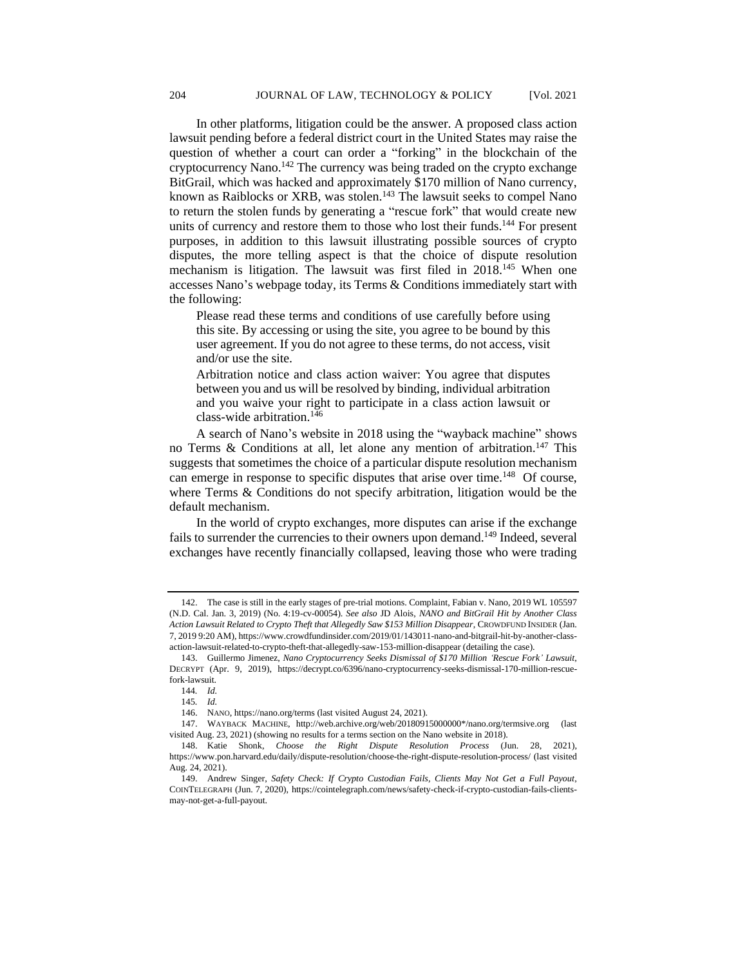In other platforms, litigation could be the answer. A proposed class action lawsuit pending before a federal district court in the United States may raise the question of whether a court can order a "forking" in the blockchain of the cryptocurrency Nano.<sup>142</sup> The currency was being traded on the crypto exchange BitGrail, which was hacked and approximately \$170 million of Nano currency, known as Raiblocks or XRB, was stolen.<sup>143</sup> The lawsuit seeks to compel Nano to return the stolen funds by generating a "rescue fork" that would create new units of currency and restore them to those who lost their funds.<sup>144</sup> For present purposes, in addition to this lawsuit illustrating possible sources of crypto disputes, the more telling aspect is that the choice of dispute resolution mechanism is litigation. The lawsuit was first filed in 2018.<sup>145</sup> When one accesses Nano's webpage today, its Terms & Conditions immediately start with the following:

Please read these terms and conditions of use carefully before using this site. By accessing or using the site, you agree to be bound by this user agreement. If you do not agree to these terms, do not access, visit and/or use the site.

Arbitration notice and class action waiver: You agree that disputes between you and us will be resolved by binding, individual arbitration and you waive your right to participate in a class action lawsuit or class-wide arbitration.<sup>146</sup>

A search of Nano's website in 2018 using the "wayback machine" shows no Terms & Conditions at all, let alone any mention of arbitration.<sup>147</sup> This suggests that sometimes the choice of a particular dispute resolution mechanism can emerge in response to specific disputes that arise over time.<sup>148</sup> Of course, where Terms & Conditions do not specify arbitration, litigation would be the default mechanism.

In the world of crypto exchanges, more disputes can arise if the exchange fails to surrender the currencies to their owners upon demand.<sup>149</sup> Indeed, several exchanges have recently financially collapsed, leaving those who were trading

<sup>142.</sup> The case is still in the early stages of pre-trial motions. Complaint, Fabian v. Nano, 2019 WL 105597 (N.D. Cal. Jan. 3, 2019) (No. 4:19-cv-00054). *See also* JD Alois, *NANO and BitGrail Hit by Another Class Action Lawsuit Related to Crypto Theft that Allegedly Saw \$153 Million Disappear*, CROWDFUND INSIDER (Jan. 7, 2019 9:20 AM), https://www.crowdfundinsider.com/2019/01/143011-nano-and-bitgrail-hit-by-another-classaction-lawsuit-related-to-crypto-theft-that-allegedly-saw-153-million-disappear (detailing the case).

<sup>143.</sup> Guillermo Jimenez, *Nano Cryptocurrency Seeks Dismissal of \$170 Million 'Rescue Fork' Lawsuit*, DECRYPT (Apr. 9, 2019), https://decrypt.co/6396/nano-cryptocurrency-seeks-dismissal-170-million-rescuefork-lawsuit.

<sup>144</sup>*. Id.*

<sup>145</sup>*. Id.*

<sup>146.</sup> NANO, https://nano.org/terms (last visited August 24, 2021).

<sup>147.</sup> WAYBACK MACHINE, http://web.archive.org/web/20180915000000\*/nano.org/termsive.org (last visited Aug. 23, 2021) (showing no results for a terms section on the Nano website in 2018).

<sup>148.</sup> Katie Shonk, *Choose the Right Dispute Resolution Process* (Jun. 28, 2021), https://www.pon.harvard.edu/daily/dispute-resolution/choose-the-right-dispute-resolution-process/ (last visited Aug. 24, 2021).

<sup>149.</sup> Andrew Singer, *Safety Check: If Crypto Custodian Fails, Clients May Not Get a Full Payout*, COINTELEGRAPH (Jun. 7, 2020), https://cointelegraph.com/news/safety-check-if-crypto-custodian-fails-clientsmay-not-get-a-full-payout.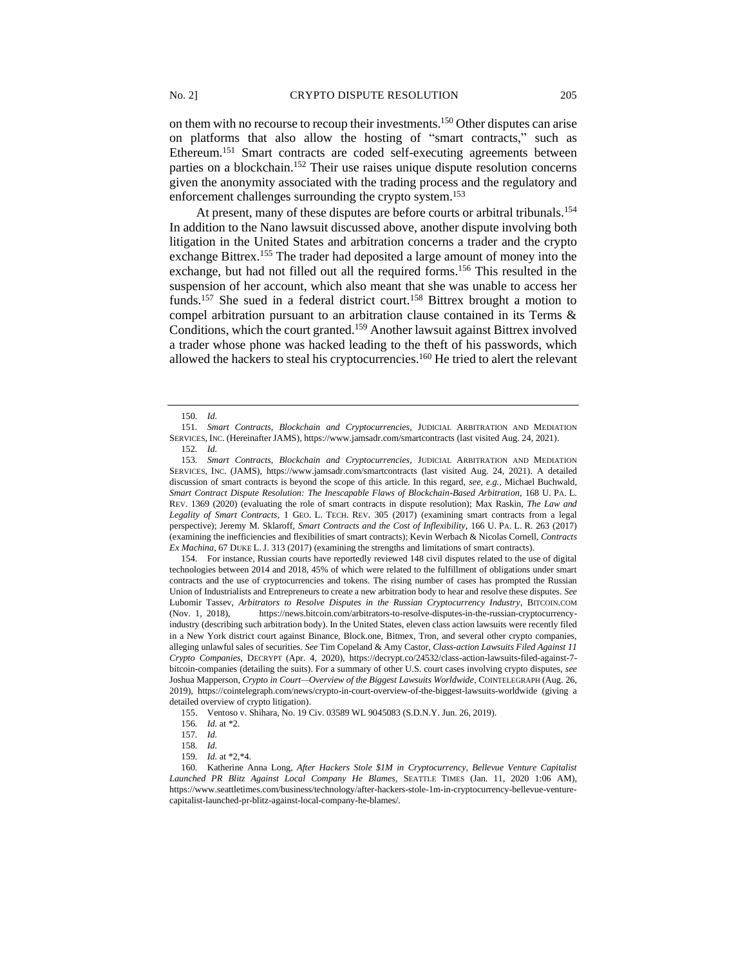on them with no recourse to recoup their investments.<sup>150</sup> Other disputes can arise on platforms that also allow the hosting of "smart contracts," such as Ethereum.<sup>151</sup> Smart contracts are coded self-executing agreements between parties on a blockchain.<sup>152</sup> Their use raises unique dispute resolution concerns given the anonymity associated with the trading process and the regulatory and enforcement challenges surrounding the crypto system.<sup>153</sup>

At present, many of these disputes are before courts or arbitral tribunals.<sup>154</sup> In addition to the Nano lawsuit discussed above, another dispute involving both litigation in the United States and arbitration concerns a trader and the crypto exchange Bittrex.<sup>155</sup> The trader had deposited a large amount of money into the exchange, but had not filled out all the required forms.<sup>156</sup> This resulted in the suspension of her account, which also meant that she was unable to access her funds.<sup>157</sup> She sued in a federal district court.<sup>158</sup> Bittrex brought a motion to compel arbitration pursuant to an arbitration clause contained in its Terms & Conditions, which the court granted.<sup>159</sup> Another lawsuit against Bittrex involved a trader whose phone was hacked leading to the theft of his passwords, which allowed the hackers to steal his cryptocurrencies.<sup>160</sup> He tried to alert the relevant

<sup>150</sup>*. Id.*

<sup>151</sup>*. Smart Contracts, Blockchain and Cryptocurrencies*, JUDICIAL ARBITRATION AND MEDIATION SERVICES, INC. (Hereinafter JAMS), https://www.jamsadr.com/smartcontracts (last visited Aug. 24, 2021). 152*. Id.*

<sup>153</sup>*. Smart Contracts, Blockchain and Cryptocurrencies*, JUDICIAL ARBITRATION AND MEDIATION SERVICES, INC. (JAMS), https://www.jamsadr.com/smartcontracts (last visited Aug. 24, 2021). A detailed discussion of smart contracts is beyond the scope of this article. In this regard, *see, e.g.,* Michael Buchwald, *Smart Contract Dispute Resolution: The Inescapable Flaws of Blockchain-Based Arbitration*, 168 U. PA. L. REV. 1369 (2020) (evaluating the role of smart contracts in dispute resolution); Max Raskin, *The Law and Legality of Smart Contracts*, 1 GEO. L. TECH. REV. 305 (2017) (examining smart contracts from a legal perspective); Jeremy M. Sklaroff, *Smart Contracts and the Cost of Inflexibility*, 166 U. PA. L. R. 263 (2017) (examining the inefficiencies and flexibilities of smart contracts); Kevin Werbach & Nicolas Cornell, *Contracts Ex Machina*, 67 DUKE L.J. 313 (2017) (examining the strengths and limitations of smart contracts).

<sup>154.</sup> For instance, Russian courts have reportedly reviewed 148 civil disputes related to the use of digital technologies between 2014 and 2018, 45% of which were related to the fulfillment of obligations under smart contracts and the use of cryptocurrencies and tokens. The rising number of cases has prompted the Russian Union of Industrialists and Entrepreneurs to create a new arbitration body to hear and resolve these disputes. *See* Lubomir Tassev, *Arbitrators to Resolve Disputes in the Russian Cryptocurrency Industry*, BITCOIN.COM (Nov. 1, 2018), https://news.bitcoin.com/arbitrators-to-resolve-disputes-in-the-russian-cryptocurrencyindustry (describing such arbitration body). In the United States, eleven class action lawsuits were recently filed in a New York district court against Binance, Block.one, Bitmex, Tron, and several other crypto companies, alleging unlawful sales of securities. *See* Tim Copeland & Amy Castor, *Class-action Lawsuits Filed Against 11 Crypto Companies*, DECRYPT (Apr. 4, 2020), https://decrypt.co/24532/class-action-lawsuits-filed-against-7 bitcoin-companies (detailing the suits). For a summary of other U.S. court cases involving crypto disputes, *see* Joshua Mapperson, *Crypto in Court—Overview of the Biggest Lawsuits Worldwide*, COINTELEGRAPH (Aug. 26, 2019), https://cointelegraph.com/news/crypto-in-court-overview-of-the-biggest-lawsuits-worldwide (giving a detailed overview of crypto litigation).

<sup>155.</sup> Ventoso v. Shihara, No. 19 Civ. 03589 WL 9045083 (S.D.N.Y. Jun. 26, 2019).

<sup>156</sup>*. Id.* at \*2.

<sup>157</sup>*. Id.*

<sup>158</sup>*. Id.*

<sup>159</sup>*. Id.* at \*2,\*4.

<sup>160</sup>*.* Katherine Anna Long, *After Hackers Stole \$1M in Cryptocurrency, Bellevue Venture Capitalist Launched PR Blitz Against Local Company He Blames*, SEATTLE TIMES (Jan. 11, 2020 1:06 AM), https://www.seattletimes.com/business/technology/after-hackers-stole-1m-in-cryptocurrency-bellevue-venturecapitalist-launched-pr-blitz-against-local-company-he-blames/.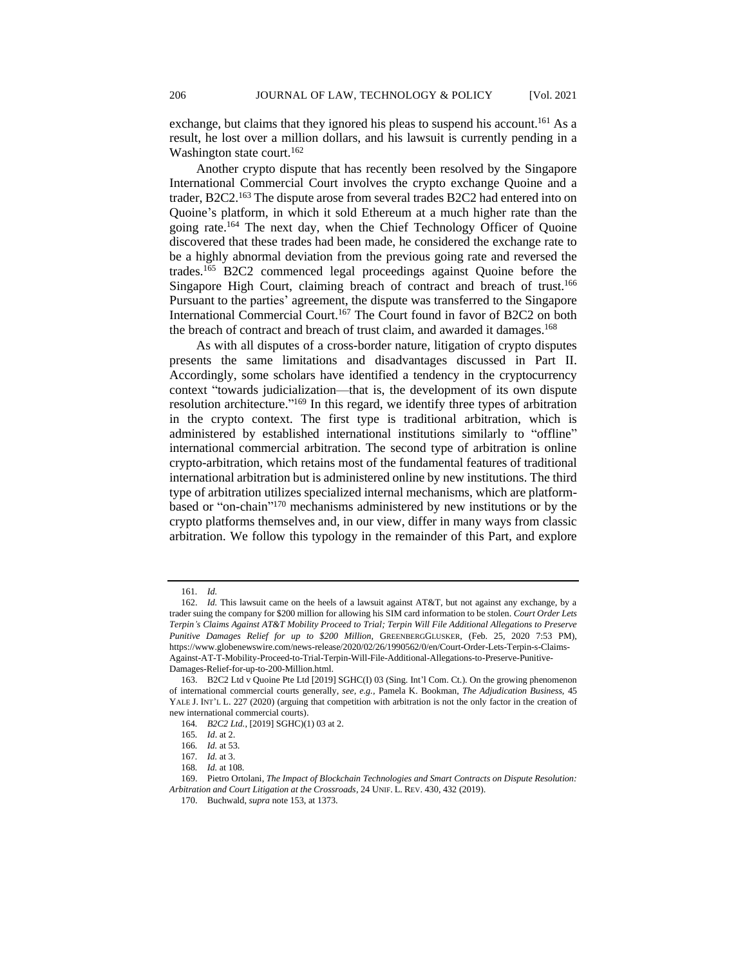exchange, but claims that they ignored his pleas to suspend his account.<sup>161</sup> As a result, he lost over a million dollars, and his lawsuit is currently pending in a Washington state court.<sup>162</sup>

Another crypto dispute that has recently been resolved by the Singapore International Commercial Court involves the crypto exchange Quoine and a trader, B2C2.<sup>163</sup> The dispute arose from several trades B2C2 had entered into on Quoine's platform, in which it sold Ethereum at a much higher rate than the going rate.<sup>164</sup> The next day, when the Chief Technology Officer of Quoine discovered that these trades had been made, he considered the exchange rate to be a highly abnormal deviation from the previous going rate and reversed the trades.<sup>165</sup> B2C2 commenced legal proceedings against Quoine before the Singapore High Court, claiming breach of contract and breach of trust.<sup>166</sup> Pursuant to the parties' agreement, the dispute was transferred to the Singapore International Commercial Court.<sup>167</sup> The Court found in favor of B2C2 on both the breach of contract and breach of trust claim, and awarded it damages.<sup>168</sup>

As with all disputes of a cross-border nature, litigation of crypto disputes presents the same limitations and disadvantages discussed in Part II. Accordingly, some scholars have identified a tendency in the cryptocurrency context "towards judicialization—that is, the development of its own dispute resolution architecture."<sup>169</sup> In this regard, we identify three types of arbitration in the crypto context. The first type is traditional arbitration, which is administered by established international institutions similarly to "offline" international commercial arbitration. The second type of arbitration is online crypto-arbitration, which retains most of the fundamental features of traditional international arbitration but is administered online by new institutions. The third type of arbitration utilizes specialized internal mechanisms, which are platformbased or "on-chain" <sup>170</sup> mechanisms administered by new institutions or by the crypto platforms themselves and, in our view, differ in many ways from classic arbitration. We follow this typology in the remainder of this Part, and explore

<sup>161</sup>*. Id.*

<sup>162.</sup> *Id.* This lawsuit came on the heels of a lawsuit against AT&T, but not against any exchange, by a trader suing the company for \$200 million for allowing his SIM card information to be stolen. *Court Order Lets Terpin's Claims Against AT&T Mobility Proceed to Trial; Terpin Will File Additional Allegations to Preserve Punitive Damages Relief for up to \$200 Million*, GREENBERGGLUSKER, (Feb. 25, 2020 7:53 PM), https://www.globenewswire.com/news-release/2020/02/26/1990562/0/en/Court-Order-Lets-Terpin-s-Claims-Against-AT-T-Mobility-Proceed-to-Trial-Terpin-Will-File-Additional-Allegations-to-Preserve-Punitive-Damages-Relief-for-up-to-200-Million.html.

<sup>163.</sup> B2C2 Ltd v Quoine Pte Ltd [2019] SGHC(I) 03 (Sing. Int'l Com. Ct.). On the growing phenomenon of international commercial courts generally*, see, e.g.,* Pamela K. Bookman, *The Adjudication Business,* 45 YALE J. INT'L L. 227 (2020) (arguing that competition with arbitration is not the only factor in the creation of new international commercial courts).

<sup>164</sup>*. B2C2 Ltd.*, [2019] SGHC)(1) 03 at 2.

<sup>165</sup>*. Id*. at 2.

<sup>166</sup>*. Id.* at 53.

<sup>167</sup>*. Id.* at 3.

<sup>168</sup>*. Id.* at 108.

<sup>169.</sup> Pietro Ortolani, *The Impact of Blockchain Technologies and Smart Contracts on Dispute Resolution: Arbitration and Court Litigation at the Crossroads*, 24 UNIF. L. REV. 430, 432 (2019).

<sup>170.</sup> Buchwald, *supra* note 153, at 1373.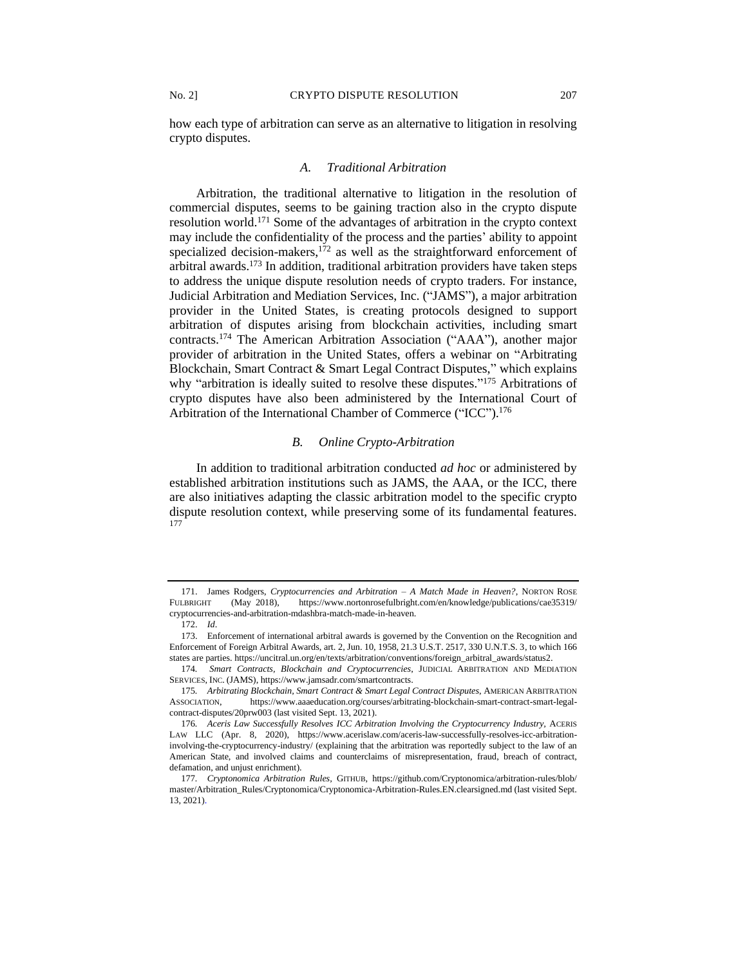how each type of arbitration can serve as an alternative to litigation in resolving crypto disputes.

#### *A. Traditional Arbitration*

Arbitration, the traditional alternative to litigation in the resolution of commercial disputes, seems to be gaining traction also in the crypto dispute resolution world.<sup>171</sup> Some of the advantages of arbitration in the crypto context may include the confidentiality of the process and the parties' ability to appoint specialized decision-makers,<sup>172</sup> as well as the straightforward enforcement of arbitral awards.<sup>173</sup> In addition, traditional arbitration providers have taken steps to address the unique dispute resolution needs of crypto traders. For instance, Judicial Arbitration and Mediation Services, Inc. ("JAMS"), a major arbitration provider in the United States, is creating protocols designed to support arbitration of disputes arising from blockchain activities, including smart contracts.<sup>174</sup> The American Arbitration Association ("AAA"), another major provider of arbitration in the United States, offers a webinar on "Arbitrating Blockchain, Smart Contract & Smart Legal Contract Disputes," which explains why "arbitration is ideally suited to resolve these disputes."<sup>175</sup> Arbitrations of crypto disputes have also been administered by the International Court of Arbitration of the International Chamber of Commerce ("ICC").<sup>176</sup>

#### *B. Online Crypto-Arbitration*

In addition to traditional arbitration conducted *ad hoc* or administered by established arbitration institutions such as JAMS, the AAA, or the ICC, there are also initiatives adapting the classic arbitration model to the specific crypto dispute resolution context, while preserving some of its fundamental features. 177

<sup>171.</sup> James Rodgers, *Cryptocurrencies and Arbitration – A Match Made in Heaven?*, NORTON ROSE FULBRIGHT (May 2018), https://www.nortonrosefulbright.com/en/knowledge/publications/cae35319/ cryptocurrencies-and-arbitration-mdashbra-match-made-in-heaven.

<sup>172.</sup> *Id*.

<sup>173.</sup> Enforcement of international arbitral awards is governed by the Convention on the Recognition and Enforcement of Foreign Arbitral Awards, art. 2, Jun. 10, 1958, 21.3 U.S.T. 2517, 330 U.N.T.S. 3, to which 166 states are parties. https://uncitral.un.org/en/texts/arbitration/conventions/foreign\_arbitral\_awards/status2.

<sup>174</sup>*. Smart Contracts, Blockchain and Cryptocurrencies*, JUDICIAL ARBITRATION AND MEDIATION SERVICES, INC. (JAMS), https://www.jamsadr.com/smartcontracts.

<sup>175</sup>*. Arbitrating Blockchain, Smart Contract & Smart Legal Contract Disputes*, AMERICAN ARBITRATION ASSOCIATION, https://www.aaaeducation.org/courses/arbitrating-blockchain-smart-contract-smart-legalcontract-disputes/20prw003 (last visited Sept. 13, 2021).

<sup>176.</sup> Aceris Law Successfully Resolves ICC Arbitration Involving the Cryptocurrency Industry, ACERIS LAW LLC (Apr. 8, 2020), https://www.acerislaw.com/aceris-law-successfully-resolves-icc-arbitrationinvolving-the-cryptocurrency-industry/ (explaining that the arbitration was reportedly subject to the law of an American State, and involved claims and counterclaims of misrepresentation, fraud, breach of contract, defamation, and unjust enrichment).

<sup>177</sup>*. Cryptonomica Arbitration Rules,* GITHUB, https://github.com/Cryptonomica/arbitration-rules/blob/ master/Arbitration\_Rules/Cryptonomica/Cryptonomica-Arbitration-Rules.EN.clearsigned.md (last visited Sept. 13, 2021).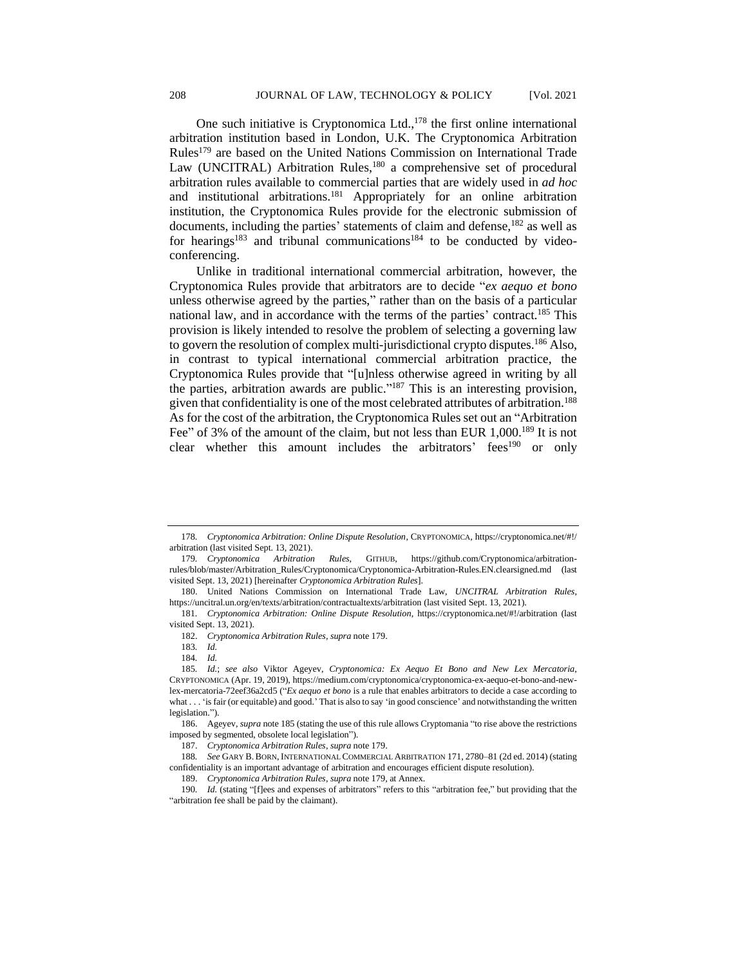One such initiative is Cryptonomica Ltd., $178$  the first online international arbitration institution based in London, U.K. The Cryptonomica Arbitration Rules<sup>179</sup> are based on the United Nations Commission on International Trade Law (UNCITRAL) Arbitration Rules,<sup>180</sup> a comprehensive set of procedural arbitration rules available to commercial parties that are widely used in *ad hoc* and institutional arbitrations.<sup>181</sup> Appropriately for an online arbitration institution, the Cryptonomica Rules provide for the electronic submission of documents, including the parties' statements of claim and defense,<sup>182</sup> as well as for hearings<sup>183</sup> and tribunal communications<sup>184</sup> to be conducted by videoconferencing.

Unlike in traditional international commercial arbitration, however, the Cryptonomica Rules provide that arbitrators are to decide "*ex aequo et bono* unless otherwise agreed by the parties," rather than on the basis of a particular national law, and in accordance with the terms of the parties' contract.<sup>185</sup> This provision is likely intended to resolve the problem of selecting a governing law to govern the resolution of complex multi-jurisdictional crypto disputes.<sup>186</sup> Also, in contrast to typical international commercial arbitration practice, the Cryptonomica Rules provide that "[u]nless otherwise agreed in writing by all the parties, arbitration awards are public." <sup>187</sup> This is an interesting provision, given that confidentiality is one of the most celebrated attributes of arbitration.<sup>188</sup> As for the cost of the arbitration, the Cryptonomica Rules set out an "Arbitration Fee" of 3% of the amount of the claim, but not less than EUR 1,000.<sup>189</sup> It is not clear whether this amount includes the arbitrators' fees<sup>190</sup> or only

<sup>178</sup>*. Cryptonomica Arbitration: Online Dispute Resolution*, CRYPTONOMICA, https://cryptonomica.net/#!/ arbitration (last visited Sept. 13, 2021).

<sup>179</sup>*. Cryptonomica Arbitration Rules,* GITHUB, https://github.com/Cryptonomica/arbitrationrules/blob/master/Arbitration\_Rules/Cryptonomica/Cryptonomica-Arbitration-Rules.EN.clearsigned.md (last visited Sept. 13, 2021) [hereinafter *Cryptonomica Arbitration Rules*].

<sup>180.</sup> United Nations Commission on International Trade Law, *UNCITRAL Arbitration Rules*, https://uncitral.un.org/en/texts/arbitration/contractualtexts/arbitration (last visited Sept. 13, 2021).

<sup>181</sup>*. Cryptonomica Arbitration: Online Dispute Resolution*, https://cryptonomica.net/#!/arbitration (last visited Sept. 13, 2021).

<sup>182.</sup> *Cryptonomica Arbitration Rules*, *supra* note 179.

<sup>183</sup>*. Id.*

<sup>184</sup>*. Id.*

<sup>185</sup>*. Id.*; *see also* Viktor Ageyev, *Cryptonomica: Ex Aequo Et Bono and New Lex Mercatoria,* CRYPTONOMICA (Apr. 19, 2019), https://medium.com/cryptonomica/cryptonomica-ex-aequo-et-bono-and-newlex-mercatoria-72eef36a2cd5 ("*Ex aequo et bono* is a rule that enables arbitrators to decide a case according to what . . . 'is fair (or equitable) and good.' That is also to say 'in good conscience' and notwithstanding the written legislation.").

<sup>186.</sup> Ageyev, *supra* note 185 (stating the use of this rule allows Cryptomania "to rise above the restrictions imposed by segmented, obsolete local legislation").

<sup>187.</sup> *Cryptonomica Arbitration Rules*, *supra* note 179.

<sup>188</sup>*. See* GARY B.BORN, INTERNATIONAL COMMERCIAL ARBITRATION 171, 2780–81 (2d ed. 2014) (stating confidentiality is an important advantage of arbitration and encourages efficient dispute resolution).

<sup>189.</sup> *Cryptonomica Arbitration Rules*, *supra* note 179, at Annex.

<sup>190</sup>*. Id.* (stating "[f]ees and expenses of arbitrators" refers to this "arbitration fee," but providing that the "arbitration fee shall be paid by the claimant).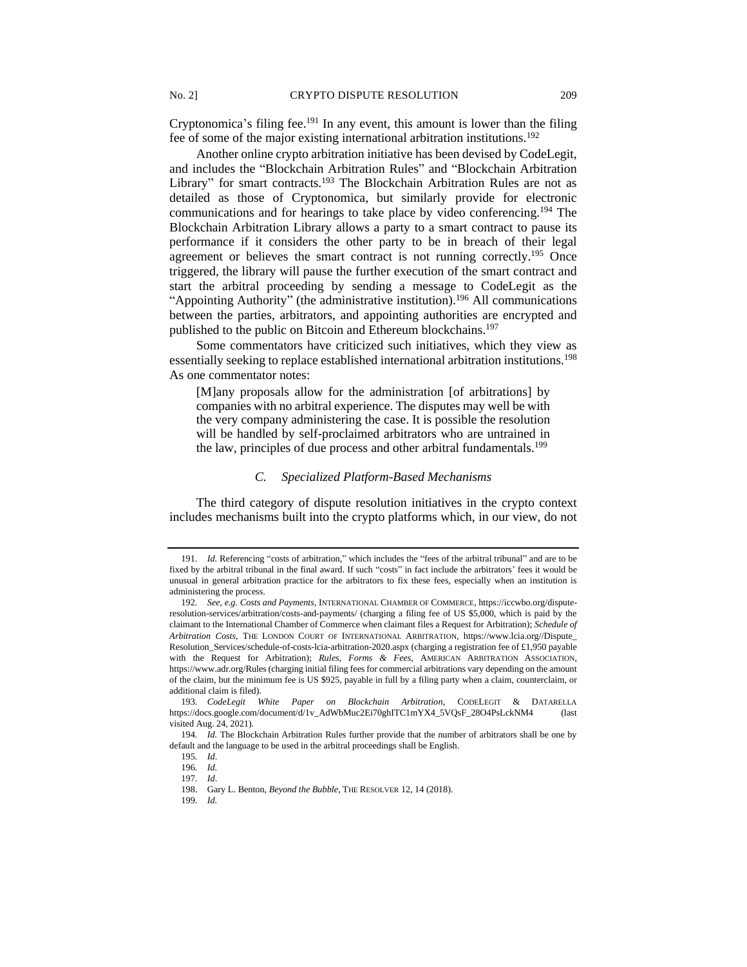Cryptonomica's filing fee.<sup>191</sup> In any event, this amount is lower than the filing fee of some of the major existing international arbitration institutions.<sup>192</sup>

Another online crypto arbitration initiative has been devised by CodeLegit, and includes the "Blockchain Arbitration Rules" and "Blockchain Arbitration Library" for smart contracts.<sup>193</sup> The Blockchain Arbitration Rules are not as detailed as those of Cryptonomica, but similarly provide for electronic communications and for hearings to take place by video conferencing.<sup>194</sup> The Blockchain Arbitration Library allows a party to a smart contract to pause its performance if it considers the other party to be in breach of their legal agreement or believes the smart contract is not running correctly.<sup>195</sup> Once triggered, the library will pause the further execution of the smart contract and start the arbitral proceeding by sending a message to CodeLegit as the "Appointing Authority" (the administrative institution).<sup>196</sup> All communications between the parties, arbitrators, and appointing authorities are encrypted and published to the public on Bitcoin and Ethereum blockchains.<sup>197</sup>

Some commentators have criticized such initiatives, which they view as essentially seeking to replace established international arbitration institutions.<sup>198</sup> As one commentator notes:

[M]any proposals allow for the administration [of arbitrations] by companies with no arbitral experience. The disputes may well be with the very company administering the case. It is possible the resolution will be handled by self-proclaimed arbitrators who are untrained in the law, principles of due process and other arbitral fundamentals.<sup>199</sup>

#### *C. Specialized Platform-Based Mechanisms*

The third category of dispute resolution initiatives in the crypto context includes mechanisms built into the crypto platforms which, in our view, do not

<sup>191</sup>*. Id.* Referencing "costs of arbitration," which includes the "fees of the arbitral tribunal" and are to be fixed by the arbitral tribunal in the final award. If such "costs" in fact include the arbitrators' fees it would be unusual in general arbitration practice for the arbitrators to fix these fees, especially when an institution is administering the process.

<sup>192</sup>*. See, e.g. Costs and Payments*, INTERNATIONAL CHAMBER OF COMMERCE, https://iccwbo.org/disputeresolution-services/arbitration/costs-and-payments/ (charging a filing fee of US \$5,000, which is paid by the claimant to the International Chamber of Commerce when claimant files a Request for Arbitration); *Schedule of Arbitration Costs*, THE LONDON COURT OF INTERNATIONAL ARBITRATION, https://www.lcia.org//Dispute\_ Resolution\_Services/schedule-of-costs-lcia-arbitration-2020.aspx (charging a registration fee of £1,950 payable with the Request for Arbitration); *Rules, Forms & Fees*, AMERICAN ARBITRATION ASSOCIATION, https://www.adr.org/Rules (charging initial filing fees for commercial arbitrations vary depending on the amount of the claim, but the minimum fee is US \$925, payable in full by a filing party when a claim, counterclaim, or additional claim is filed).

<sup>193</sup>*. CodeLegit White Paper on Blockchain Arbitration*, CODELEGIT & DATARELLA https://docs.google.com/document/d/1v\_AdWbMuc2Ei70ghITC1mYX4\_5VQsF\_28O4PsLckNM4 (last visited Aug. 24, 2021).

<sup>194</sup>*. Id.* The Blockchain Arbitration Rules further provide that the number of arbitrators shall be one by default and the language to be used in the arbitral proceedings shall be English.

<sup>195</sup>*. Id*.

<sup>196</sup>*. Id.* 197*. Id*.

<sup>198.</sup> Gary L. Benton, *Beyond the Bubble*, THE RESOLVER 12, 14 (2018).

<sup>199</sup>*. Id.*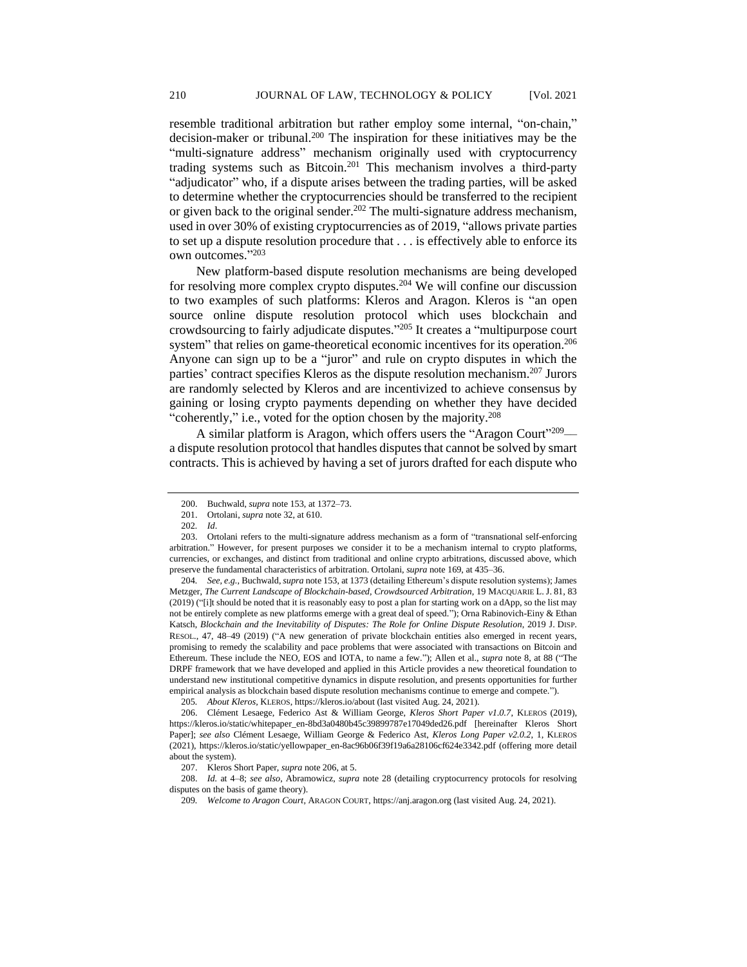resemble traditional arbitration but rather employ some internal, "on-chain," decision-maker or tribunal.<sup>200</sup> The inspiration for these initiatives may be the "multi-signature address" mechanism originally used with cryptocurrency trading systems such as Bitcoin.<sup>201</sup> This mechanism involves a third-party "adjudicator" who, if a dispute arises between the trading parties, will be asked to determine whether the cryptocurrencies should be transferred to the recipient or given back to the original sender.<sup>202</sup> The multi-signature address mechanism, used in over 30% of existing cryptocurrencies as of 2019, "allows private parties to set up a dispute resolution procedure that . . . is effectively able to enforce its own outcomes." 203

New platform-based dispute resolution mechanisms are being developed for resolving more complex crypto disputes.<sup>204</sup> We will confine our discussion to two examples of such platforms: Kleros and Aragon. Kleros is "an open source online dispute resolution protocol which uses blockchain and crowdsourcing to fairly adjudicate disputes." <sup>205</sup> It creates a "multipurpose court system" that relies on game-theoretical economic incentives for its operation.<sup>206</sup> Anyone can sign up to be a "juror" and rule on crypto disputes in which the parties' contract specifies Kleros as the dispute resolution mechanism.<sup>207</sup> Jurors are randomly selected by Kleros and are incentivized to achieve consensus by gaining or losing crypto payments depending on whether they have decided "coherently," i.e., voted for the option chosen by the majority.<sup>208</sup>

A similar platform is Aragon, which offers users the "Aragon Court"<sup>209</sup> a dispute resolution protocol that handles disputes that cannot be solved by smart contracts. This is achieved by having a set of jurors drafted for each dispute who

204*. See, e.g.,* Buchwald, *supra* note 153, at 1373 (detailing Ethereum's dispute resolution systems); James Metzger, *The Current Landscape of Blockchain-based, Crowdsourced Arbitration*, 19 MACQUARIE L.J. 81, 83 (2019) ("[i]t should be noted that it is reasonably easy to post a plan for starting work on a dApp, so the list may not be entirely complete as new platforms emerge with a great deal of speed."); Orna Rabinovich-Einy & Ethan Katsch, *Blockchain and the Inevitability of Disputes: The Role for Online Dispute Resolution*, 2019 J. DISP. RESOL., 47, 48–49 (2019) ("A new generation of private blockchain entities also emerged in recent years, promising to remedy the scalability and pace problems that were associated with transactions on Bitcoin and Ethereum. These include the NEO, EOS and IOTA, to name a few."); Allen et al., *supra* note 8, at 88 ("The DRPF framework that we have developed and applied in this Article provides a new theoretical foundation to understand new institutional competitive dynamics in dispute resolution, and presents opportunities for further empirical analysis as blockchain based dispute resolution mechanisms continue to emerge and compete.").

205*. About Kleros,* KLEROS, https://kleros.io/about (last visited Aug. 24, 2021).

<sup>200.</sup> Buchwald, *supra* note 153, at 1372–73.

<sup>201.</sup> Ortolani, *supra* note 32, at 610.

<sup>202</sup>*. Id*.

<sup>203.</sup> Ortolani refers to the multi-signature address mechanism as a form of "transnational self-enforcing arbitration." However, for present purposes we consider it to be a mechanism internal to crypto platforms, currencies, or exchanges, and distinct from traditional and online crypto arbitrations, discussed above, which preserve the fundamental characteristics of arbitration. Ortolani, *supra* note 169, at 435–36.

<sup>206.</sup> Clément Lesaege, Federico Ast & William George, *Kleros Short Paper v1.0.7*, KLEROS (2019), https://kleros.io/static/whitepaper\_en-8bd3a0480b45c39899787e17049ded26.pdf [hereinafter Kleros Short Paper]; *see also* Clément Lesaege, William George & Federico Ast, *Kleros Long Paper v2.0.2*, 1, KLEROS (2021), https://kleros.io/static/yellowpaper\_en-8ac96b06f39f19a6a28106cf624e3342.pdf (offering more detail about the system).

<sup>207.</sup> Kleros Short Paper, *supra* note 206, at 5.

<sup>208.</sup> *Id.* at 4–8; *see also*, Abramowicz, *supra* note 28 (detailing cryptocurrency protocols for resolving disputes on the basis of game theory).

<sup>209</sup>*. Welcome to Aragon Court,* ARAGON COURT, https://anj.aragon.org (last visited Aug. 24, 2021).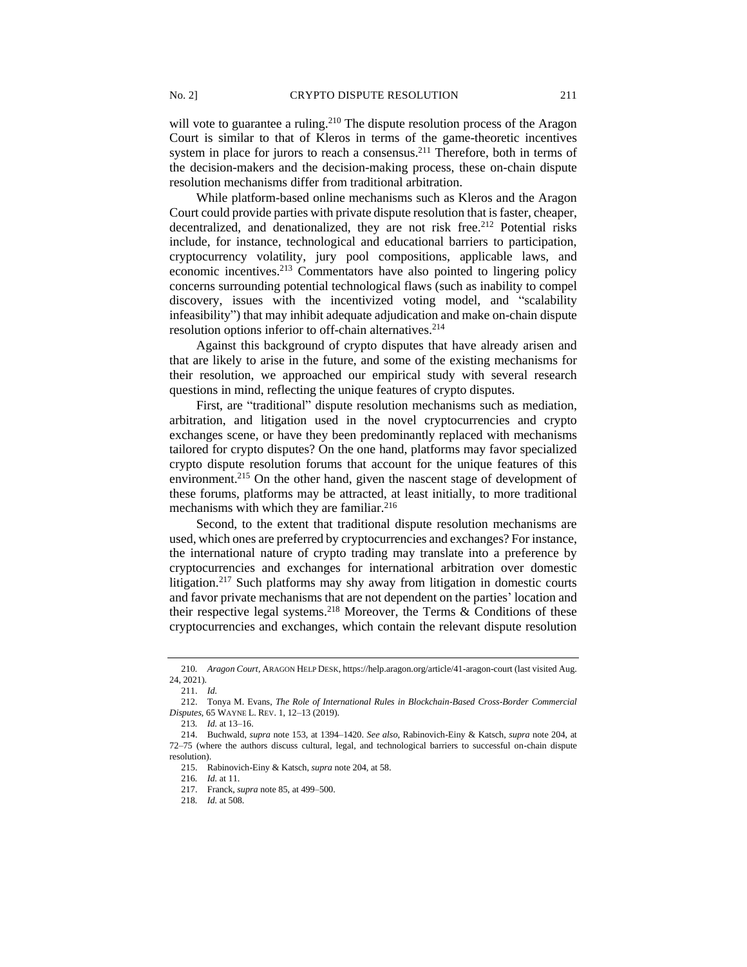will vote to guarantee a ruling.<sup>210</sup> The dispute resolution process of the Aragon Court is similar to that of Kleros in terms of the game-theoretic incentives system in place for jurors to reach a consensus.<sup>211</sup> Therefore, both in terms of the decision-makers and the decision-making process, these on-chain dispute resolution mechanisms differ from traditional arbitration.

While platform-based online mechanisms such as Kleros and the Aragon Court could provide parties with private dispute resolution that is faster, cheaper, decentralized, and denationalized, they are not risk free.<sup>212</sup> Potential risks include, for instance, technological and educational barriers to participation, cryptocurrency volatility, jury pool compositions, applicable laws, and economic incentives.<sup>213</sup> Commentators have also pointed to lingering policy concerns surrounding potential technological flaws (such as inability to compel discovery, issues with the incentivized voting model, and "scalability infeasibility") that may inhibit adequate adjudication and make on-chain dispute resolution options inferior to off-chain alternatives.<sup>214</sup>

Against this background of crypto disputes that have already arisen and that are likely to arise in the future, and some of the existing mechanisms for their resolution, we approached our empirical study with several research questions in mind, reflecting the unique features of crypto disputes.

First, are "traditional" dispute resolution mechanisms such as mediation, arbitration, and litigation used in the novel cryptocurrencies and crypto exchanges scene, or have they been predominantly replaced with mechanisms tailored for crypto disputes? On the one hand, platforms may favor specialized crypto dispute resolution forums that account for the unique features of this environment.<sup>215</sup> On the other hand, given the nascent stage of development of these forums, platforms may be attracted, at least initially, to more traditional mechanisms with which they are familiar.<sup>216</sup>

Second, to the extent that traditional dispute resolution mechanisms are used, which ones are preferred by cryptocurrencies and exchanges? For instance, the international nature of crypto trading may translate into a preference by cryptocurrencies and exchanges for international arbitration over domestic litigation.<sup>217</sup> Such platforms may shy away from litigation in domestic courts and favor private mechanisms that are not dependent on the parties' location and their respective legal systems.<sup>218</sup> Moreover, the Terms  $\&$  Conditions of these cryptocurrencies and exchanges, which contain the relevant dispute resolution

<sup>210</sup>*. Aragon Court*, ARAGON HELP DESK, https://help.aragon.org/article/41-aragon-court (last visited Aug. 24, 2021).

<sup>211.</sup> *Id.*

<sup>212.</sup> Tonya M. Evans, *The Role of International Rules in Blockchain-Based Cross-Border Commercial Disputes*, 65 WAYNE L. REV. 1, 12–13 (2019).

<sup>213</sup>*. Id.* at 13–16.

<sup>214.</sup> Buchwald, *supra* note 153, at 1394–1420. *See also*, Rabinovich-Einy & Katsch, *supra* note 204, at 72–75 (where the authors discuss cultural, legal, and technological barriers to successful on-chain dispute resolution).

<sup>215.</sup> Rabinovich-Einy & Katsch, *supra* note 204, at 58.

<sup>216</sup>*. Id.* at 11.

<sup>217.</sup> Franck, *supra* note 85, at 499–500.

<sup>218</sup>*. Id.* at 508.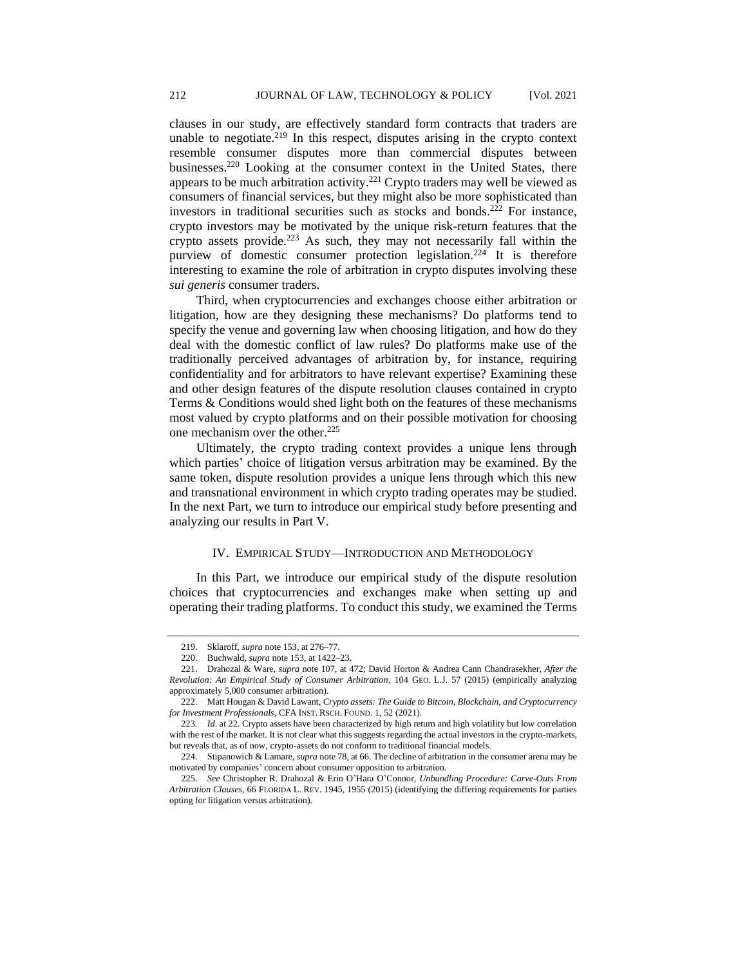clauses in our study, are effectively standard form contracts that traders are unable to negotiate.<sup>219</sup> In this respect, disputes arising in the crypto context resemble consumer disputes more than commercial disputes between businesses.<sup>220</sup> Looking at the consumer context in the United States, there appears to be much arbitration activity.<sup>221</sup> Crypto traders may well be viewed as consumers of financial services, but they might also be more sophisticated than investors in traditional securities such as stocks and bonds.<sup>222</sup> For instance, crypto investors may be motivated by the unique risk-return features that the crypto assets provide.<sup>223</sup> As such, they may not necessarily fall within the purview of domestic consumer protection legislation.<sup>224</sup> It is therefore interesting to examine the role of arbitration in crypto disputes involving these *sui generis* consumer traders.

Third, when cryptocurrencies and exchanges choose either arbitration or litigation, how are they designing these mechanisms? Do platforms tend to specify the venue and governing law when choosing litigation, and how do they deal with the domestic conflict of law rules? Do platforms make use of the traditionally perceived advantages of arbitration by, for instance, requiring confidentiality and for arbitrators to have relevant expertise? Examining these and other design features of the dispute resolution clauses contained in crypto Terms & Conditions would shed light both on the features of these mechanisms most valued by crypto platforms and on their possible motivation for choosing one mechanism over the other.<sup>225</sup>

Ultimately, the crypto trading context provides a unique lens through which parties' choice of litigation versus arbitration may be examined. By the same token, dispute resolution provides a unique lens through which this new and transnational environment in which crypto trading operates may be studied. In the next Part, we turn to introduce our empirical study before presenting and analyzing our results in Part V.

#### IV. EMPIRICAL STUDY––INTRODUCTION AND METHODOLOGY

In this Part, we introduce our empirical study of the dispute resolution choices that cryptocurrencies and exchanges make when setting up and operating their trading platforms. To conduct this study, we examined the Terms

<sup>219.</sup> Sklaroff, *supra* note 153, at 276–77.

<sup>220.</sup> Buchwald, *supra* note 153, at 1422–23.

<sup>221.</sup> Drahozal & Ware, *supra* note 107, at 472; David Horton & Andrea Cann Chandrasekher, *After the Revolution: An Empirical Study of Consumer Arbitration*, 104 GEO. L.J. 57 (2015) (empirically analyzing approximately 5,000 consumer arbitration).

<sup>222.</sup> Matt Hougan & David Lawant, *Crypto assets: The Guide to Bitcoin, Blockchain, and Cryptocurrency for Investment Professionals*, CFA INST. RSCH. FOUND. 1, 52 (2021).

<sup>223</sup>*. Id*. at 22. Crypto assets have been characterized by high return and high volatility but low correlation with the rest of the market. It is not clear what this suggests regarding the actual investors in the crypto-markets, but reveals that, as of now, crypto-assets do not conform to traditional financial models.

<sup>224.</sup> Stipanowich & Lamare, *supra* note 78, at 66. The decline of arbitration in the consumer arena may be motivated by companies' concern about consumer opposition to arbitration.

<sup>225</sup>*. See* Christopher R. Drahozal & Erin O'Hara O'Connor, *Unbundling Procedure: Carve-Outs From Arbitration Clauses*, 66 FLORIDA L. REV. 1945, 1955 (2015) (identifying the differing requirements for parties opting for litigation versus arbitration).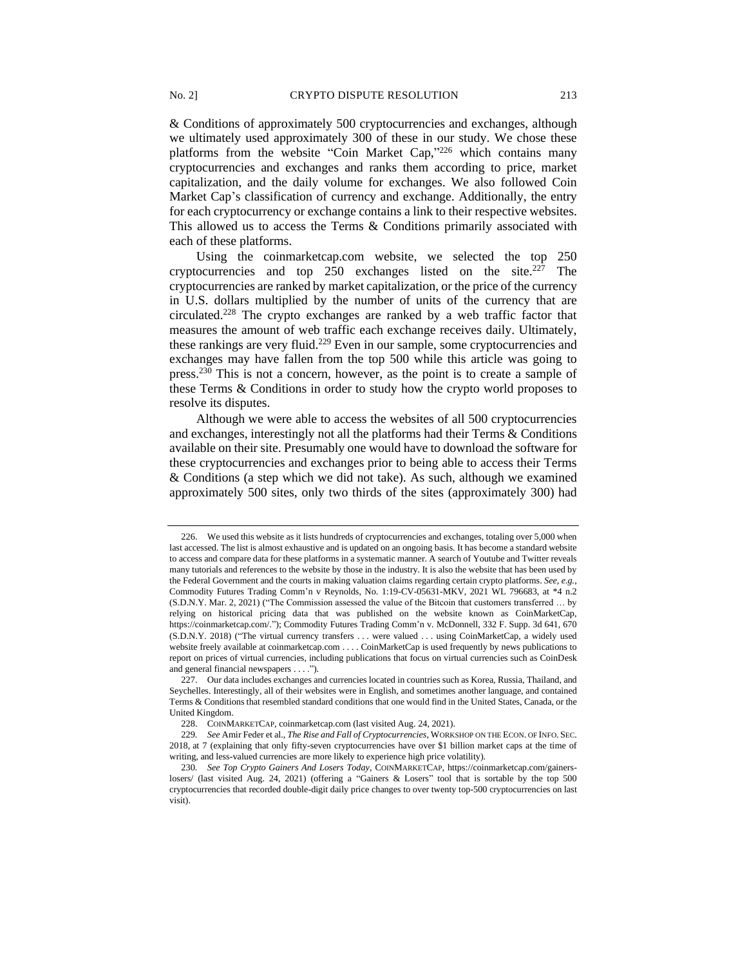& Conditions of approximately 500 cryptocurrencies and exchanges, although we ultimately used approximately 300 of these in our study. We chose these platforms from the website "Coin Market Cap,"<sup>226</sup> which contains many cryptocurrencies and exchanges and ranks them according to price, market capitalization, and the daily volume for exchanges. We also followed Coin Market Cap's classification of currency and exchange. Additionally, the entry for each cryptocurrency or exchange contains a link to their respective websites. This allowed us to access the Terms & Conditions primarily associated with each of these platforms.

Using the coinmarketcap.com website, we selected the top 250 cryptocurrencies and top  $250$  exchanges listed on the site.<sup>227</sup> The cryptocurrencies are ranked by market capitalization, or the price of the currency in U.S. dollars multiplied by the number of units of the currency that are circulated.<sup>228</sup> The crypto exchanges are ranked by a web traffic factor that measures the amount of web traffic each exchange receives daily. Ultimately, these rankings are very fluid.<sup>229</sup> Even in our sample, some cryptocurrencies and exchanges may have fallen from the top 500 while this article was going to press.<sup>230</sup> This is not a concern, however, as the point is to create a sample of these Terms & Conditions in order to study how the crypto world proposes to resolve its disputes.

Although we were able to access the websites of all 500 cryptocurrencies and exchanges, interestingly not all the platforms had their Terms & Conditions available on their site. Presumably one would have to download the software for these cryptocurrencies and exchanges prior to being able to access their Terms & Conditions (a step which we did not take). As such, although we examined approximately 500 sites, only two thirds of the sites (approximately 300) had

<sup>226.</sup> We used this website as it lists hundreds of cryptocurrencies and exchanges, totaling over 5,000 when last accessed. The list is almost exhaustive and is updated on an ongoing basis. It has become a standard website to access and compare data for these platforms in a systematic manner. A search of Youtube and Twitter reveals many tutorials and references to the website by those in the industry. It is also the website that has been used by the Federal Government and the courts in making valuation claims regarding certain crypto platforms. *See, e.g.*, Commodity Futures Trading Comm'n v Reynolds, No. 1:19-CV-05631-MKV, 2021 WL 796683, at \*4 n.2 (S.D.N.Y. Mar. 2, 2021) ("The Commission assessed the value of the Bitcoin that customers transferred … by relying on historical pricing data that was published on the website known as CoinMarketCap, https://coinmarketcap.com/."); Commodity Futures Trading Comm'n v. McDonnell, 332 F. Supp. 3d 641, 670 (S.D.N.Y. 2018) ("The virtual currency transfers . . . were valued . . . using CoinMarketCap, a widely used website freely available at coinmarketcap.com . . . . CoinMarketCap is used frequently by news publications to report on prices of virtual currencies, including publications that focus on virtual currencies such as CoinDesk and general financial newspapers . . . .").

<sup>227.</sup> Our data includes exchanges and currencies located in countries such as Korea, Russia, Thailand, and Seychelles. Interestingly, all of their websites were in English, and sometimes another language, and contained Terms & Conditions that resembled standard conditions that one would find in the United States, Canada, or the United Kingdom.

<sup>228.</sup> COINMARKETCAP, coinmarketcap.com (last visited Aug. 24, 2021).

<sup>229</sup>*. See* Amir Feder et al., *The Rise and Fall of Cryptocurrencies*, WORKSHOP ON THE ECON. OF INFO. SEC. 2018, at 7 (explaining that only fifty-seven cryptocurrencies have over \$1 billion market caps at the time of writing, and less-valued currencies are more likely to experience high price volatility).

<sup>230</sup>*. See Top Crypto Gainers And Losers Today*, COINMARKETCAP, https://coinmarketcap.com/gainerslosers/ (last visited Aug. 24, 2021) (offering a "Gainers & Losers" tool that is sortable by the top 500 cryptocurrencies that recorded double-digit daily price changes to over twenty top-500 cryptocurrencies on last visit).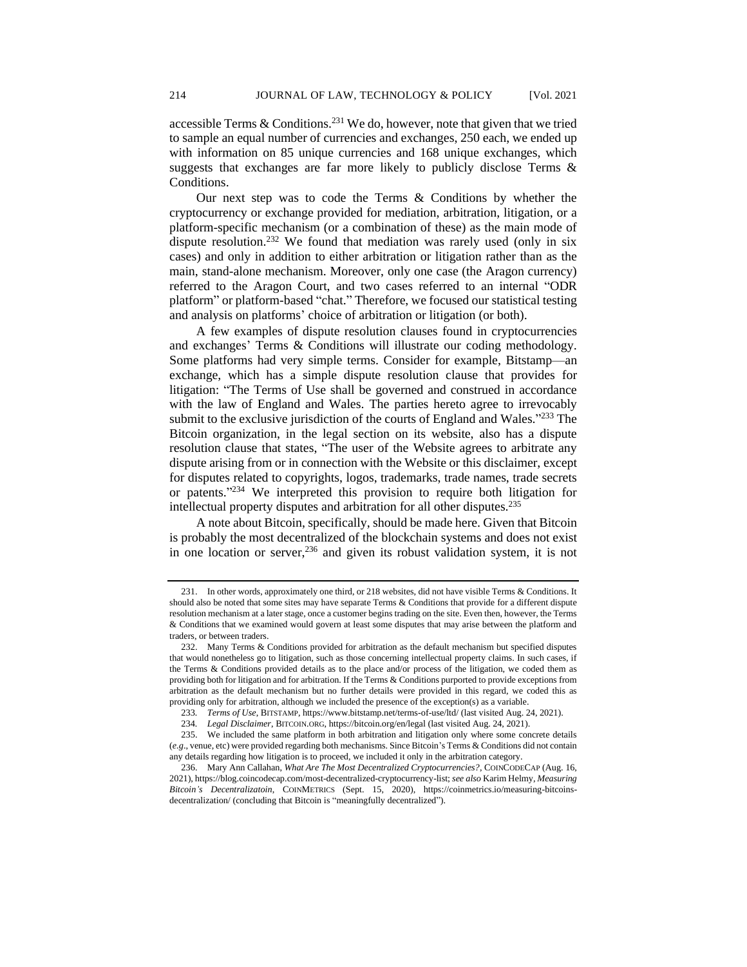accessible Terms  $&$  Conditions.<sup>231</sup> We do, however, note that given that we tried to sample an equal number of currencies and exchanges, 250 each, we ended up with information on 85 unique currencies and 168 unique exchanges, which suggests that exchanges are far more likely to publicly disclose Terms & Conditions.

Our next step was to code the Terms & Conditions by whether the cryptocurrency or exchange provided for mediation, arbitration, litigation, or a platform-specific mechanism (or a combination of these) as the main mode of dispute resolution.<sup>232</sup> We found that mediation was rarely used (only in six cases) and only in addition to either arbitration or litigation rather than as the main, stand-alone mechanism. Moreover, only one case (the Aragon currency) referred to the Aragon Court, and two cases referred to an internal "ODR platform" or platform-based "chat." Therefore, we focused our statistical testing and analysis on platforms' choice of arbitration or litigation (or both).

A few examples of dispute resolution clauses found in cryptocurrencies and exchanges' Terms & Conditions will illustrate our coding methodology. Some platforms had very simple terms. Consider for example, Bitstamp—an exchange, which has a simple dispute resolution clause that provides for litigation: "The Terms of Use shall be governed and construed in accordance with the law of England and Wales. The parties hereto agree to irrevocably submit to the exclusive jurisdiction of the courts of England and Wales."<sup>233</sup> The Bitcoin organization, in the legal section on its website, also has a dispute resolution clause that states, "The user of the Website agrees to arbitrate any dispute arising from or in connection with the Website or this disclaimer, except for disputes related to copyrights, logos, trademarks, trade names, trade secrets or patents." <sup>234</sup> We interpreted this provision to require both litigation for intellectual property disputes and arbitration for all other disputes.<sup>235</sup>

A note about Bitcoin, specifically, should be made here. Given that Bitcoin is probably the most decentralized of the blockchain systems and does not exist in one location or server,  $236$  and given its robust validation system, it is not

<sup>231.</sup> In other words, approximately one third, or 218 websites, did not have visible Terms & Conditions. It should also be noted that some sites may have separate Terms & Conditions that provide for a different dispute resolution mechanism at a later stage, once a customer begins trading on the site. Even then, however, the Terms & Conditions that we examined would govern at least some disputes that may arise between the platform and traders, or between traders.

<sup>232.</sup> Many Terms & Conditions provided for arbitration as the default mechanism but specified disputes that would nonetheless go to litigation, such as those concerning intellectual property claims. In such cases, if the Terms & Conditions provided details as to the place and/or process of the litigation, we coded them as providing both for litigation and for arbitration. If the Terms & Conditions purported to provide exceptions from arbitration as the default mechanism but no further details were provided in this regard, we coded this as providing only for arbitration, although we included the presence of the exception(s) as a variable.

<sup>233</sup>*. Terms of Use*, BITSTAMP, https://www.bitstamp.net/terms-of-use/ltd/ (last visited Aug. 24, 2021).

<sup>234</sup>*. Legal Disclaimer*, BITCOIN.ORG, https://bitcoin.org/en/legal (last visited Aug. 24, 2021).

<sup>235.</sup> We included the same platform in both arbitration and litigation only where some concrete details (*e.g*., venue, etc) were provided regarding both mechanisms. Since Bitcoin's Terms & Conditions did not contain any details regarding how litigation is to proceed, we included it only in the arbitration category.

<sup>236.</sup> Mary Ann Callahan, *What Are The Most Decentralized Cryptocurrencies?*, COINCODECAP (Aug. 16, 2021), https://blog.coincodecap.com/most-decentralized-cryptocurrency-list; *see also* Karim Helmy, *Measuring Bitcoin's Decentralizatoin*, COINMETRICS (Sept. 15, 2020), https://coinmetrics.io/measuring-bitcoinsdecentralization/ (concluding that Bitcoin is "meaningfully decentralized").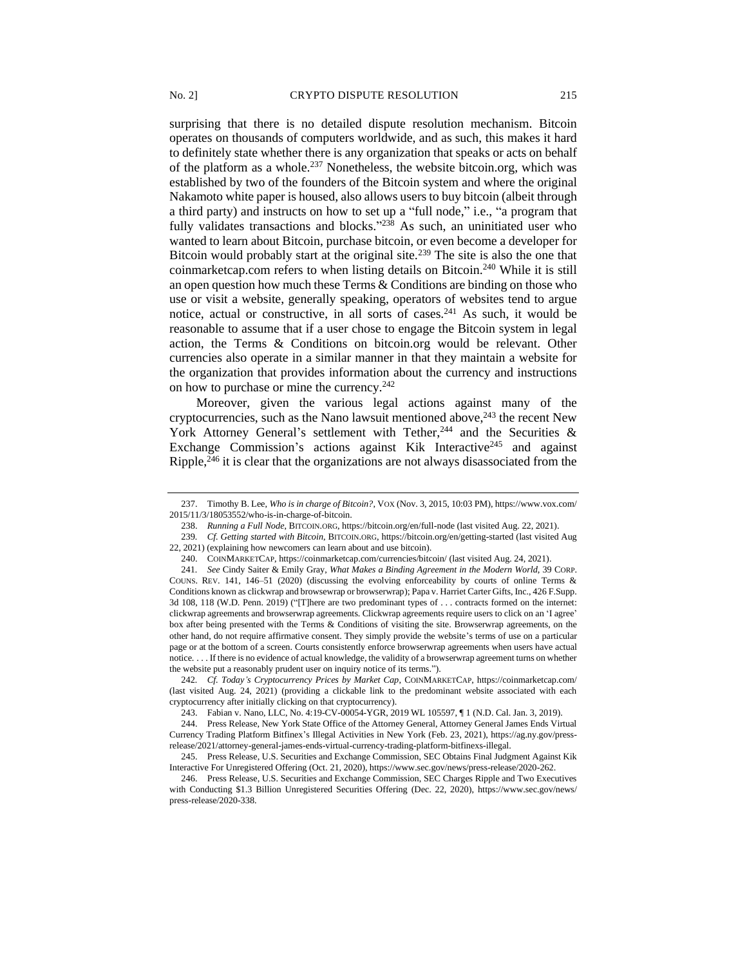surprising that there is no detailed dispute resolution mechanism. Bitcoin operates on thousands of computers worldwide, and as such, this makes it hard to definitely state whether there is any organization that speaks or acts on behalf of the platform as a whole.<sup>237</sup> Nonetheless, the website bitcoin.org, which was established by two of the founders of the Bitcoin system and where the original Nakamoto white paper is housed, also allows users to buy bitcoin (albeit through a third party) and instructs on how to set up a "full node," i.e., "a program that fully validates transactions and blocks."<sup>238</sup> As such, an uninitiated user who wanted to learn about Bitcoin, purchase bitcoin, or even become a developer for Bitcoin would probably start at the original site.<sup>239</sup> The site is also the one that coinmarketcap.com refers to when listing details on Bitcoin. <sup>240</sup> While it is still an open question how much these Terms & Conditions are binding on those who use or visit a website, generally speaking, operators of websites tend to argue notice, actual or constructive, in all sorts of cases.<sup>241</sup> As such, it would be reasonable to assume that if a user chose to engage the Bitcoin system in legal action, the Terms & Conditions on bitcoin.org would be relevant. Other currencies also operate in a similar manner in that they maintain a website for the organization that provides information about the currency and instructions on how to purchase or mine the currency.<sup>242</sup>

Moreover, given the various legal actions against many of the cryptocurrencies, such as the Nano lawsuit mentioned above,  $243$  the recent New York Attorney General's settlement with Tether,  $244$  and the Securities & Exchange Commission's actions against Kik Interactive<sup>245</sup> and against Ripple,  $246$  it is clear that the organizations are not always disassociated from the

<sup>237.</sup> Timothy B. Lee, *Who is in charge of Bitcoin?*, VOX (Nov. 3, 2015, 10:03 PM), https://www.vox.com/ 2015/11/3/18053552/who-is-in-charge-of-bitcoin.

<sup>238.</sup> *Running a Full Node*, BITCOIN.ORG, https://bitcoin.org/en/full-node (last visited Aug. 22, 2021).

<sup>239</sup>*. Cf. Getting started with Bitcoin*, BITCOIN.ORG, https://bitcoin.org/en/getting-started (last visited Aug 22, 2021) (explaining how newcomers can learn about and use bitcoin).

<sup>240.</sup> COINMARKETCAP, https://coinmarketcap.com/currencies/bitcoin/ (last visited Aug. 24, 2021).

<sup>241</sup>*. See* Cindy Saiter & Emily Gray, *What Makes a Binding Agreement in the Modern World*, 39 CORP. COUNS. REV. 141, 146–51 (2020) (discussing the evolving enforceability by courts of online Terms & Conditions known as clickwrap and browsewrap or browserwrap); Papa v. Harriet Carter Gifts, Inc., 426 F.Supp. 3d 108, 118 (W.D. Penn. 2019) ("[T]here are two predominant types of . . . contracts formed on the internet: clickwrap agreements and browserwrap agreements. Clickwrap agreements require users to click on an 'I agree' box after being presented with the Terms & Conditions of visiting the site. Browserwrap agreements, on the other hand, do not require affirmative consent. They simply provide the website's terms of use on a particular page or at the bottom of a screen. Courts consistently enforce browserwrap agreements when users have actual notice. . . . If there is no evidence of actual knowledge, the validity of a browserwrap agreement turns on whether the website put a reasonably prudent user on inquiry notice of its terms.").

<sup>242</sup>*. Cf. Today's Cryptocurrency Prices by Market Cap*, COINMARKETCAP, https://coinmarketcap.com/ (last visited Aug. 24, 2021) (providing a clickable link to the predominant website associated with each cryptocurrency after initially clicking on that cryptocurrency).

<sup>243.</sup> Fabian v. Nano, LLC, No. 4:19-CV-00054-YGR, 2019 WL 105597, ¶ 1 (N.D. Cal. Jan. 3, 2019).

<sup>244.</sup> Press Release, New York State Office of the Attorney General, Attorney General James Ends Virtual Currency Trading Platform Bitfinex's Illegal Activities in New York (Feb. 23, 2021), https://ag.ny.gov/pressrelease/2021/attorney-general-james-ends-virtual-currency-trading-platform-bitfinexs-illegal.

<sup>245.</sup> Press Release, U.S. Securities and Exchange Commission, SEC Obtains Final Judgment Against Kik Interactive For Unregistered Offering (Oct. 21, 2020), https://www.sec.gov/news/press-release/2020-262.

<sup>246.</sup> Press Release, U.S. Securities and Exchange Commission, SEC Charges Ripple and Two Executives with Conducting \$1.3 Billion Unregistered Securities Offering (Dec. 22, 2020), https://www.sec.gov/news/ press-release/2020-338.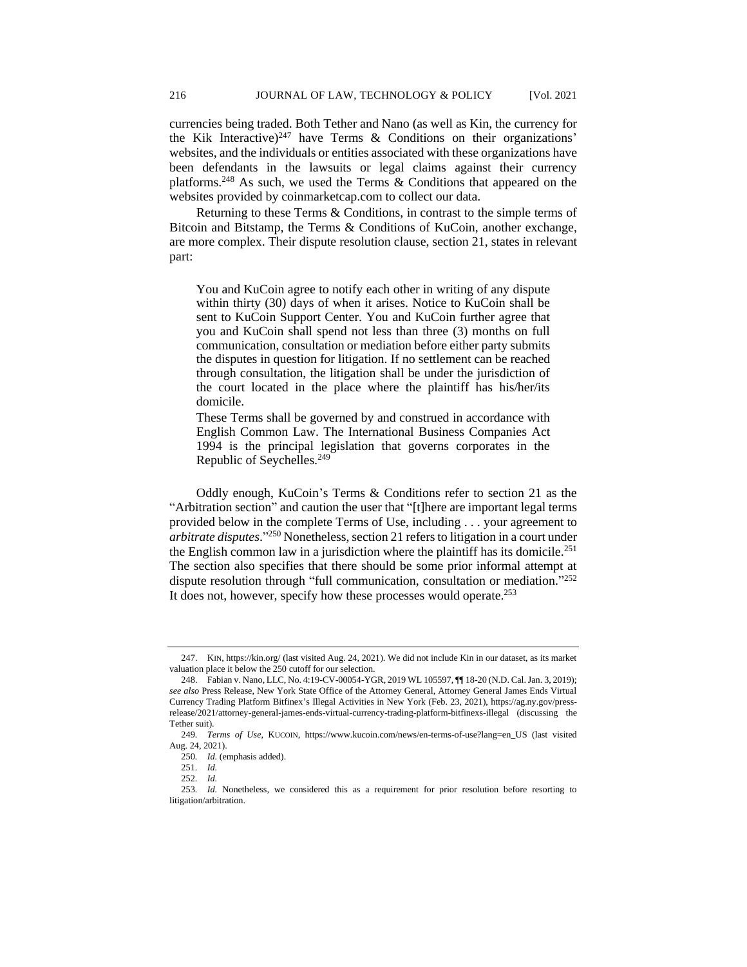currencies being traded. Both Tether and Nano (as well as Kin, the currency for the Kik Interactive)<sup>247</sup> have Terms  $\&$  Conditions on their organizations' websites, and the individuals or entities associated with these organizations have been defendants in the lawsuits or legal claims against their currency platforms. <sup>248</sup> As such, we used the Terms & Conditions that appeared on the websites provided by coinmarketcap.com to collect our data.

Returning to these Terms & Conditions, in contrast to the simple terms of Bitcoin and Bitstamp, the Terms & Conditions of KuCoin, another exchange, are more complex. Their dispute resolution clause, section 21, states in relevant part:

You and KuCoin agree to notify each other in writing of any dispute within thirty (30) days of when it arises. Notice to KuCoin shall be sent to KuCoin Support Center. You and KuCoin further agree that you and KuCoin shall spend not less than three (3) months on full communication, consultation or mediation before either party submits the disputes in question for litigation. If no settlement can be reached through consultation, the litigation shall be under the jurisdiction of the court located in the place where the plaintiff has his/her/its domicile.

These Terms shall be governed by and construed in accordance with English Common Law. The International Business Companies Act 1994 is the principal legislation that governs corporates in the Republic of Seychelles.<sup>249</sup>

Oddly enough, KuCoin's Terms & Conditions refer to section 21 as the "Arbitration section" and caution the user that "[t]here are important legal terms provided below in the complete Terms of Use, including . . . your agreement to *arbitrate disputes*." <sup>250</sup> Nonetheless, section 21 refers to litigation in a court under the English common law in a jurisdiction where the plaintiff has its domicile.<sup>251</sup> The section also specifies that there should be some prior informal attempt at dispute resolution through "full communication, consultation or mediation."252 It does not, however, specify how these processes would operate.<sup>253</sup>

<sup>247.</sup> KIN, https://kin.org/ (last visited Aug. 24, 2021). We did not include Kin in our dataset, as its market valuation place it below the 250 cutoff for our selection.

<sup>248.</sup> Fabian v. Nano, LLC, No. 4:19-CV-00054-YGR, 2019 WL 105597, ¶¶ 18-20 (N.D. Cal. Jan. 3, 2019); *see also* Press Release, New York State Office of the Attorney General, Attorney General James Ends Virtual Currency Trading Platform Bitfinex's Illegal Activities in New York (Feb. 23, 2021), https://ag.ny.gov/pressrelease/2021/attorney-general-james-ends-virtual-currency-trading-platform-bitfinexs-illegal (discussing the Tether suit).

<sup>249</sup>*. Terms of Use*, KUCOIN, https://www.kucoin.com/news/en-terms-of-use?lang=en\_US (last visited Aug. 24, 2021).

<sup>250</sup>*. Id.* (emphasis added).

<sup>251</sup>*. Id.*

<sup>252</sup>*. Id.*

<sup>253</sup>*. Id.* Nonetheless, we considered this as a requirement for prior resolution before resorting to litigation/arbitration.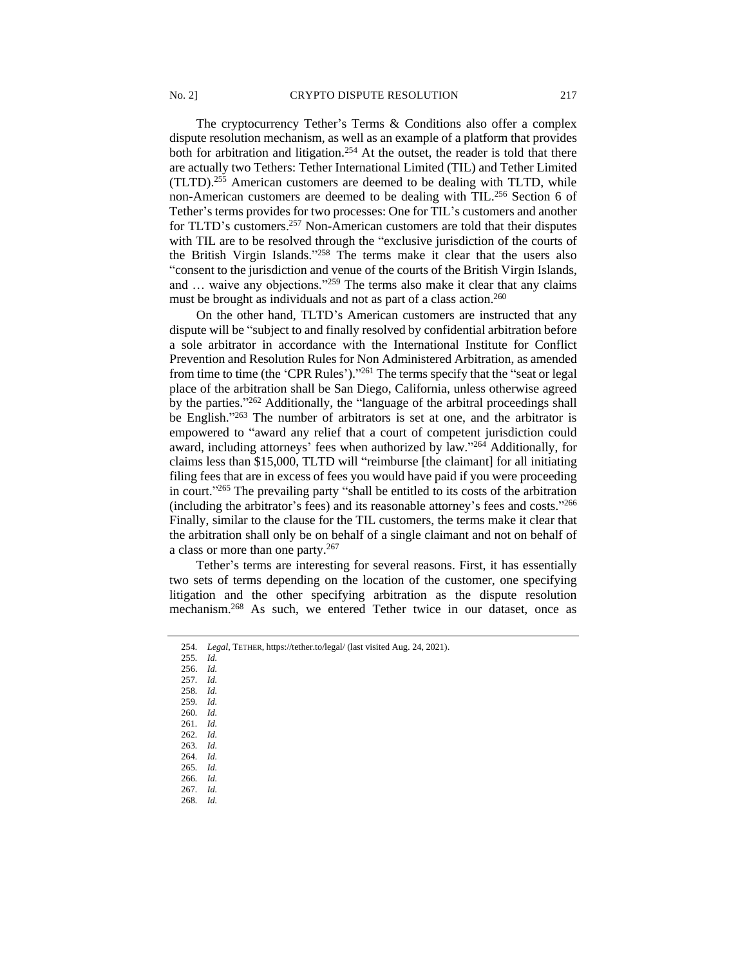The cryptocurrency Tether's Terms & Conditions also offer a complex dispute resolution mechanism, as well as an example of a platform that provides both for arbitration and litigation.<sup>254</sup> At the outset, the reader is told that there are actually two Tethers: Tether International Limited (TIL) and Tether Limited (TLTD).<sup>255</sup> American customers are deemed to be dealing with TLTD, while

non-American customers are deemed to be dealing with TIL.<sup>256</sup> Section 6 of Tether's terms provides for two processes: One for TIL's customers and another for TLTD's customers.<sup>257</sup> Non-American customers are told that their disputes with TIL are to be resolved through the "exclusive jurisdiction of the courts of the British Virgin Islands." <sup>258</sup> The terms make it clear that the users also "consent to the jurisdiction and venue of the courts of the British Virgin Islands, and ... waive any objections."<sup>259</sup> The terms also make it clear that any claims must be brought as individuals and not as part of a class action.<sup>260</sup>

On the other hand, TLTD's American customers are instructed that any dispute will be "subject to and finally resolved by confidential arbitration before a sole arbitrator in accordance with the International Institute for Conflict Prevention and Resolution Rules for Non Administered Arbitration, as amended from time to time (the 'CPR Rules')."<sup>261</sup> The terms specify that the "seat or legal place of the arbitration shall be San Diego, California, unless otherwise agreed by the parties."<sup>262</sup> Additionally, the "language of the arbitral proceedings shall be English." <sup>263</sup> The number of arbitrators is set at one, and the arbitrator is empowered to "award any relief that a court of competent jurisdiction could award, including attorneys' fees when authorized by law."<sup>264</sup> Additionally, for claims less than \$15,000, TLTD will "reimburse [the claimant] for all initiating filing fees that are in excess of fees you would have paid if you were proceeding in court." <sup>265</sup> The prevailing party "shall be entitled to its costs of the arbitration (including the arbitrator's fees) and its reasonable attorney's fees and costs." 266 Finally, similar to the clause for the TIL customers, the terms make it clear that the arbitration shall only be on behalf of a single claimant and not on behalf of a class or more than one party.<sup>267</sup>

Tether's terms are interesting for several reasons. First, it has essentially two sets of terms depending on the location of the customer, one specifying litigation and the other specifying arbitration as the dispute resolution mechanism.<sup>268</sup> As such, we entered Tether twice in our dataset, once as

- 255*. Id.* 256. *Id.*
- 257*. Id.*
- 258*. Id.*
- 259*. Id.*
- 260*. Id.*
- 261*. Id.*
- 262*. Id.*
- 263*. Id.*
- 264*. Id.*
- 265*. Id.*
- 266*. Id.*
- 267*. Id.* 268*. Id.*

<sup>254</sup>*. Legal*, TETHER, https://tether.to/legal/ (last visited Aug. 24, 2021).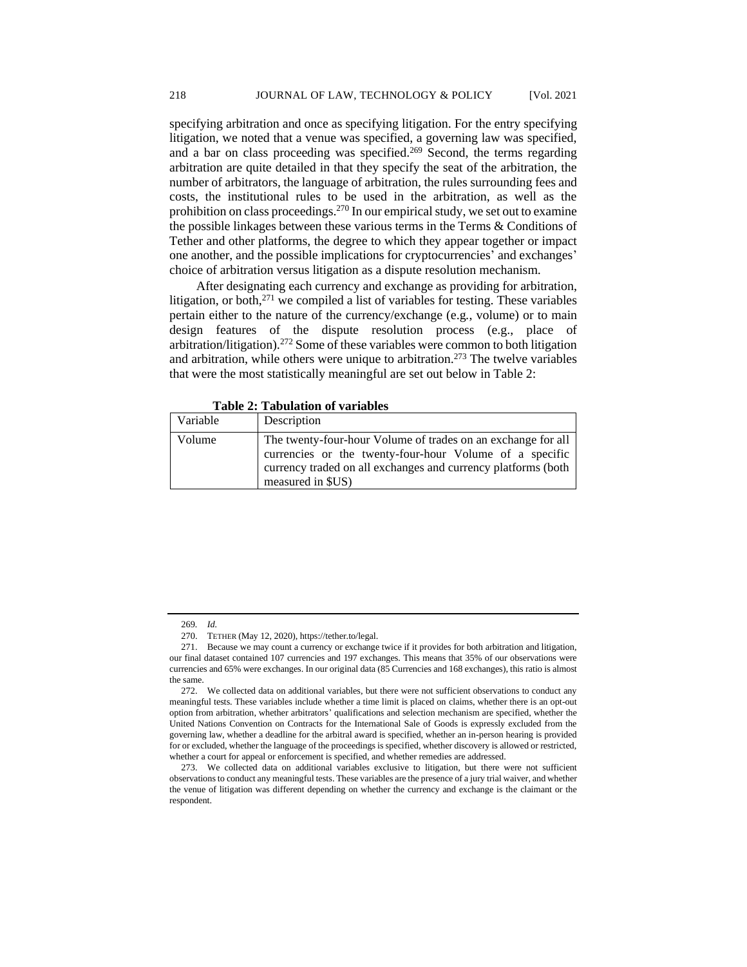specifying arbitration and once as specifying litigation. For the entry specifying litigation, we noted that a venue was specified, a governing law was specified, and a bar on class proceeding was specified.<sup>269</sup> Second, the terms regarding arbitration are quite detailed in that they specify the seat of the arbitration, the number of arbitrators, the language of arbitration, the rules surrounding fees and costs, the institutional rules to be used in the arbitration, as well as the prohibition on class proceedings.<sup>270</sup> In our empirical study, we set out to examine the possible linkages between these various terms in the Terms & Conditions of Tether and other platforms, the degree to which they appear together or impact one another, and the possible implications for cryptocurrencies' and exchanges' choice of arbitration versus litigation as a dispute resolution mechanism.

After designating each currency and exchange as providing for arbitration, litigation, or both, $271$  we compiled a list of variables for testing. These variables pertain either to the nature of the currency/exchange (e.g*.*, volume) or to main design features of the dispute resolution process (e.g., place of arbitration/litigation).<sup>272</sup> Some of these variables were common to both litigation and arbitration, while others were unique to arbitration.<sup>273</sup> The twelve variables that were the most statistically meaningful are set out below in Table 2:

| Variable | Description                                                                                                                                                                                                   |
|----------|---------------------------------------------------------------------------------------------------------------------------------------------------------------------------------------------------------------|
| Volume   | The twenty-four-hour Volume of trades on an exchange for all<br>currencies or the twenty-four-hour Volume of a specific<br>currency traded on all exchanges and currency platforms (both<br>measured in \$US) |

**Table 2: Tabulation of variables** 

<sup>269</sup>*. Id.*

<sup>270.</sup> TETHER (May 12, 2020), https://tether.to/legal.

<sup>271.</sup> Because we may count a currency or exchange twice if it provides for both arbitration and litigation, our final dataset contained 107 currencies and 197 exchanges. This means that 35% of our observations were currencies and 65% were exchanges. In our original data (85 Currencies and 168 exchanges), this ratio is almost the same.

<sup>272.</sup> We collected data on additional variables, but there were not sufficient observations to conduct any meaningful tests. These variables include whether a time limit is placed on claims, whether there is an opt-out option from arbitration, whether arbitrators' qualifications and selection mechanism are specified, whether the United Nations Convention on Contracts for the International Sale of Goods is expressly excluded from the governing law, whether a deadline for the arbitral award is specified, whether an in-person hearing is provided for or excluded, whether the language of the proceedings is specified, whether discovery is allowed or restricted, whether a court for appeal or enforcement is specified, and whether remedies are addressed.

<sup>273.</sup> We collected data on additional variables exclusive to litigation, but there were not sufficient observations to conduct any meaningful tests. These variables are the presence of a jury trial waiver, and whether the venue of litigation was different depending on whether the currency and exchange is the claimant or the respondent.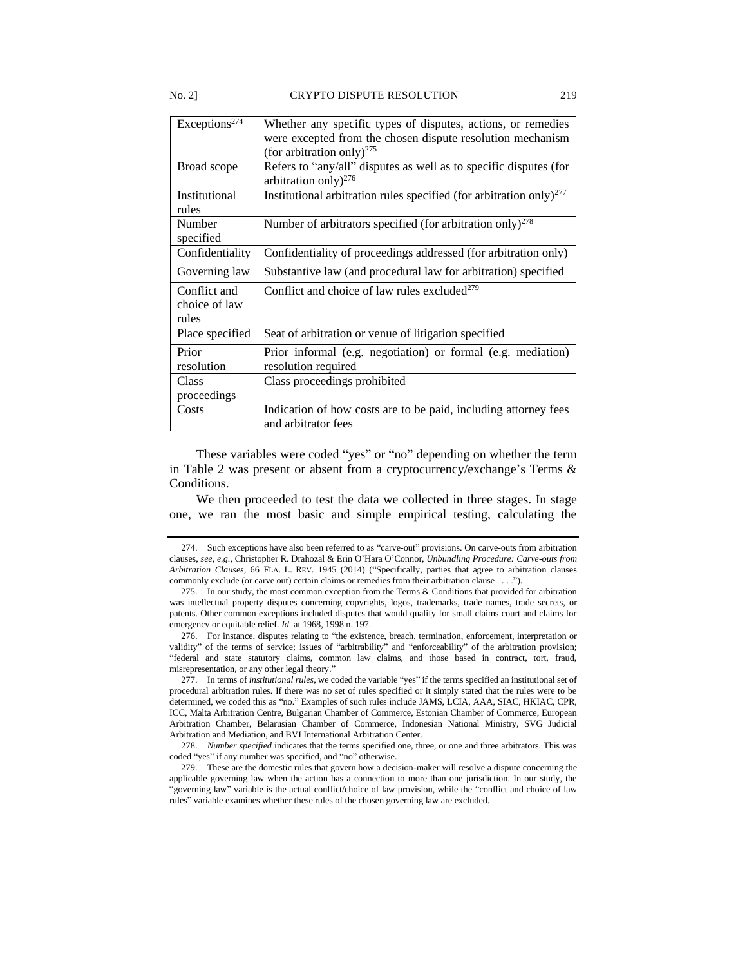#### No. 2] CRYPTO DISPUTE RESOLUTION 219

| Exceptions <sup>274</sup>              | Whether any specific types of disputes, actions, or remedies<br>were excepted from the chosen dispute resolution mechanism<br>(for arbitration only) <sup>275</sup> |
|----------------------------------------|---------------------------------------------------------------------------------------------------------------------------------------------------------------------|
| Broad scope                            | Refers to "any/all" disputes as well as to specific disputes (for<br>arbitration only) <sup>276</sup>                                                               |
| Institutional<br>rules                 | Institutional arbitration rules specified (for arbitration only) <sup>277</sup>                                                                                     |
| Number<br>specified                    | Number of arbitrators specified (for arbitration only) <sup>278</sup>                                                                                               |
| Confidentiality                        | Confidentiality of proceedings addressed (for arbitration only)                                                                                                     |
| Governing law                          | Substantive law (and procedural law for arbitration) specified                                                                                                      |
| Conflict and<br>choice of law<br>rules | Conflict and choice of law rules excluded <sup>279</sup>                                                                                                            |
| Place specified                        | Seat of arbitration or venue of litigation specified                                                                                                                |
| Prior<br>resolution                    | Prior informal (e.g. negotiation) or formal (e.g. mediation)<br>resolution required                                                                                 |
| Class<br>proceedings                   | Class proceedings prohibited                                                                                                                                        |
| Costs                                  | Indication of how costs are to be paid, including attorney fees<br>and arbitrator fees                                                                              |

These variables were coded "yes" or "no" depending on whether the term in Table 2 was present or absent from a cryptocurrency/exchange's Terms & Conditions.

We then proceeded to test the data we collected in three stages. In stage one, we ran the most basic and simple empirical testing, calculating the

<sup>274.</sup> Such exceptions have also been referred to as "carve-out" provisions. On carve-outs from arbitration clauses, *see, e.g.,* Christopher R. Drahozal & Erin O'Hara O'Connor, *Unbundling Procedure: Carve-outs from Arbitration Clauses*, 66 FLA. L. REV. 1945 (2014) ("Specifically, parties that agree to arbitration clauses commonly exclude (or carve out) certain claims or remedies from their arbitration clause . . . .").

<sup>275.</sup> In our study, the most common exception from the Terms & Conditions that provided for arbitration was intellectual property disputes concerning copyrights, logos, trademarks, trade names, trade secrets, or patents. Other common exceptions included disputes that would qualify for small claims court and claims for emergency or equitable relief. *Id.* at 1968, 1998 n. 197.

<sup>276.</sup> For instance, disputes relating to "the existence, breach, termination, enforcement, interpretation or validity" of the terms of service; issues of "arbitrability" and "enforceability" of the arbitration provision; "federal and state statutory claims, common law claims, and those based in contract, tort, fraud, misrepresentation, or any other legal theory."

<sup>277.</sup> In terms of *institutional rules*, we coded the variable "yes" if the terms specified an institutional set of procedural arbitration rules. If there was no set of rules specified or it simply stated that the rules were to be determined, we coded this as "no." Examples of such rules include JAMS, LCIA, AAA, SIAC, HKIAC, CPR, ICC, Malta Arbitration Centre, Bulgarian Chamber of Commerce, Estonian Chamber of Commerce, European Arbitration Chamber, Belarusian Chamber of Commerce, Indonesian National Ministry, SVG Judicial Arbitration and Mediation, and BVI International Arbitration Center.

<sup>278.</sup> *Number specified* indicates that the terms specified one, three, or one and three arbitrators. This was coded "yes" if any number was specified, and "no" otherwise.

<sup>279.</sup> These are the domestic rules that govern how a decision-maker will resolve a dispute concerning the applicable governing law when the action has a connection to more than one jurisdiction. In our study, the "governing law" variable is the actual conflict/choice of law provision, while the "conflict and choice of law rules" variable examines whether these rules of the chosen governing law are excluded.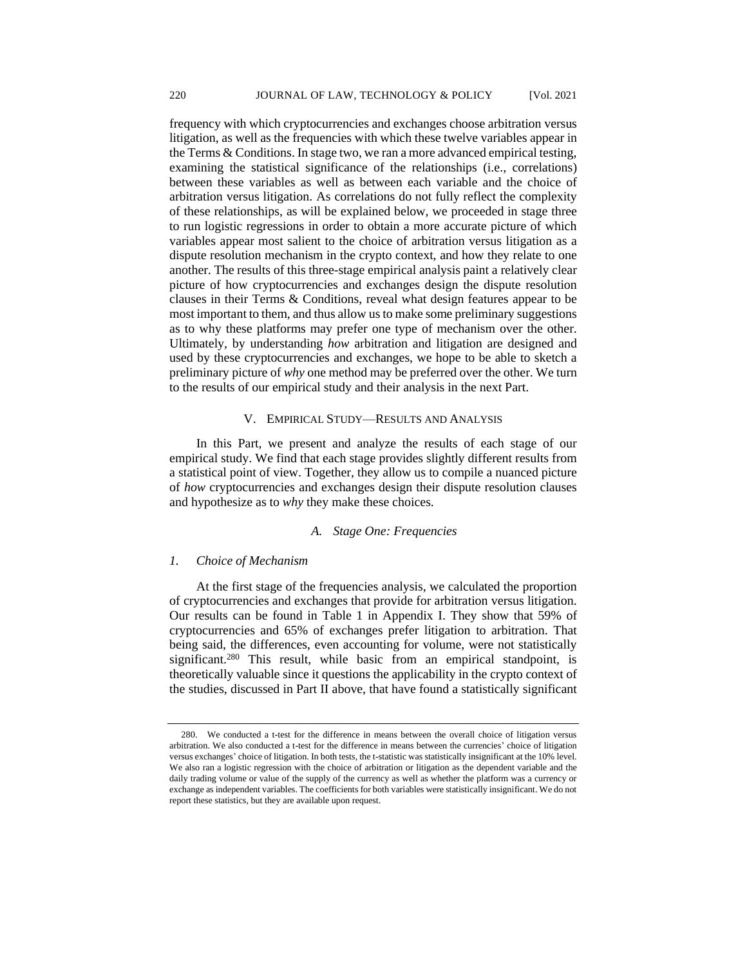frequency with which cryptocurrencies and exchanges choose arbitration versus litigation, as well as the frequencies with which these twelve variables appear in the Terms & Conditions. In stage two, we ran a more advanced empirical testing, examining the statistical significance of the relationships (i.e., correlations) between these variables as well as between each variable and the choice of arbitration versus litigation. As correlations do not fully reflect the complexity of these relationships, as will be explained below, we proceeded in stage three to run logistic regressions in order to obtain a more accurate picture of which variables appear most salient to the choice of arbitration versus litigation as a dispute resolution mechanism in the crypto context, and how they relate to one another. The results of this three-stage empirical analysis paint a relatively clear picture of how cryptocurrencies and exchanges design the dispute resolution clauses in their Terms & Conditions, reveal what design features appear to be most important to them, and thus allow us to make some preliminary suggestions as to why these platforms may prefer one type of mechanism over the other. Ultimately, by understanding *how* arbitration and litigation are designed and used by these cryptocurrencies and exchanges, we hope to be able to sketch a preliminary picture of *why* one method may be preferred over the other. We turn to the results of our empirical study and their analysis in the next Part.

#### V. EMPIRICAL STUDY––RESULTS AND ANALYSIS

In this Part, we present and analyze the results of each stage of our empirical study. We find that each stage provides slightly different results from a statistical point of view. Together, they allow us to compile a nuanced picture of *how* cryptocurrencies and exchanges design their dispute resolution clauses and hypothesize as to *why* they make these choices.

#### *A. Stage One: Frequencies*

#### *1. Choice of Mechanism*

At the first stage of the frequencies analysis, we calculated the proportion of cryptocurrencies and exchanges that provide for arbitration versus litigation. Our results can be found in Table 1 in Appendix I. They show that 59% of cryptocurrencies and 65% of exchanges prefer litigation to arbitration. That being said, the differences, even accounting for volume, were not statistically significant.<sup>280</sup> This result, while basic from an empirical standpoint, is theoretically valuable since it questions the applicability in the crypto context of the studies, discussed in Part II above, that have found a statistically significant

We conducted a t-test for the difference in means between the overall choice of litigation versus arbitration. We also conducted a t-test for the difference in means between the currencies' choice of litigation versus exchanges' choice of litigation. In both tests, the t-statistic was statistically insignificant at the 10% level. We also ran a logistic regression with the choice of arbitration or litigation as the dependent variable and the daily trading volume or value of the supply of the currency as well as whether the platform was a currency or exchange as independent variables. The coefficients for both variables were statistically insignificant. We do not report these statistics, but they are available upon request.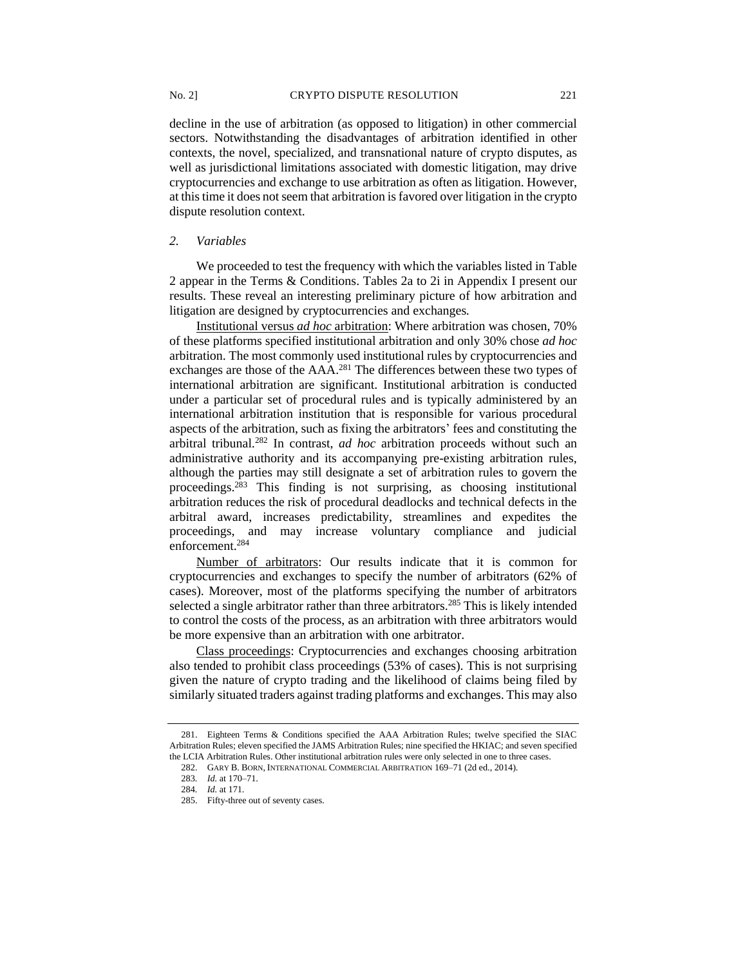decline in the use of arbitration (as opposed to litigation) in other commercial sectors. Notwithstanding the disadvantages of arbitration identified in other contexts, the novel, specialized, and transnational nature of crypto disputes, as well as jurisdictional limitations associated with domestic litigation, may drive cryptocurrencies and exchange to use arbitration as often as litigation. However, at this time it does not seem that arbitration is favored over litigation in the crypto dispute resolution context.

#### *2. Variables*

We proceeded to test the frequency with which the variables listed in Table 2 appear in the Terms & Conditions. Tables 2a to 2i in Appendix I present our results. These reveal an interesting preliminary picture of how arbitration and litigation are designed by cryptocurrencies and exchanges.

Institutional versus *ad hoc* arbitration: Where arbitration was chosen, 70% of these platforms specified institutional arbitration and only 30% chose *ad hoc* arbitration. The most commonly used institutional rules by cryptocurrencies and exchanges are those of the AAA.<sup>281</sup> The differences between these two types of international arbitration are significant. Institutional arbitration is conducted under a particular set of procedural rules and is typically administered by an international arbitration institution that is responsible for various procedural aspects of the arbitration, such as fixing the arbitrators' fees and constituting the arbitral tribunal.<sup>282</sup> In contrast, *ad hoc* arbitration proceeds without such an administrative authority and its accompanying pre-existing arbitration rules, although the parties may still designate a set of arbitration rules to govern the proceedings.<sup>283</sup> This finding is not surprising, as choosing institutional arbitration reduces the risk of procedural deadlocks and technical defects in the arbitral award, increases predictability, streamlines and expedites the proceedings, and may increase voluntary compliance and judicial enforcement.<sup>284</sup>

Number of arbitrators: Our results indicate that it is common for cryptocurrencies and exchanges to specify the number of arbitrators (62% of cases). Moreover, most of the platforms specifying the number of arbitrators selected a single arbitrator rather than three arbitrators.<sup>285</sup> This is likely intended to control the costs of the process, as an arbitration with three arbitrators would be more expensive than an arbitration with one arbitrator.

Class proceedings: Cryptocurrencies and exchanges choosing arbitration also tended to prohibit class proceedings (53% of cases). This is not surprising given the nature of crypto trading and the likelihood of claims being filed by similarly situated traders against trading platforms and exchanges. This may also

<sup>281.</sup> Eighteen Terms & Conditions specified the AAA Arbitration Rules; twelve specified the SIAC Arbitration Rules; eleven specified the JAMS Arbitration Rules; nine specified the HKIAC; and seven specified the LCIA Arbitration Rules. Other institutional arbitration rules were only selected in one to three cases.

<sup>282.</sup> GARY B. BORN, INTERNATIONAL COMMERCIAL ARBITRATION 169–71 (2d ed., 2014).

<sup>283</sup>*. Id.* at 170–71.

<sup>284</sup>*. Id.* at 171.

<sup>285.</sup> Fifty-three out of seventy cases.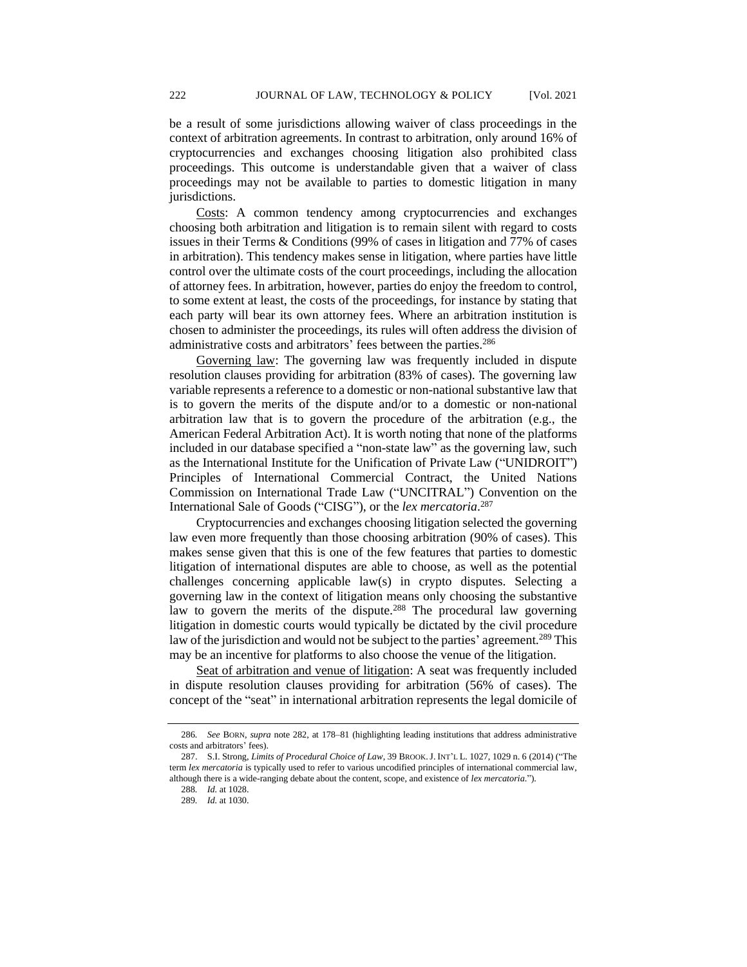be a result of some jurisdictions allowing waiver of class proceedings in the context of arbitration agreements. In contrast to arbitration, only around 16% of cryptocurrencies and exchanges choosing litigation also prohibited class proceedings. This outcome is understandable given that a waiver of class proceedings may not be available to parties to domestic litigation in many jurisdictions.

Costs: A common tendency among cryptocurrencies and exchanges choosing both arbitration and litigation is to remain silent with regard to costs issues in their Terms & Conditions (99% of cases in litigation and 77% of cases in arbitration). This tendency makes sense in litigation, where parties have little control over the ultimate costs of the court proceedings, including the allocation of attorney fees. In arbitration, however, parties do enjoy the freedom to control, to some extent at least, the costs of the proceedings, for instance by stating that each party will bear its own attorney fees. Where an arbitration institution is chosen to administer the proceedings, its rules will often address the division of administrative costs and arbitrators' fees between the parties.<sup>286</sup>

Governing law: The governing law was frequently included in dispute resolution clauses providing for arbitration (83% of cases). The governing law variable represents a reference to a domestic or non-national substantive law that is to govern the merits of the dispute and/or to a domestic or non-national arbitration law that is to govern the procedure of the arbitration (e.g., the American Federal Arbitration Act). It is worth noting that none of the platforms included in our database specified a "non-state law" as the governing law, such as the International Institute for the Unification of Private Law ("UNIDROIT") Principles of International Commercial Contract, the United Nations Commission on International Trade Law ("UNCITRAL") Convention on the International Sale of Goods ("CISG"), or the *lex mercatoria*. 287

Cryptocurrencies and exchanges choosing litigation selected the governing law even more frequently than those choosing arbitration (90% of cases). This makes sense given that this is one of the few features that parties to domestic litigation of international disputes are able to choose, as well as the potential challenges concerning applicable law(s) in crypto disputes. Selecting a governing law in the context of litigation means only choosing the substantive law to govern the merits of the dispute.<sup>288</sup> The procedural law governing litigation in domestic courts would typically be dictated by the civil procedure law of the jurisdiction and would not be subject to the parties' agreement.<sup>289</sup> This may be an incentive for platforms to also choose the venue of the litigation.

Seat of arbitration and venue of litigation: A seat was frequently included in dispute resolution clauses providing for arbitration (56% of cases). The concept of the "seat" in international arbitration represents the legal domicile of

<sup>286</sup>*. See* BORN, *supra* note 282, at 178–81 (highlighting leading institutions that address administrative costs and arbitrators' fees).

<sup>287.</sup> S.I. Strong, *Limits of Procedural Choice of Law*, 39 BROOK.J. INT'L L. 1027, 1029 n. 6 (2014) ("The term *lex mercatoria* is typically used to refer to various uncodified principles of international commercial law, although there is a wide-ranging debate about the content, scope, and existence of *lex mercatoria*.").

<sup>288</sup>*. Id.* at 1028.

<sup>289</sup>*. Id.* at 1030.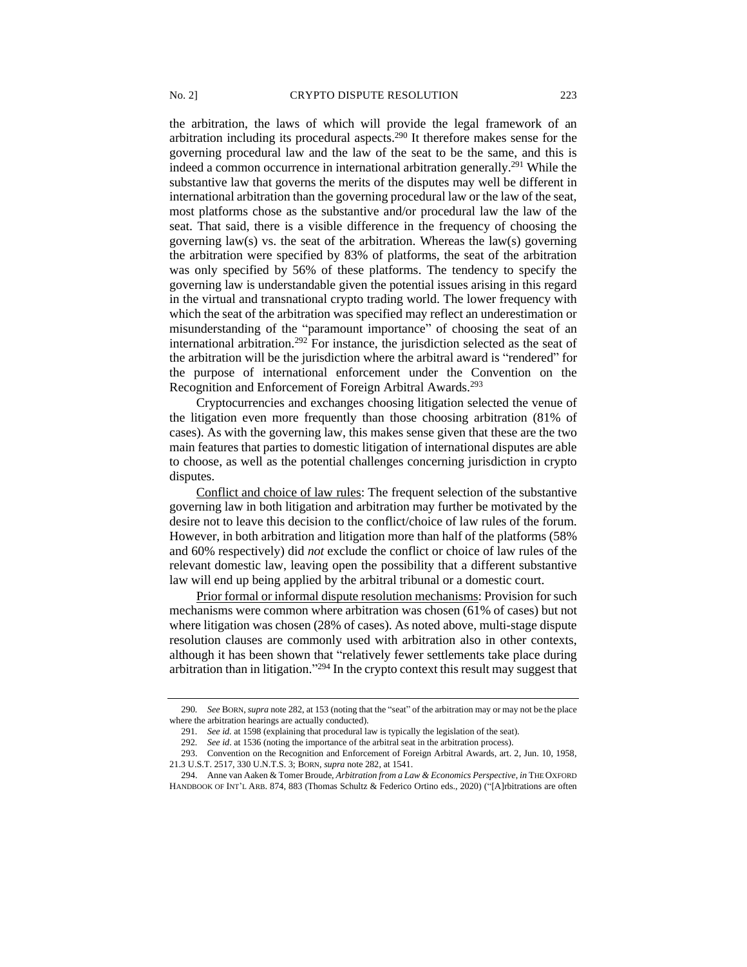the arbitration, the laws of which will provide the legal framework of an arbitration including its procedural aspects.<sup>290</sup> It therefore makes sense for the governing procedural law and the law of the seat to be the same, and this is indeed a common occurrence in international arbitration generally.<sup>291</sup> While the substantive law that governs the merits of the disputes may well be different in international arbitration than the governing procedural law or the law of the seat, most platforms chose as the substantive and/or procedural law the law of the seat. That said, there is a visible difference in the frequency of choosing the governing law(s) vs. the seat of the arbitration. Whereas the law(s) governing the arbitration were specified by 83% of platforms, the seat of the arbitration was only specified by 56% of these platforms. The tendency to specify the governing law is understandable given the potential issues arising in this regard in the virtual and transnational crypto trading world. The lower frequency with which the seat of the arbitration was specified may reflect an underestimation or misunderstanding of the "paramount importance" of choosing the seat of an international arbitration.<sup>292</sup> For instance, the jurisdiction selected as the seat of the arbitration will be the jurisdiction where the arbitral award is "rendered" for the purpose of international enforcement under the Convention on the Recognition and Enforcement of Foreign Arbitral Awards.<sup>293</sup>

Cryptocurrencies and exchanges choosing litigation selected the venue of the litigation even more frequently than those choosing arbitration (81% of cases). As with the governing law, this makes sense given that these are the two main features that parties to domestic litigation of international disputes are able to choose, as well as the potential challenges concerning jurisdiction in crypto disputes.

Conflict and choice of law rules: The frequent selection of the substantive governing law in both litigation and arbitration may further be motivated by the desire not to leave this decision to the conflict/choice of law rules of the forum. However, in both arbitration and litigation more than half of the platforms (58% and 60% respectively) did *not* exclude the conflict or choice of law rules of the relevant domestic law, leaving open the possibility that a different substantive law will end up being applied by the arbitral tribunal or a domestic court.

Prior formal or informal dispute resolution mechanisms: Provision for such mechanisms were common where arbitration was chosen (61% of cases) but not where litigation was chosen (28% of cases). As noted above, multi-stage dispute resolution clauses are commonly used with arbitration also in other contexts, although it has been shown that "relatively fewer settlements take place during arbitration than in litigation."<sup>294</sup> In the crypto context this result may suggest that

<sup>290</sup>*. See* BORN, *supra* note 282, at 153 (noting that the "seat" of the arbitration may or may not be the place where the arbitration hearings are actually conducted).

<sup>291</sup>*. See id.* at 1598 (explaining that procedural law is typically the legislation of the seat).

<sup>292</sup>*. See id*. at 1536 (noting the importance of the arbitral seat in the arbitration process).

<sup>293.</sup> Convention on the Recognition and Enforcement of Foreign Arbitral Awards, art. 2, Jun. 10, 1958, 21.3 U.S.T. 2517, 330 U.N.T.S. 3; BORN, *supra* note 282, at 1541.

<sup>294.</sup> Anne van Aaken & Tomer Broude, *Arbitration from a Law & Economics Perspective*, *in* THE OXFORD HANDBOOK OF INT'L ARB. 874, 883 (Thomas Schultz & Federico Ortino eds., 2020) ("[A]rbitrations are often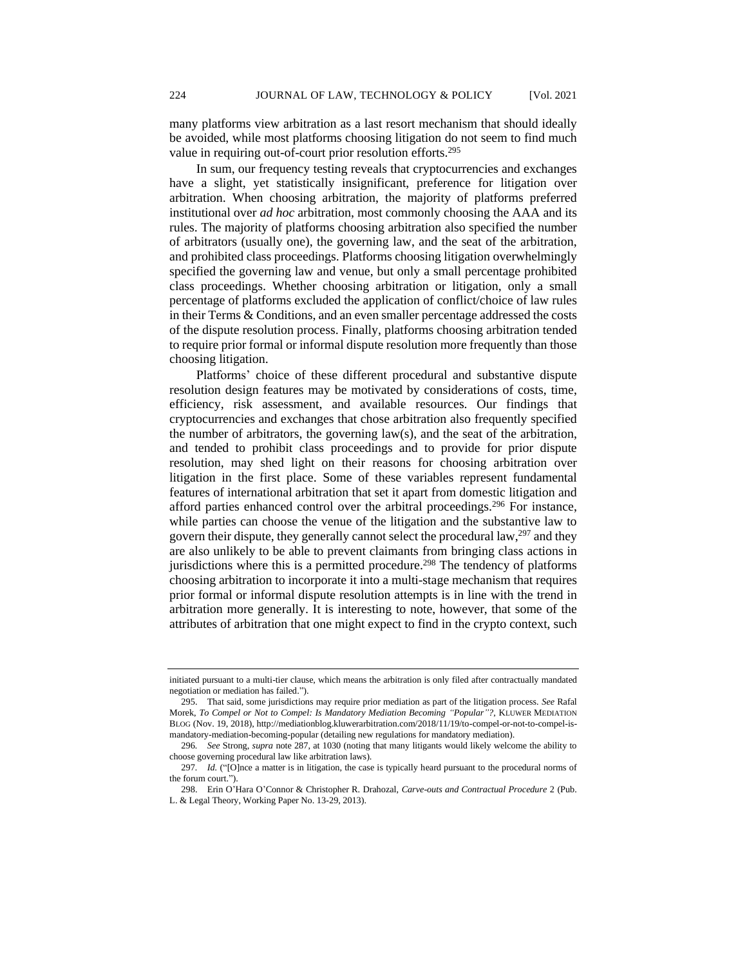many platforms view arbitration as a last resort mechanism that should ideally be avoided, while most platforms choosing litigation do not seem to find much value in requiring out-of-court prior resolution efforts.<sup>295</sup>

In sum, our frequency testing reveals that cryptocurrencies and exchanges have a slight, yet statistically insignificant, preference for litigation over arbitration. When choosing arbitration, the majority of platforms preferred institutional over *ad hoc* arbitration, most commonly choosing the AAA and its rules. The majority of platforms choosing arbitration also specified the number of arbitrators (usually one), the governing law, and the seat of the arbitration, and prohibited class proceedings. Platforms choosing litigation overwhelmingly specified the governing law and venue, but only a small percentage prohibited class proceedings. Whether choosing arbitration or litigation, only a small percentage of platforms excluded the application of conflict/choice of law rules in their Terms & Conditions, and an even smaller percentage addressed the costs of the dispute resolution process. Finally, platforms choosing arbitration tended to require prior formal or informal dispute resolution more frequently than those choosing litigation.

Platforms' choice of these different procedural and substantive dispute resolution design features may be motivated by considerations of costs, time, efficiency, risk assessment, and available resources. Our findings that cryptocurrencies and exchanges that chose arbitration also frequently specified the number of arbitrators, the governing law(s), and the seat of the arbitration, and tended to prohibit class proceedings and to provide for prior dispute resolution, may shed light on their reasons for choosing arbitration over litigation in the first place. Some of these variables represent fundamental features of international arbitration that set it apart from domestic litigation and afford parties enhanced control over the arbitral proceedings.<sup>296</sup> For instance, while parties can choose the venue of the litigation and the substantive law to govern their dispute, they generally cannot select the procedural law, $297$  and they are also unlikely to be able to prevent claimants from bringing class actions in jurisdictions where this is a permitted procedure.<sup>298</sup> The tendency of platforms choosing arbitration to incorporate it into a multi-stage mechanism that requires prior formal or informal dispute resolution attempts is in line with the trend in arbitration more generally. It is interesting to note, however, that some of the attributes of arbitration that one might expect to find in the crypto context, such

initiated pursuant to a multi-tier clause, which means the arbitration is only filed after contractually mandated negotiation or mediation has failed.").

<sup>295.</sup> That said, some jurisdictions may require prior mediation as part of the litigation process. *See* Rafal Morek, *To Compel or Not to Compel: Is Mandatory Mediation Becoming "Popular"?*, KLUWER MEDIATION BLOG (Nov. 19, 2018), http://mediationblog.kluwerarbitration.com/2018/11/19/to-compel-or-not-to-compel-ismandatory-mediation-becoming-popular (detailing new regulations for mandatory mediation).

<sup>296</sup>*. See* Strong, *supra* note 287, at 1030 (noting that many litigants would likely welcome the ability to choose governing procedural law like arbitration laws).

<sup>297</sup>*. Id.* ("[O]nce a matter is in litigation, the case is typically heard pursuant to the procedural norms of the forum court.").

<sup>298.</sup> Erin O'Hara O'Connor & Christopher R. Drahozal, *Carve-outs and Contractual Procedure* 2 (Pub. L. & Legal Theory, Working Paper No. 13-29, 2013).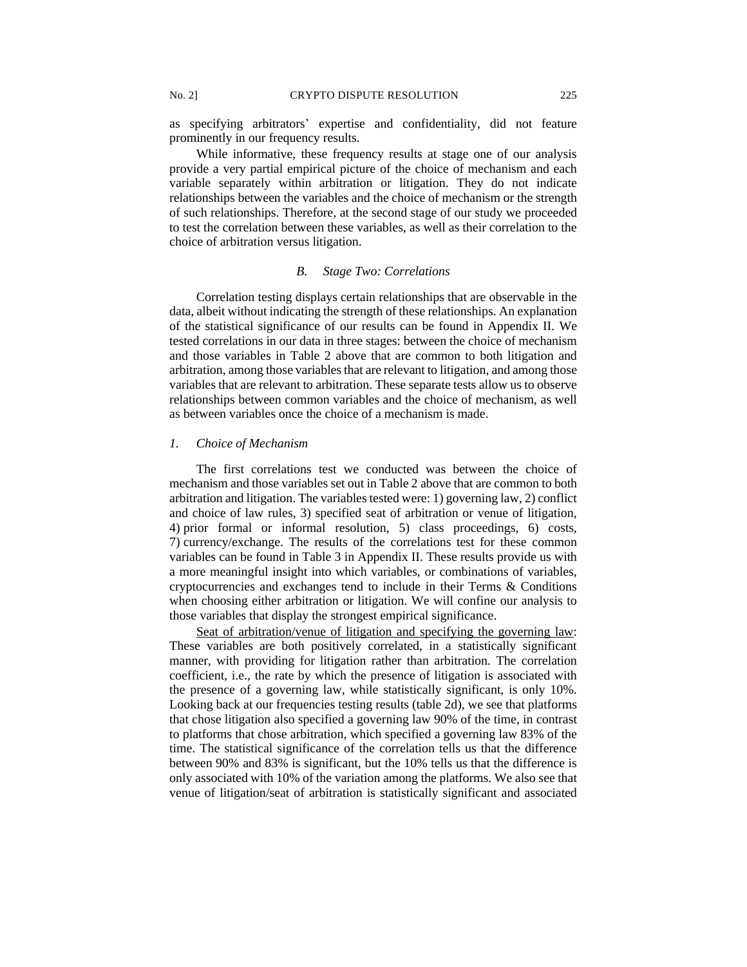as specifying arbitrators' expertise and confidentiality, did not feature prominently in our frequency results.

While informative, these frequency results at stage one of our analysis provide a very partial empirical picture of the choice of mechanism and each variable separately within arbitration or litigation. They do not indicate relationships between the variables and the choice of mechanism or the strength of such relationships. Therefore, at the second stage of our study we proceeded to test the correlation between these variables, as well as their correlation to the choice of arbitration versus litigation.

#### *B. Stage Two: Correlations*

Correlation testing displays certain relationships that are observable in the data, albeit without indicating the strength of these relationships. An explanation of the statistical significance of our results can be found in Appendix II. We tested correlations in our data in three stages: between the choice of mechanism and those variables in Table 2 above that are common to both litigation and arbitration, among those variables that are relevant to litigation, and among those variables that are relevant to arbitration. These separate tests allow us to observe relationships between common variables and the choice of mechanism, as well as between variables once the choice of a mechanism is made.

#### *1. Choice of Mechanism*

The first correlations test we conducted was between the choice of mechanism and those variables set out in Table 2 above that are common to both arbitration and litigation. The variables tested were: 1) governing law, 2) conflict and choice of law rules, 3) specified seat of arbitration or venue of litigation, 4) prior formal or informal resolution, 5) class proceedings, 6) costs, 7) currency/exchange. The results of the correlations test for these common variables can be found in Table 3 in Appendix II. These results provide us with a more meaningful insight into which variables, or combinations of variables, cryptocurrencies and exchanges tend to include in their Terms & Conditions when choosing either arbitration or litigation. We will confine our analysis to those variables that display the strongest empirical significance.

Seat of arbitration/venue of litigation and specifying the governing law: These variables are both positively correlated, in a statistically significant manner, with providing for litigation rather than arbitration. The correlation coefficient, i.e., the rate by which the presence of litigation is associated with the presence of a governing law, while statistically significant, is only 10%. Looking back at our frequencies testing results (table 2d), we see that platforms that chose litigation also specified a governing law 90% of the time, in contrast to platforms that chose arbitration, which specified a governing law 83% of the time. The statistical significance of the correlation tells us that the difference between 90% and 83% is significant, but the 10% tells us that the difference is only associated with 10% of the variation among the platforms. We also see that venue of litigation/seat of arbitration is statistically significant and associated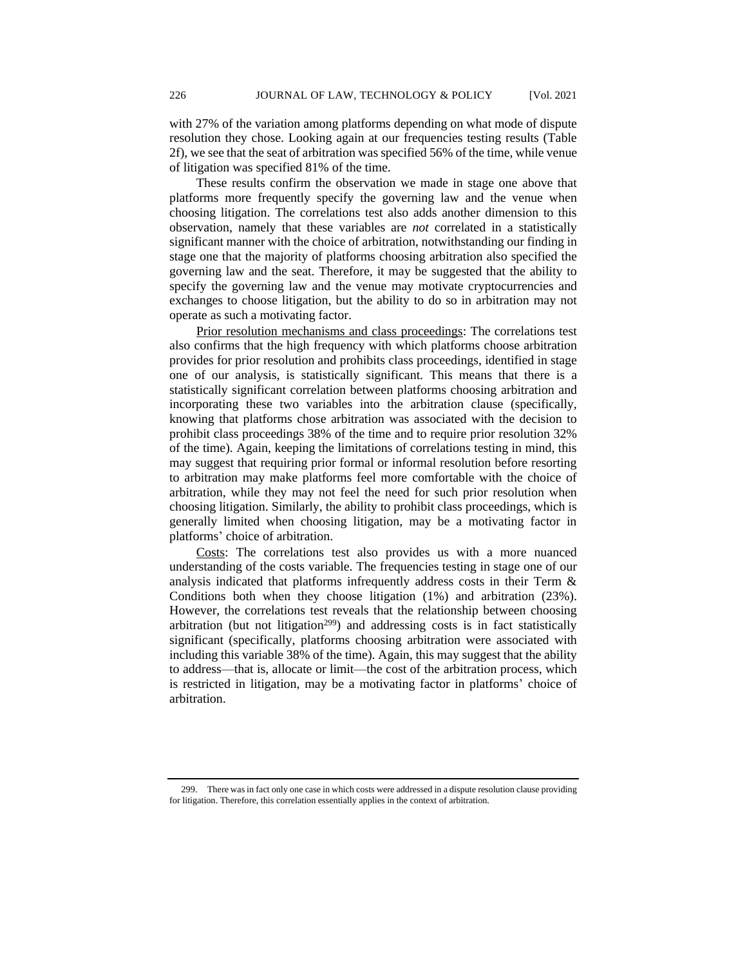with 27% of the variation among platforms depending on what mode of dispute resolution they chose. Looking again at our frequencies testing results (Table 2f), we see that the seat of arbitration was specified 56% of the time, while venue of litigation was specified 81% of the time.

These results confirm the observation we made in stage one above that platforms more frequently specify the governing law and the venue when choosing litigation. The correlations test also adds another dimension to this observation, namely that these variables are *not* correlated in a statistically significant manner with the choice of arbitration, notwithstanding our finding in stage one that the majority of platforms choosing arbitration also specified the governing law and the seat. Therefore, it may be suggested that the ability to specify the governing law and the venue may motivate cryptocurrencies and exchanges to choose litigation, but the ability to do so in arbitration may not operate as such a motivating factor.

Prior resolution mechanisms and class proceedings: The correlations test also confirms that the high frequency with which platforms choose arbitration provides for prior resolution and prohibits class proceedings, identified in stage one of our analysis, is statistically significant. This means that there is a statistically significant correlation between platforms choosing arbitration and incorporating these two variables into the arbitration clause (specifically, knowing that platforms chose arbitration was associated with the decision to prohibit class proceedings 38% of the time and to require prior resolution 32% of the time). Again, keeping the limitations of correlations testing in mind, this may suggest that requiring prior formal or informal resolution before resorting to arbitration may make platforms feel more comfortable with the choice of arbitration, while they may not feel the need for such prior resolution when choosing litigation. Similarly, the ability to prohibit class proceedings, which is generally limited when choosing litigation, may be a motivating factor in platforms' choice of arbitration.

Costs: The correlations test also provides us with a more nuanced understanding of the costs variable. The frequencies testing in stage one of our analysis indicated that platforms infrequently address costs in their Term & Conditions both when they choose litigation (1%) and arbitration (23%). However, the correlations test reveals that the relationship between choosing arbitration (but not litigation<sup>299</sup>) and addressing costs is in fact statistically significant (specifically, platforms choosing arbitration were associated with including this variable 38% of the time). Again, this may suggest that the ability to address—that is, allocate or limit—the cost of the arbitration process, which is restricted in litigation, may be a motivating factor in platforms' choice of arbitration.

<sup>299.</sup> There was in fact only one case in which costs were addressed in a dispute resolution clause providing for litigation. Therefore, this correlation essentially applies in the context of arbitration.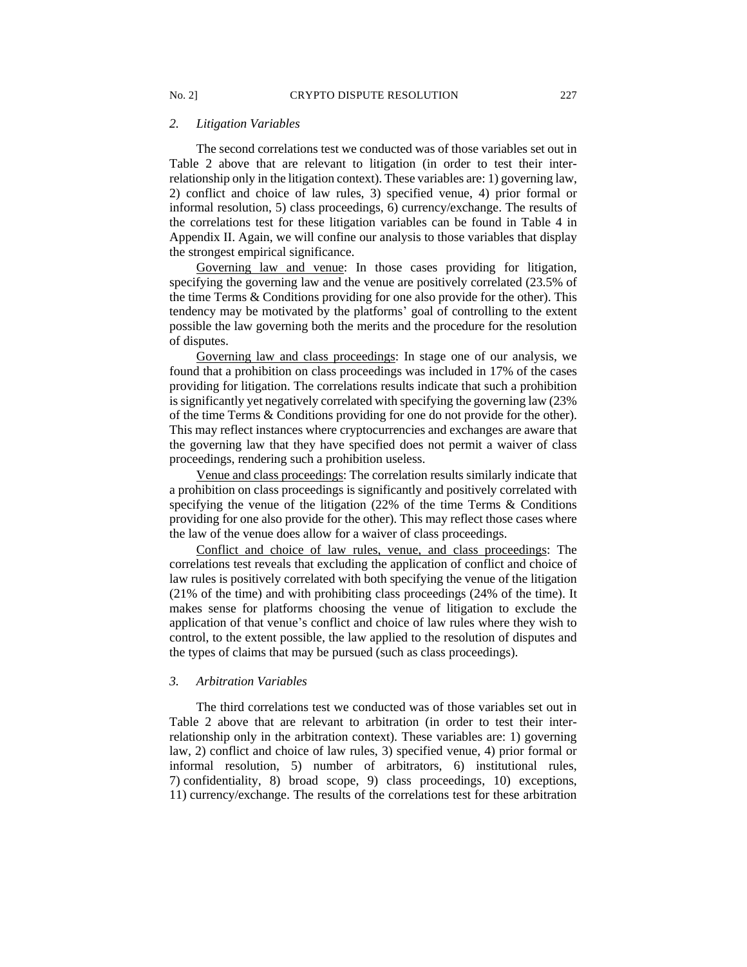#### *2. Litigation Variables*

The second correlations test we conducted was of those variables set out in Table 2 above that are relevant to litigation (in order to test their interrelationship only in the litigation context). These variables are: 1) governing law, 2) conflict and choice of law rules, 3) specified venue, 4) prior formal or informal resolution, 5) class proceedings, 6) currency/exchange. The results of the correlations test for these litigation variables can be found in Table 4 in Appendix II. Again, we will confine our analysis to those variables that display the strongest empirical significance.

Governing law and venue: In those cases providing for litigation, specifying the governing law and the venue are positively correlated (23.5% of the time Terms & Conditions providing for one also provide for the other). This tendency may be motivated by the platforms' goal of controlling to the extent possible the law governing both the merits and the procedure for the resolution of disputes.

Governing law and class proceedings: In stage one of our analysis, we found that a prohibition on class proceedings was included in 17% of the cases providing for litigation. The correlations results indicate that such a prohibition is significantly yet negatively correlated with specifying the governing law (23% of the time Terms & Conditions providing for one do not provide for the other). This may reflect instances where cryptocurrencies and exchanges are aware that the governing law that they have specified does not permit a waiver of class proceedings, rendering such a prohibition useless.

Venue and class proceedings: The correlation results similarly indicate that a prohibition on class proceedings is significantly and positively correlated with specifying the venue of the litigation (22% of the time Terms & Conditions providing for one also provide for the other). This may reflect those cases where the law of the venue does allow for a waiver of class proceedings.

Conflict and choice of law rules, venue, and class proceedings: The correlations test reveals that excluding the application of conflict and choice of law rules is positively correlated with both specifying the venue of the litigation (21% of the time) and with prohibiting class proceedings (24% of the time). It makes sense for platforms choosing the venue of litigation to exclude the application of that venue's conflict and choice of law rules where they wish to control, to the extent possible, the law applied to the resolution of disputes and the types of claims that may be pursued (such as class proceedings).

#### *3. Arbitration Variables*

The third correlations test we conducted was of those variables set out in Table 2 above that are relevant to arbitration (in order to test their interrelationship only in the arbitration context). These variables are: 1) governing law, 2) conflict and choice of law rules, 3) specified venue, 4) prior formal or informal resolution, 5) number of arbitrators, 6) institutional rules, 7) confidentiality, 8) broad scope, 9) class proceedings, 10) exceptions, 11) currency/exchange. The results of the correlations test for these arbitration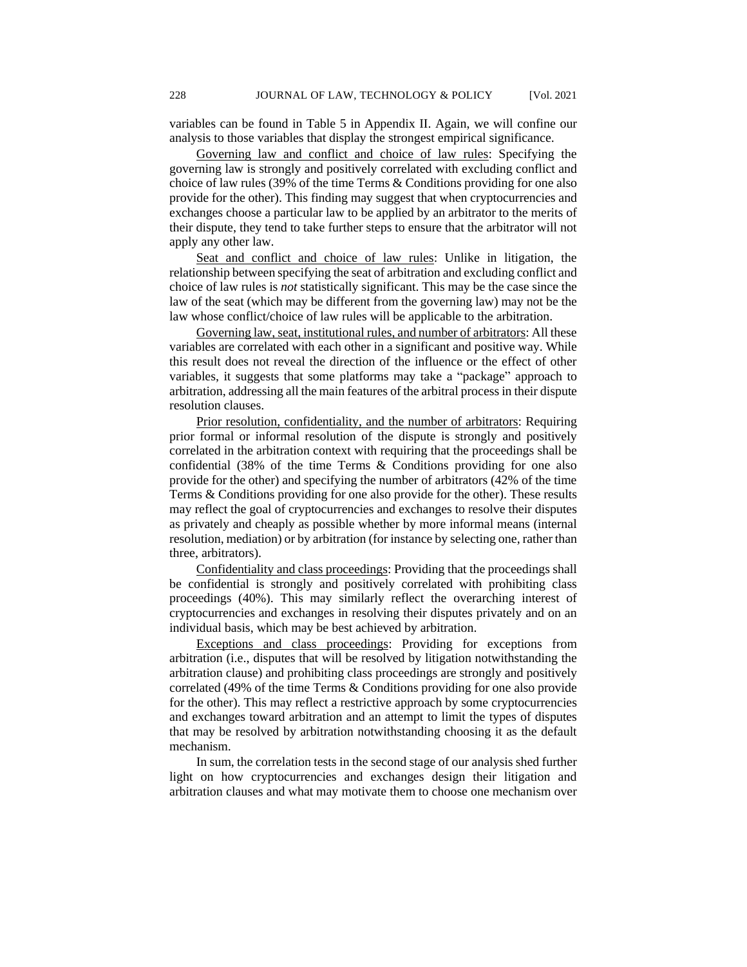variables can be found in Table 5 in Appendix II. Again, we will confine our analysis to those variables that display the strongest empirical significance.

Governing law and conflict and choice of law rules: Specifying the governing law is strongly and positively correlated with excluding conflict and choice of law rules (39% of the time Terms & Conditions providing for one also provide for the other). This finding may suggest that when cryptocurrencies and exchanges choose a particular law to be applied by an arbitrator to the merits of their dispute, they tend to take further steps to ensure that the arbitrator will not apply any other law.

Seat and conflict and choice of law rules: Unlike in litigation, the relationship between specifying the seat of arbitration and excluding conflict and choice of law rules is *not* statistically significant. This may be the case since the law of the seat (which may be different from the governing law) may not be the law whose conflict/choice of law rules will be applicable to the arbitration.

Governing law, seat, institutional rules, and number of arbitrators: All these variables are correlated with each other in a significant and positive way. While this result does not reveal the direction of the influence or the effect of other variables, it suggests that some platforms may take a "package" approach to arbitration, addressing all the main features of the arbitral process in their dispute resolution clauses.

Prior resolution, confidentiality, and the number of arbitrators: Requiring prior formal or informal resolution of the dispute is strongly and positively correlated in the arbitration context with requiring that the proceedings shall be confidential (38% of the time Terms & Conditions providing for one also provide for the other) and specifying the number of arbitrators (42% of the time Terms & Conditions providing for one also provide for the other). These results may reflect the goal of cryptocurrencies and exchanges to resolve their disputes as privately and cheaply as possible whether by more informal means (internal resolution, mediation) or by arbitration (for instance by selecting one, rather than three, arbitrators).

Confidentiality and class proceedings: Providing that the proceedings shall be confidential is strongly and positively correlated with prohibiting class proceedings (40%). This may similarly reflect the overarching interest of cryptocurrencies and exchanges in resolving their disputes privately and on an individual basis, which may be best achieved by arbitration.

Exceptions and class proceedings: Providing for exceptions from arbitration (i.e., disputes that will be resolved by litigation notwithstanding the arbitration clause) and prohibiting class proceedings are strongly and positively correlated (49% of the time Terms & Conditions providing for one also provide for the other). This may reflect a restrictive approach by some cryptocurrencies and exchanges toward arbitration and an attempt to limit the types of disputes that may be resolved by arbitration notwithstanding choosing it as the default mechanism.

In sum, the correlation tests in the second stage of our analysis shed further light on how cryptocurrencies and exchanges design their litigation and arbitration clauses and what may motivate them to choose one mechanism over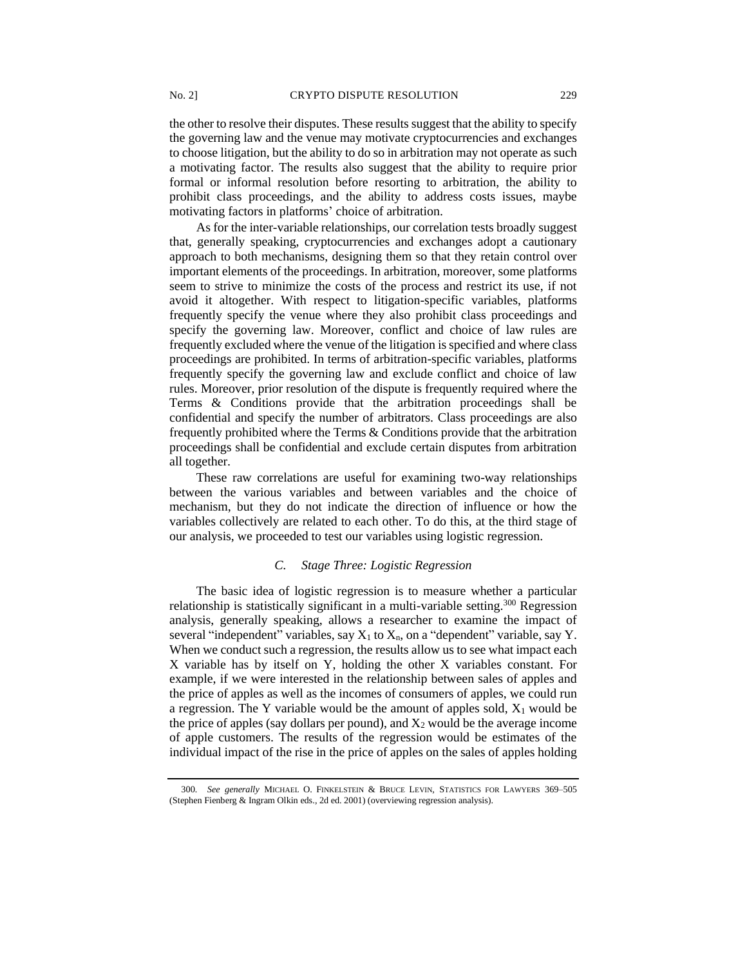the other to resolve their disputes. These results suggest that the ability to specify the governing law and the venue may motivate cryptocurrencies and exchanges to choose litigation, but the ability to do so in arbitration may not operate as such a motivating factor. The results also suggest that the ability to require prior formal or informal resolution before resorting to arbitration, the ability to prohibit class proceedings, and the ability to address costs issues, maybe motivating factors in platforms' choice of arbitration.

As for the inter-variable relationships, our correlation tests broadly suggest that, generally speaking, cryptocurrencies and exchanges adopt a cautionary approach to both mechanisms, designing them so that they retain control over important elements of the proceedings. In arbitration, moreover, some platforms seem to strive to minimize the costs of the process and restrict its use, if not avoid it altogether. With respect to litigation-specific variables, platforms frequently specify the venue where they also prohibit class proceedings and specify the governing law. Moreover, conflict and choice of law rules are frequently excluded where the venue of the litigation is specified and where class proceedings are prohibited. In terms of arbitration-specific variables, platforms frequently specify the governing law and exclude conflict and choice of law rules. Moreover, prior resolution of the dispute is frequently required where the Terms & Conditions provide that the arbitration proceedings shall be confidential and specify the number of arbitrators. Class proceedings are also frequently prohibited where the Terms & Conditions provide that the arbitration proceedings shall be confidential and exclude certain disputes from arbitration all together.

These raw correlations are useful for examining two-way relationships between the various variables and between variables and the choice of mechanism, but they do not indicate the direction of influence or how the variables collectively are related to each other. To do this, at the third stage of our analysis, we proceeded to test our variables using logistic regression.

#### *C. Stage Three: Logistic Regression*

The basic idea of logistic regression is to measure whether a particular relationship is statistically significant in a multi-variable setting.<sup>300</sup> Regression analysis, generally speaking, allows a researcher to examine the impact of several "independent" variables, say  $X_1$  to  $X_n$ , on a "dependent" variable, say Y. When we conduct such a regression, the results allow us to see what impact each X variable has by itself on Y, holding the other X variables constant. For example, if we were interested in the relationship between sales of apples and the price of apples as well as the incomes of consumers of apples, we could run a regression. The Y variable would be the amount of apples sold,  $X_1$  would be the price of apples (say dollars per pound), and  $X_2$  would be the average income of apple customers. The results of the regression would be estimates of the individual impact of the rise in the price of apples on the sales of apples holding

<sup>300</sup>*. See generally* MICHAEL O. FINKELSTEIN & BRUCE LEVIN, STATISTICS FOR LAWYERS 369–505 (Stephen Fienberg & Ingram Olkin eds., 2d ed. 2001) (overviewing regression analysis).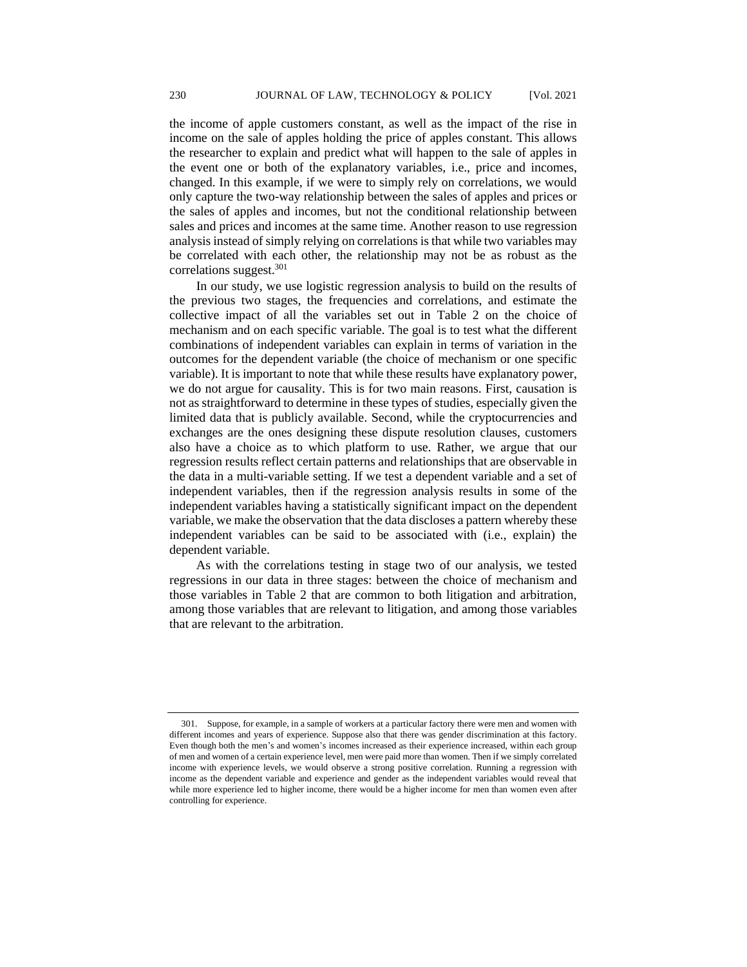the income of apple customers constant, as well as the impact of the rise in income on the sale of apples holding the price of apples constant. This allows the researcher to explain and predict what will happen to the sale of apples in the event one or both of the explanatory variables, i.e., price and incomes, changed. In this example, if we were to simply rely on correlations, we would only capture the two-way relationship between the sales of apples and prices or the sales of apples and incomes, but not the conditional relationship between sales and prices and incomes at the same time. Another reason to use regression analysis instead of simply relying on correlations is that while two variables may be correlated with each other, the relationship may not be as robust as the correlations suggest.<sup>301</sup>

In our study, we use logistic regression analysis to build on the results of the previous two stages, the frequencies and correlations, and estimate the collective impact of all the variables set out in Table 2 on the choice of mechanism and on each specific variable. The goal is to test what the different combinations of independent variables can explain in terms of variation in the outcomes for the dependent variable (the choice of mechanism or one specific variable). It is important to note that while these results have explanatory power, we do not argue for causality. This is for two main reasons. First, causation is not as straightforward to determine in these types of studies, especially given the limited data that is publicly available. Second, while the cryptocurrencies and exchanges are the ones designing these dispute resolution clauses, customers also have a choice as to which platform to use. Rather, we argue that our regression results reflect certain patterns and relationships that are observable in the data in a multi-variable setting. If we test a dependent variable and a set of independent variables, then if the regression analysis results in some of the independent variables having a statistically significant impact on the dependent variable, we make the observation that the data discloses a pattern whereby these independent variables can be said to be associated with (i.e., explain) the dependent variable.

As with the correlations testing in stage two of our analysis, we tested regressions in our data in three stages: between the choice of mechanism and those variables in Table 2 that are common to both litigation and arbitration, among those variables that are relevant to litigation, and among those variables that are relevant to the arbitration.

<sup>301.</sup> Suppose, for example, in a sample of workers at a particular factory there were men and women with different incomes and years of experience. Suppose also that there was gender discrimination at this factory. Even though both the men's and women's incomes increased as their experience increased, within each group of men and women of a certain experience level, men were paid more than women. Then if we simply correlated income with experience levels, we would observe a strong positive correlation. Running a regression with income as the dependent variable and experience and gender as the independent variables would reveal that while more experience led to higher income, there would be a higher income for men than women even after controlling for experience.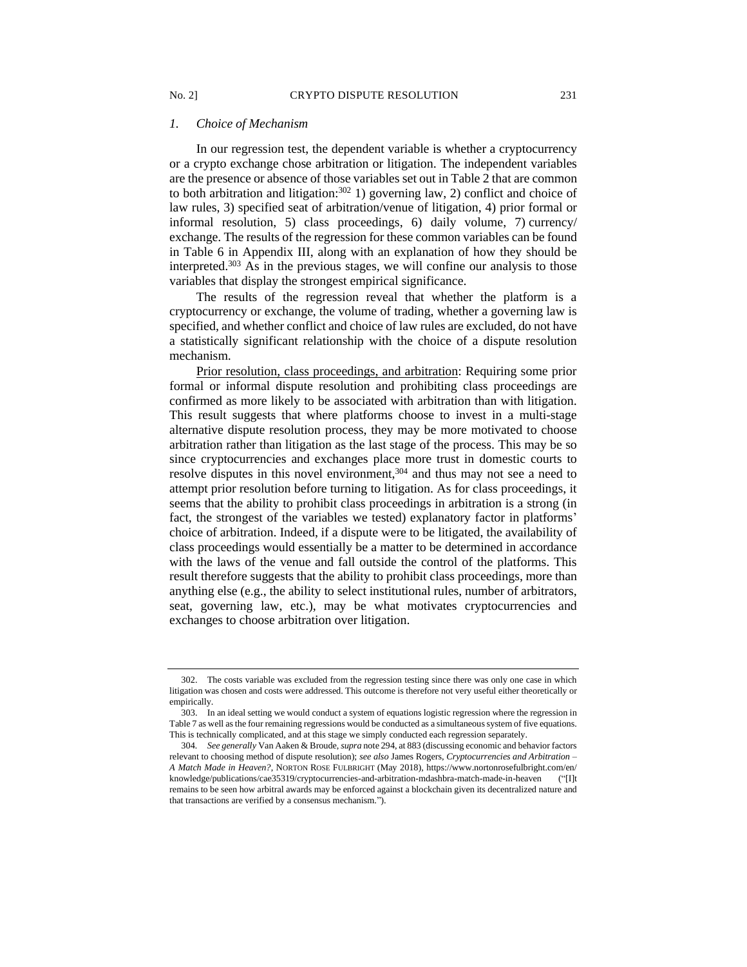#### *1. Choice of Mechanism*

In our regression test, the dependent variable is whether a cryptocurrency or a crypto exchange chose arbitration or litigation. The independent variables are the presence or absence of those variables set out in Table 2 that are common to both arbitration and litigation:<sup>302</sup> 1) governing law, 2) conflict and choice of law rules, 3) specified seat of arbitration/venue of litigation, 4) prior formal or informal resolution, 5) class proceedings, 6) daily volume, 7) currency/ exchange. The results of the regression for these common variables can be found in Table 6 in Appendix III, along with an explanation of how they should be interpreted.<sup>303</sup> As in the previous stages, we will confine our analysis to those variables that display the strongest empirical significance.

The results of the regression reveal that whether the platform is a cryptocurrency or exchange, the volume of trading, whether a governing law is specified, and whether conflict and choice of law rules are excluded, do not have a statistically significant relationship with the choice of a dispute resolution mechanism.

Prior resolution, class proceedings, and arbitration: Requiring some prior formal or informal dispute resolution and prohibiting class proceedings are confirmed as more likely to be associated with arbitration than with litigation. This result suggests that where platforms choose to invest in a multi-stage alternative dispute resolution process, they may be more motivated to choose arbitration rather than litigation as the last stage of the process. This may be so since cryptocurrencies and exchanges place more trust in domestic courts to resolve disputes in this novel environment,<sup>304</sup> and thus may not see a need to attempt prior resolution before turning to litigation. As for class proceedings, it seems that the ability to prohibit class proceedings in arbitration is a strong (in fact, the strongest of the variables we tested) explanatory factor in platforms' choice of arbitration. Indeed, if a dispute were to be litigated, the availability of class proceedings would essentially be a matter to be determined in accordance with the laws of the venue and fall outside the control of the platforms. This result therefore suggests that the ability to prohibit class proceedings, more than anything else (e.g., the ability to select institutional rules, number of arbitrators, seat, governing law, etc.), may be what motivates cryptocurrencies and exchanges to choose arbitration over litigation.

<sup>302.</sup> The costs variable was excluded from the regression testing since there was only one case in which litigation was chosen and costs were addressed. This outcome is therefore not very useful either theoretically or empirically.

<sup>303.</sup> In an ideal setting we would conduct a system of equations logistic regression where the regression in Table 7 as well as the four remaining regressions would be conducted as a simultaneous system of five equations. This is technically complicated, and at this stage we simply conducted each regression separately.

<sup>304</sup>*. See generally* Van Aaken & Broude, *supra* note 294, at 883 (discussing economic and behavior factors relevant to choosing method of dispute resolution); *see also* James Rogers, *Cryptocurrencies and Arbitration – A Match Made in Heaven?*, NORTON ROSE FULBRIGHT (May 2018), https://www.nortonrosefulbright.com/en/ knowledge/publications/cae35319/cryptocurrencies-and-arbitration-mdashbra-match-made-in-heaven ("[I]t remains to be seen how arbitral awards may be enforced against a blockchain given its decentralized nature and that transactions are verified by a consensus mechanism.").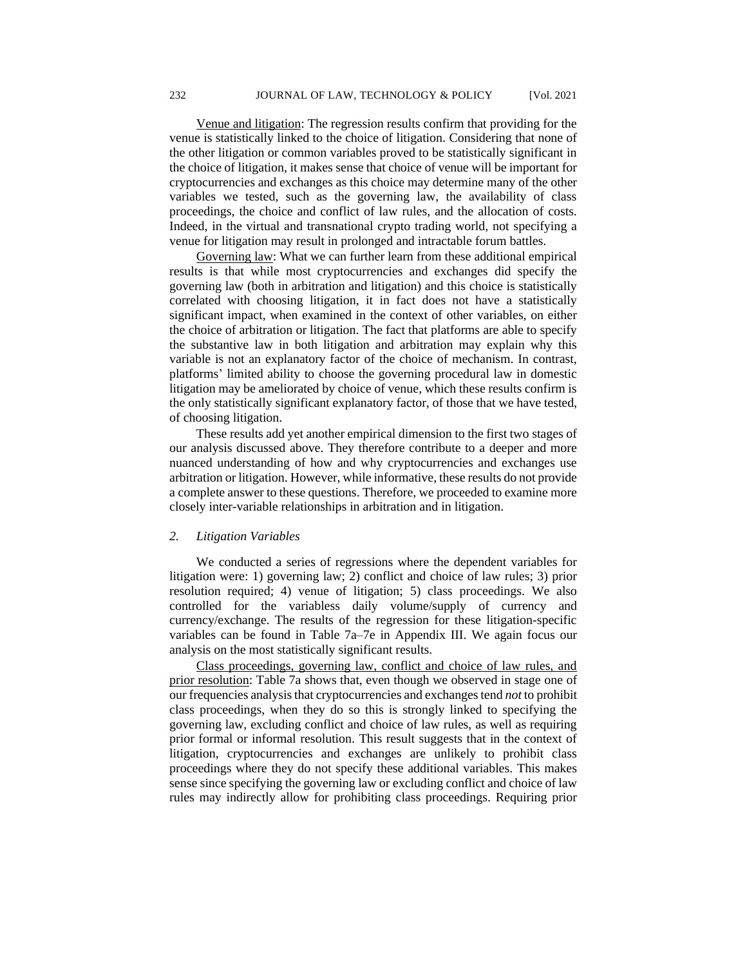Venue and litigation: The regression results confirm that providing for the venue is statistically linked to the choice of litigation. Considering that none of the other litigation or common variables proved to be statistically significant in the choice of litigation, it makes sense that choice of venue will be important for cryptocurrencies and exchanges as this choice may determine many of the other variables we tested, such as the governing law, the availability of class proceedings, the choice and conflict of law rules, and the allocation of costs. Indeed, in the virtual and transnational crypto trading world, not specifying a venue for litigation may result in prolonged and intractable forum battles.

Governing law: What we can further learn from these additional empirical results is that while most cryptocurrencies and exchanges did specify the governing law (both in arbitration and litigation) and this choice is statistically correlated with choosing litigation, it in fact does not have a statistically significant impact, when examined in the context of other variables, on either the choice of arbitration or litigation. The fact that platforms are able to specify the substantive law in both litigation and arbitration may explain why this variable is not an explanatory factor of the choice of mechanism. In contrast, platforms' limited ability to choose the governing procedural law in domestic litigation may be ameliorated by choice of venue, which these results confirm is the only statistically significant explanatory factor, of those that we have tested, of choosing litigation.

These results add yet another empirical dimension to the first two stages of our analysis discussed above. They therefore contribute to a deeper and more nuanced understanding of how and why cryptocurrencies and exchanges use arbitration or litigation. However, while informative, these results do not provide a complete answer to these questions. Therefore, we proceeded to examine more closely inter-variable relationships in arbitration and in litigation.

#### *2. Litigation Variables*

We conducted a series of regressions where the dependent variables for litigation were: 1) governing law; 2) conflict and choice of law rules; 3) prior resolution required; 4) venue of litigation; 5) class proceedings. We also controlled for the variabless daily volume/supply of currency and currency/exchange. The results of the regression for these litigation-specific variables can be found in Table 7a–7e in Appendix III. We again focus our analysis on the most statistically significant results.

Class proceedings, governing law, conflict and choice of law rules, and prior resolution: Table 7a shows that, even though we observed in stage one of our frequencies analysis that cryptocurrencies and exchanges tend *not* to prohibit class proceedings, when they do so this is strongly linked to specifying the governing law, excluding conflict and choice of law rules, as well as requiring prior formal or informal resolution. This result suggests that in the context of litigation, cryptocurrencies and exchanges are unlikely to prohibit class proceedings where they do not specify these additional variables. This makes sense since specifying the governing law or excluding conflict and choice of law rules may indirectly allow for prohibiting class proceedings. Requiring prior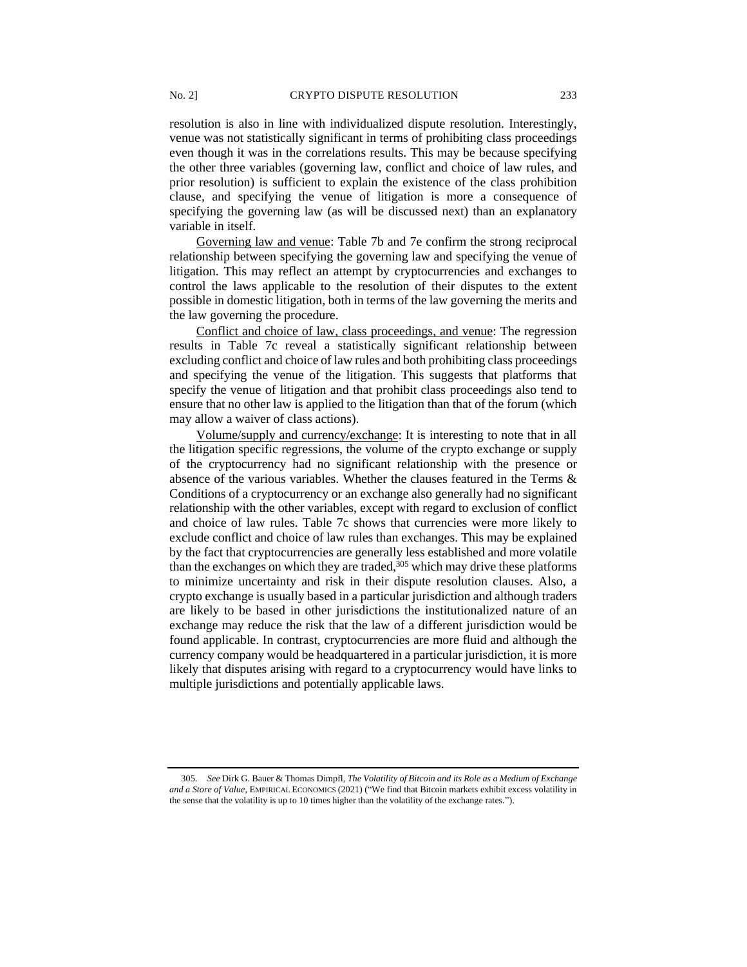resolution is also in line with individualized dispute resolution. Interestingly, venue was not statistically significant in terms of prohibiting class proceedings even though it was in the correlations results. This may be because specifying the other three variables (governing law, conflict and choice of law rules, and prior resolution) is sufficient to explain the existence of the class prohibition clause, and specifying the venue of litigation is more a consequence of specifying the governing law (as will be discussed next) than an explanatory variable in itself.

Governing law and venue: Table 7b and 7e confirm the strong reciprocal relationship between specifying the governing law and specifying the venue of litigation. This may reflect an attempt by cryptocurrencies and exchanges to control the laws applicable to the resolution of their disputes to the extent possible in domestic litigation, both in terms of the law governing the merits and the law governing the procedure.

Conflict and choice of law, class proceedings, and venue: The regression results in Table 7c reveal a statistically significant relationship between excluding conflict and choice of law rules and both prohibiting class proceedings and specifying the venue of the litigation. This suggests that platforms that specify the venue of litigation and that prohibit class proceedings also tend to ensure that no other law is applied to the litigation than that of the forum (which may allow a waiver of class actions).

Volume/supply and currency/exchange: It is interesting to note that in all the litigation specific regressions, the volume of the crypto exchange or supply of the cryptocurrency had no significant relationship with the presence or absence of the various variables. Whether the clauses featured in the Terms & Conditions of a cryptocurrency or an exchange also generally had no significant relationship with the other variables, except with regard to exclusion of conflict and choice of law rules. Table 7c shows that currencies were more likely to exclude conflict and choice of law rules than exchanges. This may be explained by the fact that cryptocurrencies are generally less established and more volatile than the exchanges on which they are traded, $305$  which may drive these platforms to minimize uncertainty and risk in their dispute resolution clauses. Also, a crypto exchange is usually based in a particular jurisdiction and although traders are likely to be based in other jurisdictions the institutionalized nature of an exchange may reduce the risk that the law of a different jurisdiction would be found applicable. In contrast, cryptocurrencies are more fluid and although the currency company would be headquartered in a particular jurisdiction, it is more likely that disputes arising with regard to a cryptocurrency would have links to multiple jurisdictions and potentially applicable laws.

<sup>305</sup>*. See* Dirk G. Bauer & Thomas Dimpfl, *The Volatility of Bitcoin and its Role as a Medium of Exchange and a Store of Value*, EMPIRICAL ECONOMICS (2021) ("We find that Bitcoin markets exhibit excess volatility in the sense that the volatility is up to 10 times higher than the volatility of the exchange rates.").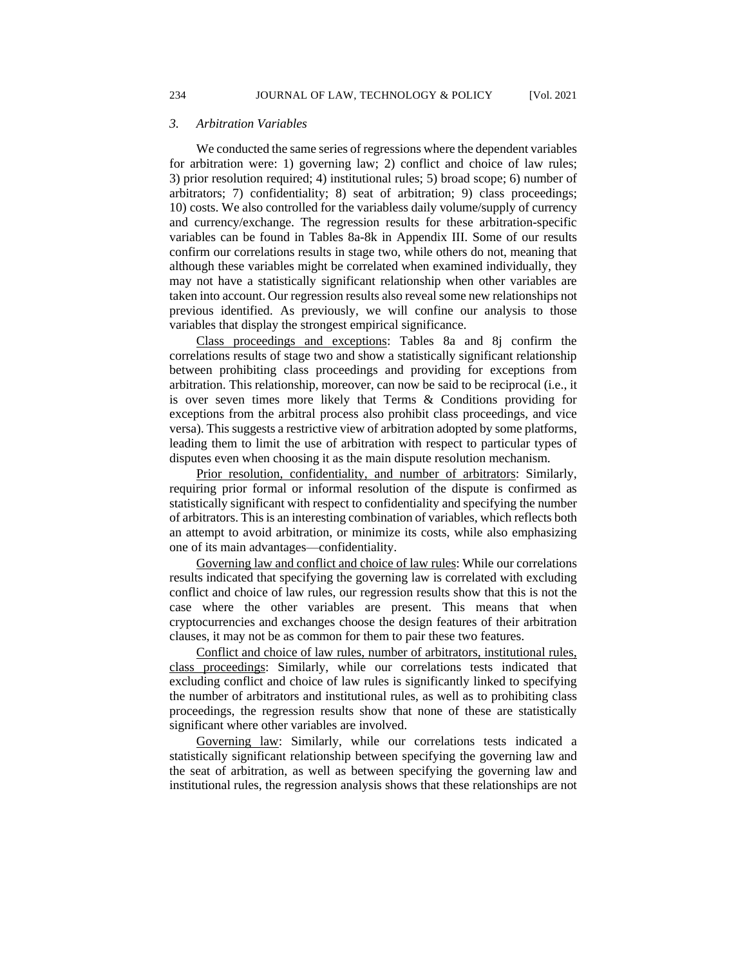#### *3. Arbitration Variables*

We conducted the same series of regressions where the dependent variables for arbitration were: 1) governing law; 2) conflict and choice of law rules; 3) prior resolution required; 4) institutional rules; 5) broad scope; 6) number of arbitrators; 7) confidentiality; 8) seat of arbitration; 9) class proceedings; 10) costs. We also controlled for the variabless daily volume/supply of currency and currency/exchange. The regression results for these arbitration-specific variables can be found in Tables 8a-8k in Appendix III. Some of our results confirm our correlations results in stage two, while others do not, meaning that although these variables might be correlated when examined individually, they may not have a statistically significant relationship when other variables are taken into account. Our regression results also reveal some new relationships not previous identified. As previously, we will confine our analysis to those variables that display the strongest empirical significance.

Class proceedings and exceptions: Tables 8a and 8j confirm the correlations results of stage two and show a statistically significant relationship between prohibiting class proceedings and providing for exceptions from arbitration. This relationship, moreover, can now be said to be reciprocal (i.e., it is over seven times more likely that Terms & Conditions providing for exceptions from the arbitral process also prohibit class proceedings, and vice versa). This suggests a restrictive view of arbitration adopted by some platforms, leading them to limit the use of arbitration with respect to particular types of disputes even when choosing it as the main dispute resolution mechanism.

Prior resolution, confidentiality, and number of arbitrators: Similarly, requiring prior formal or informal resolution of the dispute is confirmed as statistically significant with respect to confidentiality and specifying the number of arbitrators. This is an interesting combination of variables, which reflects both an attempt to avoid arbitration, or minimize its costs, while also emphasizing one of its main advantages—confidentiality.

Governing law and conflict and choice of law rules: While our correlations results indicated that specifying the governing law is correlated with excluding conflict and choice of law rules, our regression results show that this is not the case where the other variables are present. This means that when cryptocurrencies and exchanges choose the design features of their arbitration clauses, it may not be as common for them to pair these two features.

Conflict and choice of law rules, number of arbitrators, institutional rules, class proceedings: Similarly, while our correlations tests indicated that excluding conflict and choice of law rules is significantly linked to specifying the number of arbitrators and institutional rules, as well as to prohibiting class proceedings, the regression results show that none of these are statistically significant where other variables are involved.

Governing law: Similarly, while our correlations tests indicated a statistically significant relationship between specifying the governing law and the seat of arbitration, as well as between specifying the governing law and institutional rules, the regression analysis shows that these relationships are not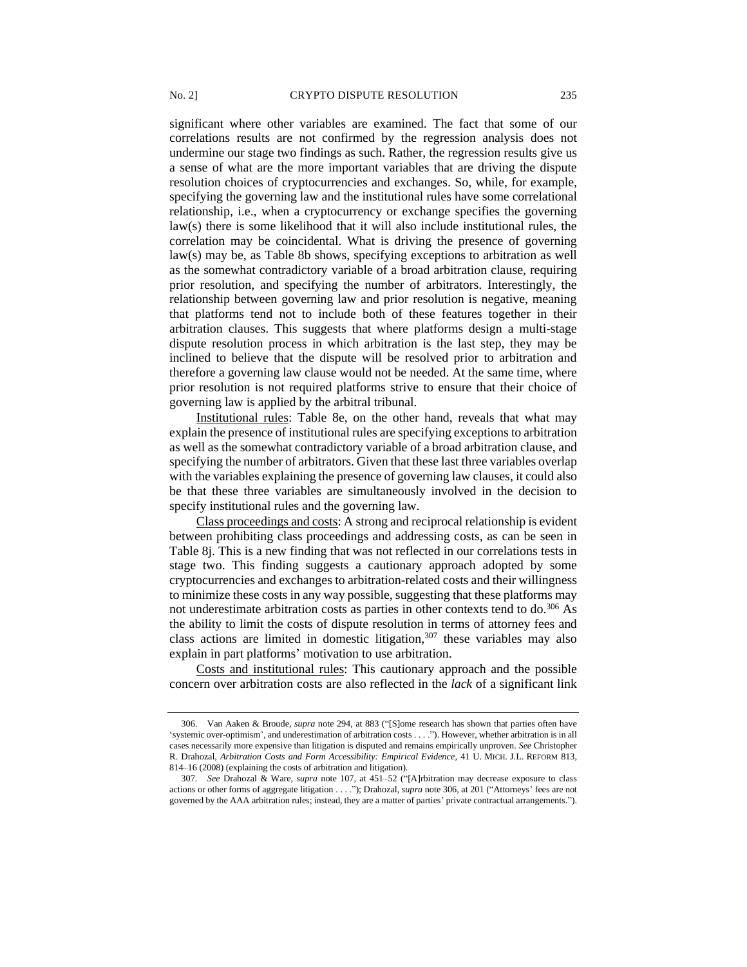significant where other variables are examined. The fact that some of our correlations results are not confirmed by the regression analysis does not undermine our stage two findings as such. Rather, the regression results give us a sense of what are the more important variables that are driving the dispute resolution choices of cryptocurrencies and exchanges. So, while, for example, specifying the governing law and the institutional rules have some correlational relationship, i.e., when a cryptocurrency or exchange specifies the governing law(s) there is some likelihood that it will also include institutional rules, the correlation may be coincidental. What is driving the presence of governing law(s) may be, as Table 8b shows, specifying exceptions to arbitration as well as the somewhat contradictory variable of a broad arbitration clause, requiring prior resolution, and specifying the number of arbitrators. Interestingly, the relationship between governing law and prior resolution is negative, meaning that platforms tend not to include both of these features together in their arbitration clauses. This suggests that where platforms design a multi-stage dispute resolution process in which arbitration is the last step, they may be inclined to believe that the dispute will be resolved prior to arbitration and therefore a governing law clause would not be needed. At the same time, where prior resolution is not required platforms strive to ensure that their choice of governing law is applied by the arbitral tribunal.

Institutional rules: Table 8e, on the other hand, reveals that what may explain the presence of institutional rules are specifying exceptions to arbitration as well as the somewhat contradictory variable of a broad arbitration clause, and specifying the number of arbitrators. Given that these last three variables overlap with the variables explaining the presence of governing law clauses, it could also be that these three variables are simultaneously involved in the decision to specify institutional rules and the governing law.

Class proceedings and costs: A strong and reciprocal relationship is evident between prohibiting class proceedings and addressing costs, as can be seen in Table 8j. This is a new finding that was not reflected in our correlations tests in stage two. This finding suggests a cautionary approach adopted by some cryptocurrencies and exchanges to arbitration-related costs and their willingness to minimize these costs in any way possible, suggesting that these platforms may not underestimate arbitration costs as parties in other contexts tend to do.<sup>306</sup> As the ability to limit the costs of dispute resolution in terms of attorney fees and class actions are limited in domestic litigation, $307$  these variables may also explain in part platforms' motivation to use arbitration.

Costs and institutional rules: This cautionary approach and the possible concern over arbitration costs are also reflected in the *lack* of a significant link

<sup>306.</sup> Van Aaken & Broude, *supra* note 294, at 883 ("[S]ome research has shown that parties often have 'systemic over-optimism', and underestimation of arbitration costs . . . ."). However, whether arbitration is in all cases necessarily more expensive than litigation is disputed and remains empirically unproven. *See* Christopher R. Drahozal, *Arbitration Costs and Form Accessibility: Empirical Evidence*, 41 U. MICH. J.L. REFORM 813, 814–16 (2008) (explaining the costs of arbitration and litigation).

<sup>307</sup>*. See* Drahozal & Ware, *supra* note 107, at 451–52 ("[A]rbitration may decrease exposure to class actions or other forms of aggregate litigation . . . ."); Drahozal, *supra* note 306, at 201 ("Attorneys' fees are not governed by the AAA arbitration rules; instead, they are a matter of parties' private contractual arrangements.").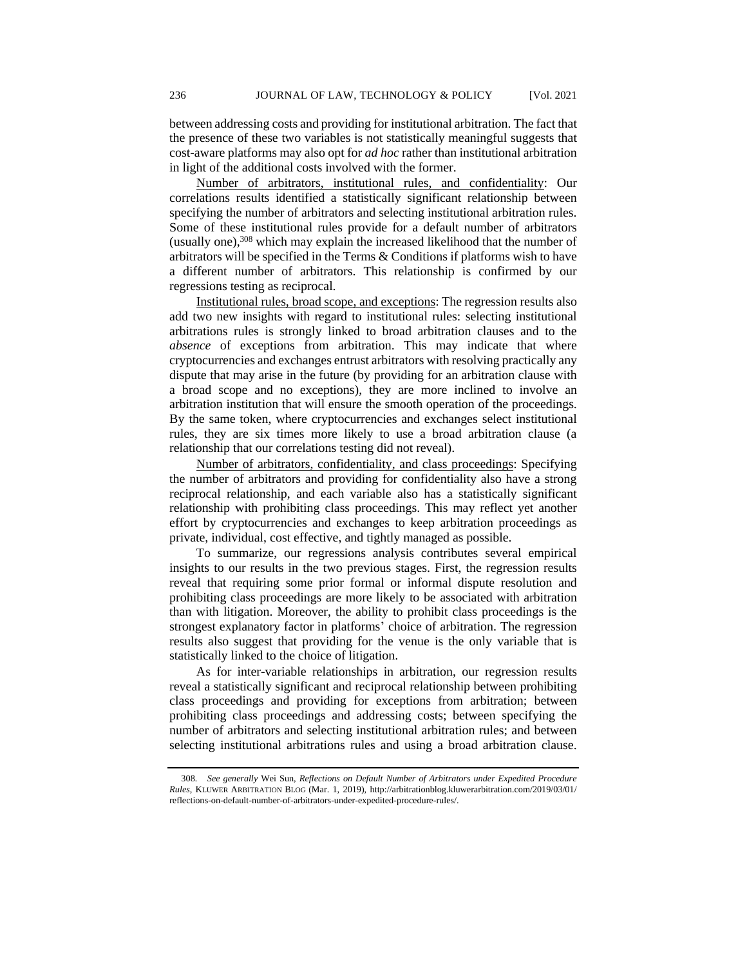between addressing costs and providing for institutional arbitration. The fact that the presence of these two variables is not statistically meaningful suggests that cost-aware platforms may also opt for *ad hoc* rather than institutional arbitration in light of the additional costs involved with the former.

Number of arbitrators, institutional rules, and confidentiality: Our correlations results identified a statistically significant relationship between specifying the number of arbitrators and selecting institutional arbitration rules. Some of these institutional rules provide for a default number of arbitrators (usually one),<sup>308</sup> which may explain the increased likelihood that the number of arbitrators will be specified in the Terms & Conditions if platforms wish to have a different number of arbitrators. This relationship is confirmed by our regressions testing as reciprocal.

Institutional rules, broad scope, and exceptions: The regression results also add two new insights with regard to institutional rules: selecting institutional arbitrations rules is strongly linked to broad arbitration clauses and to the *absence* of exceptions from arbitration. This may indicate that where cryptocurrencies and exchanges entrust arbitrators with resolving practically any dispute that may arise in the future (by providing for an arbitration clause with a broad scope and no exceptions), they are more inclined to involve an arbitration institution that will ensure the smooth operation of the proceedings. By the same token, where cryptocurrencies and exchanges select institutional rules, they are six times more likely to use a broad arbitration clause (a relationship that our correlations testing did not reveal).

Number of arbitrators, confidentiality, and class proceedings: Specifying the number of arbitrators and providing for confidentiality also have a strong reciprocal relationship, and each variable also has a statistically significant relationship with prohibiting class proceedings. This may reflect yet another effort by cryptocurrencies and exchanges to keep arbitration proceedings as private, individual, cost effective, and tightly managed as possible.

To summarize, our regressions analysis contributes several empirical insights to our results in the two previous stages. First, the regression results reveal that requiring some prior formal or informal dispute resolution and prohibiting class proceedings are more likely to be associated with arbitration than with litigation. Moreover, the ability to prohibit class proceedings is the strongest explanatory factor in platforms' choice of arbitration. The regression results also suggest that providing for the venue is the only variable that is statistically linked to the choice of litigation.

As for inter-variable relationships in arbitration, our regression results reveal a statistically significant and reciprocal relationship between prohibiting class proceedings and providing for exceptions from arbitration; between prohibiting class proceedings and addressing costs; between specifying the number of arbitrators and selecting institutional arbitration rules; and between selecting institutional arbitrations rules and using a broad arbitration clause.

<sup>308</sup>*. See generally* Wei Sun, *Reflections on Default Number of Arbitrators under Expedited Procedure Rules*, KLUWER ARBITRATION BLOG (Mar. 1, 2019), http://arbitrationblog.kluwerarbitration.com/2019/03/01/ reflections-on-default-number-of-arbitrators-under-expedited-procedure-rules/.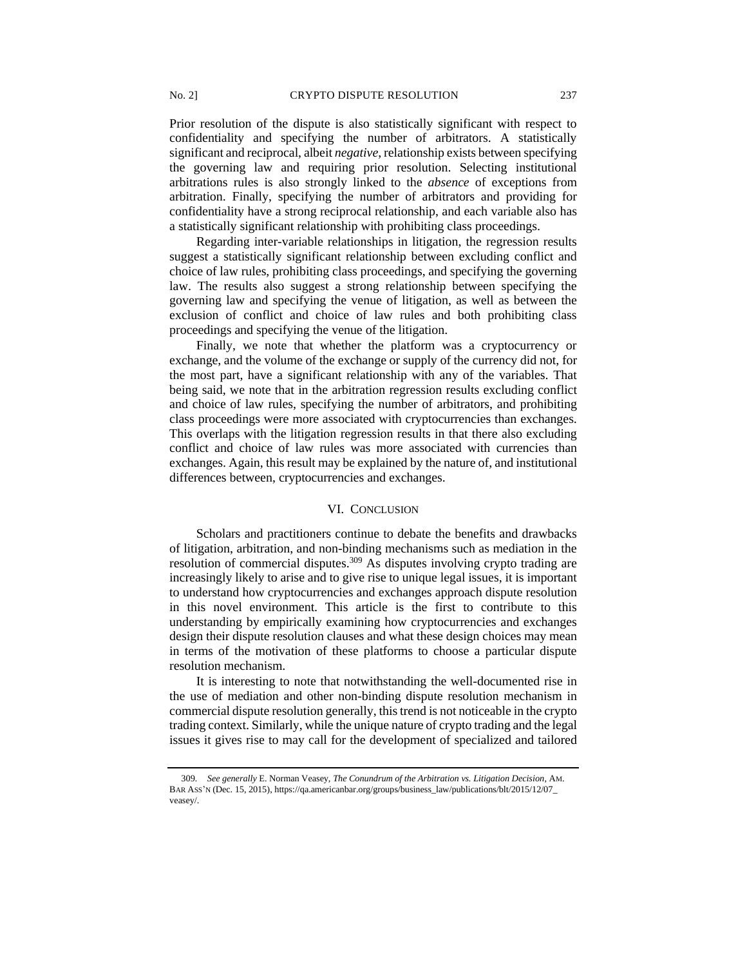Prior resolution of the dispute is also statistically significant with respect to confidentiality and specifying the number of arbitrators. A statistically significant and reciprocal, albeit *negative*, relationship exists between specifying the governing law and requiring prior resolution. Selecting institutional arbitrations rules is also strongly linked to the *absence* of exceptions from arbitration. Finally, specifying the number of arbitrators and providing for confidentiality have a strong reciprocal relationship, and each variable also has a statistically significant relationship with prohibiting class proceedings.

Regarding inter-variable relationships in litigation, the regression results suggest a statistically significant relationship between excluding conflict and choice of law rules, prohibiting class proceedings, and specifying the governing law. The results also suggest a strong relationship between specifying the governing law and specifying the venue of litigation, as well as between the exclusion of conflict and choice of law rules and both prohibiting class proceedings and specifying the venue of the litigation.

Finally, we note that whether the platform was a cryptocurrency or exchange, and the volume of the exchange or supply of the currency did not, for the most part, have a significant relationship with any of the variables. That being said, we note that in the arbitration regression results excluding conflict and choice of law rules, specifying the number of arbitrators, and prohibiting class proceedings were more associated with cryptocurrencies than exchanges. This overlaps with the litigation regression results in that there also excluding conflict and choice of law rules was more associated with currencies than exchanges. Again, this result may be explained by the nature of, and institutional differences between, cryptocurrencies and exchanges.

#### VI. CONCLUSION

Scholars and practitioners continue to debate the benefits and drawbacks of litigation, arbitration, and non-binding mechanisms such as mediation in the resolution of commercial disputes.<sup>309</sup> As disputes involving crypto trading are increasingly likely to arise and to give rise to unique legal issues, it is important to understand how cryptocurrencies and exchanges approach dispute resolution in this novel environment. This article is the first to contribute to this understanding by empirically examining how cryptocurrencies and exchanges design their dispute resolution clauses and what these design choices may mean in terms of the motivation of these platforms to choose a particular dispute resolution mechanism.

It is interesting to note that notwithstanding the well-documented rise in the use of mediation and other non-binding dispute resolution mechanism in commercial dispute resolution generally, this trend is not noticeable in the crypto trading context. Similarly, while the unique nature of crypto trading and the legal issues it gives rise to may call for the development of specialized and tailored

<sup>309</sup>*. See generally* E. Norman Veasey, *The Conundrum of the Arbitration vs. Litigation Decision*, AM. BAR ASS'N (Dec. 15, 2015), https://qa.americanbar.org/groups/business\_law/publications/blt/2015/12/07\_ veasey/.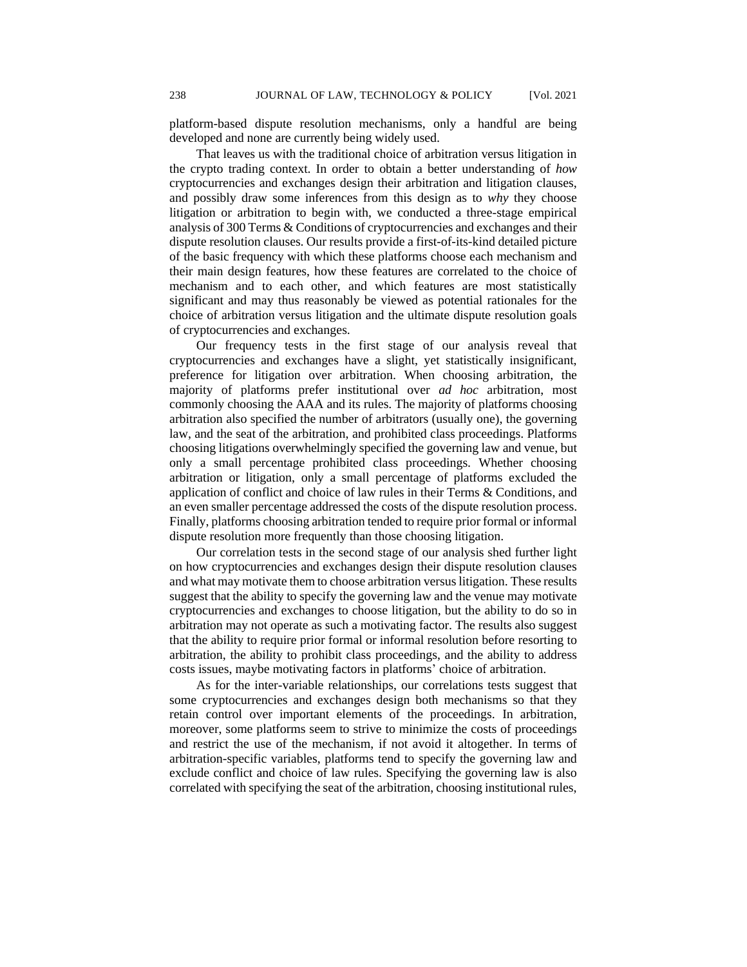platform-based dispute resolution mechanisms, only a handful are being developed and none are currently being widely used.

That leaves us with the traditional choice of arbitration versus litigation in the crypto trading context. In order to obtain a better understanding of *how* cryptocurrencies and exchanges design their arbitration and litigation clauses, and possibly draw some inferences from this design as to *why* they choose litigation or arbitration to begin with, we conducted a three-stage empirical analysis of 300 Terms & Conditions of cryptocurrencies and exchanges and their dispute resolution clauses. Our results provide a first-of-its-kind detailed picture of the basic frequency with which these platforms choose each mechanism and their main design features, how these features are correlated to the choice of mechanism and to each other, and which features are most statistically significant and may thus reasonably be viewed as potential rationales for the choice of arbitration versus litigation and the ultimate dispute resolution goals of cryptocurrencies and exchanges.

Our frequency tests in the first stage of our analysis reveal that cryptocurrencies and exchanges have a slight, yet statistically insignificant, preference for litigation over arbitration. When choosing arbitration, the majority of platforms prefer institutional over *ad hoc* arbitration, most commonly choosing the AAA and its rules. The majority of platforms choosing arbitration also specified the number of arbitrators (usually one), the governing law, and the seat of the arbitration, and prohibited class proceedings. Platforms choosing litigations overwhelmingly specified the governing law and venue, but only a small percentage prohibited class proceedings. Whether choosing arbitration or litigation, only a small percentage of platforms excluded the application of conflict and choice of law rules in their Terms & Conditions, and an even smaller percentage addressed the costs of the dispute resolution process. Finally, platforms choosing arbitration tended to require prior formal or informal dispute resolution more frequently than those choosing litigation.

Our correlation tests in the second stage of our analysis shed further light on how cryptocurrencies and exchanges design their dispute resolution clauses and what may motivate them to choose arbitration versus litigation. These results suggest that the ability to specify the governing law and the venue may motivate cryptocurrencies and exchanges to choose litigation, but the ability to do so in arbitration may not operate as such a motivating factor. The results also suggest that the ability to require prior formal or informal resolution before resorting to arbitration, the ability to prohibit class proceedings, and the ability to address costs issues, maybe motivating factors in platforms' choice of arbitration.

As for the inter-variable relationships, our correlations tests suggest that some cryptocurrencies and exchanges design both mechanisms so that they retain control over important elements of the proceedings. In arbitration, moreover, some platforms seem to strive to minimize the costs of proceedings and restrict the use of the mechanism, if not avoid it altogether. In terms of arbitration-specific variables, platforms tend to specify the governing law and exclude conflict and choice of law rules. Specifying the governing law is also correlated with specifying the seat of the arbitration, choosing institutional rules,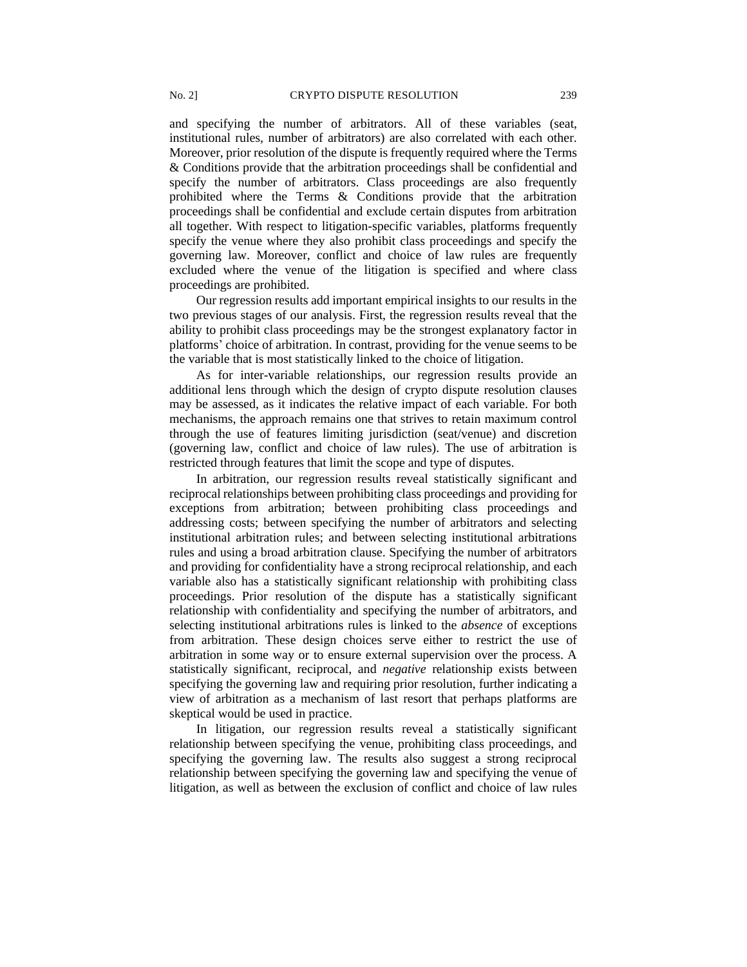and specifying the number of arbitrators. All of these variables (seat, institutional rules, number of arbitrators) are also correlated with each other. Moreover, prior resolution of the dispute is frequently required where the Terms & Conditions provide that the arbitration proceedings shall be confidential and specify the number of arbitrators. Class proceedings are also frequently prohibited where the Terms & Conditions provide that the arbitration proceedings shall be confidential and exclude certain disputes from arbitration all together. With respect to litigation-specific variables, platforms frequently specify the venue where they also prohibit class proceedings and specify the governing law. Moreover, conflict and choice of law rules are frequently excluded where the venue of the litigation is specified and where class proceedings are prohibited.

Our regression results add important empirical insights to our results in the two previous stages of our analysis. First, the regression results reveal that the ability to prohibit class proceedings may be the strongest explanatory factor in platforms' choice of arbitration. In contrast, providing for the venue seems to be the variable that is most statistically linked to the choice of litigation.

As for inter-variable relationships, our regression results provide an additional lens through which the design of crypto dispute resolution clauses may be assessed, as it indicates the relative impact of each variable. For both mechanisms, the approach remains one that strives to retain maximum control through the use of features limiting jurisdiction (seat/venue) and discretion (governing law, conflict and choice of law rules). The use of arbitration is restricted through features that limit the scope and type of disputes.

In arbitration, our regression results reveal statistically significant and reciprocal relationships between prohibiting class proceedings and providing for exceptions from arbitration; between prohibiting class proceedings and addressing costs; between specifying the number of arbitrators and selecting institutional arbitration rules; and between selecting institutional arbitrations rules and using a broad arbitration clause. Specifying the number of arbitrators and providing for confidentiality have a strong reciprocal relationship, and each variable also has a statistically significant relationship with prohibiting class proceedings. Prior resolution of the dispute has a statistically significant relationship with confidentiality and specifying the number of arbitrators, and selecting institutional arbitrations rules is linked to the *absence* of exceptions from arbitration. These design choices serve either to restrict the use of arbitration in some way or to ensure external supervision over the process. A statistically significant, reciprocal, and *negative* relationship exists between specifying the governing law and requiring prior resolution, further indicating a view of arbitration as a mechanism of last resort that perhaps platforms are skeptical would be used in practice.

In litigation, our regression results reveal a statistically significant relationship between specifying the venue, prohibiting class proceedings, and specifying the governing law. The results also suggest a strong reciprocal relationship between specifying the governing law and specifying the venue of litigation, as well as between the exclusion of conflict and choice of law rules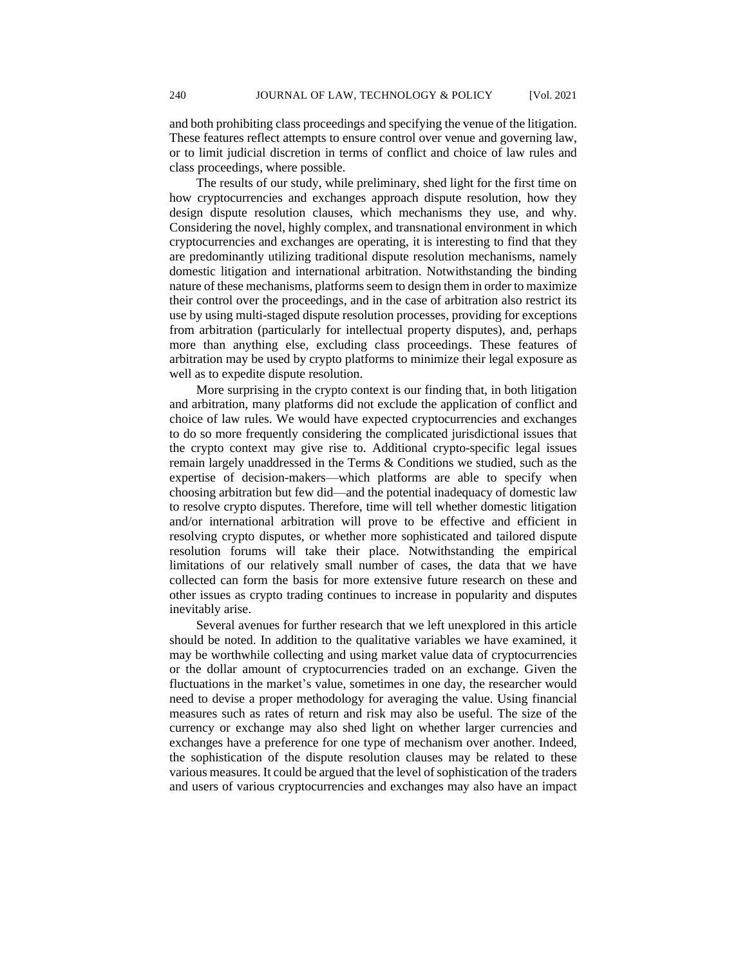and both prohibiting class proceedings and specifying the venue of the litigation. These features reflect attempts to ensure control over venue and governing law, or to limit judicial discretion in terms of conflict and choice of law rules and class proceedings, where possible.

The results of our study, while preliminary, shed light for the first time on how cryptocurrencies and exchanges approach dispute resolution, how they design dispute resolution clauses, which mechanisms they use, and why. Considering the novel, highly complex, and transnational environment in which cryptocurrencies and exchanges are operating, it is interesting to find that they are predominantly utilizing traditional dispute resolution mechanisms, namely domestic litigation and international arbitration. Notwithstanding the binding nature of these mechanisms, platforms seem to design them in order to maximize their control over the proceedings, and in the case of arbitration also restrict its use by using multi-staged dispute resolution processes, providing for exceptions from arbitration (particularly for intellectual property disputes), and, perhaps more than anything else, excluding class proceedings. These features of arbitration may be used by crypto platforms to minimize their legal exposure as well as to expedite dispute resolution.

More surprising in the crypto context is our finding that, in both litigation and arbitration, many platforms did not exclude the application of conflict and choice of law rules. We would have expected cryptocurrencies and exchanges to do so more frequently considering the complicated jurisdictional issues that the crypto context may give rise to. Additional crypto-specific legal issues remain largely unaddressed in the Terms & Conditions we studied, such as the expertise of decision-makers—which platforms are able to specify when choosing arbitration but few did—and the potential inadequacy of domestic law to resolve crypto disputes. Therefore, time will tell whether domestic litigation and/or international arbitration will prove to be effective and efficient in resolving crypto disputes, or whether more sophisticated and tailored dispute resolution forums will take their place. Notwithstanding the empirical limitations of our relatively small number of cases, the data that we have collected can form the basis for more extensive future research on these and other issues as crypto trading continues to increase in popularity and disputes inevitably arise.

Several avenues for further research that we left unexplored in this article should be noted. In addition to the qualitative variables we have examined, it may be worthwhile collecting and using market value data of cryptocurrencies or the dollar amount of cryptocurrencies traded on an exchange. Given the fluctuations in the market's value, sometimes in one day, the researcher would need to devise a proper methodology for averaging the value. Using financial measures such as rates of return and risk may also be useful. The size of the currency or exchange may also shed light on whether larger currencies and exchanges have a preference for one type of mechanism over another. Indeed, the sophistication of the dispute resolution clauses may be related to these various measures. It could be argued that the level of sophistication of the traders and users of various cryptocurrencies and exchanges may also have an impact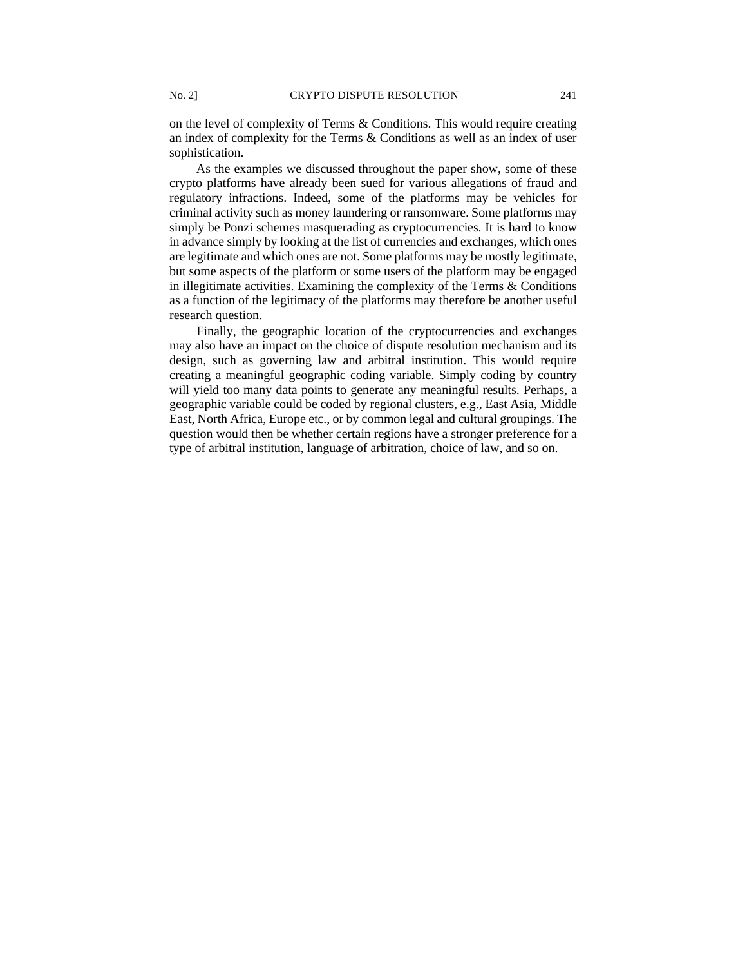on the level of complexity of Terms & Conditions. This would require creating an index of complexity for the Terms & Conditions as well as an index of user sophistication.

As the examples we discussed throughout the paper show, some of these crypto platforms have already been sued for various allegations of fraud and regulatory infractions. Indeed, some of the platforms may be vehicles for criminal activity such as money laundering or ransomware. Some platforms may simply be Ponzi schemes masquerading as cryptocurrencies. It is hard to know in advance simply by looking at the list of currencies and exchanges, which ones are legitimate and which ones are not. Some platforms may be mostly legitimate, but some aspects of the platform or some users of the platform may be engaged in illegitimate activities. Examining the complexity of the Terms & Conditions as a function of the legitimacy of the platforms may therefore be another useful research question.

Finally, the geographic location of the cryptocurrencies and exchanges may also have an impact on the choice of dispute resolution mechanism and its design, such as governing law and arbitral institution. This would require creating a meaningful geographic coding variable. Simply coding by country will yield too many data points to generate any meaningful results. Perhaps, a geographic variable could be coded by regional clusters, e.g., East Asia, Middle East, North Africa, Europe etc., or by common legal and cultural groupings. The question would then be whether certain regions have a stronger preference for a type of arbitral institution, language of arbitration, choice of law, and so on.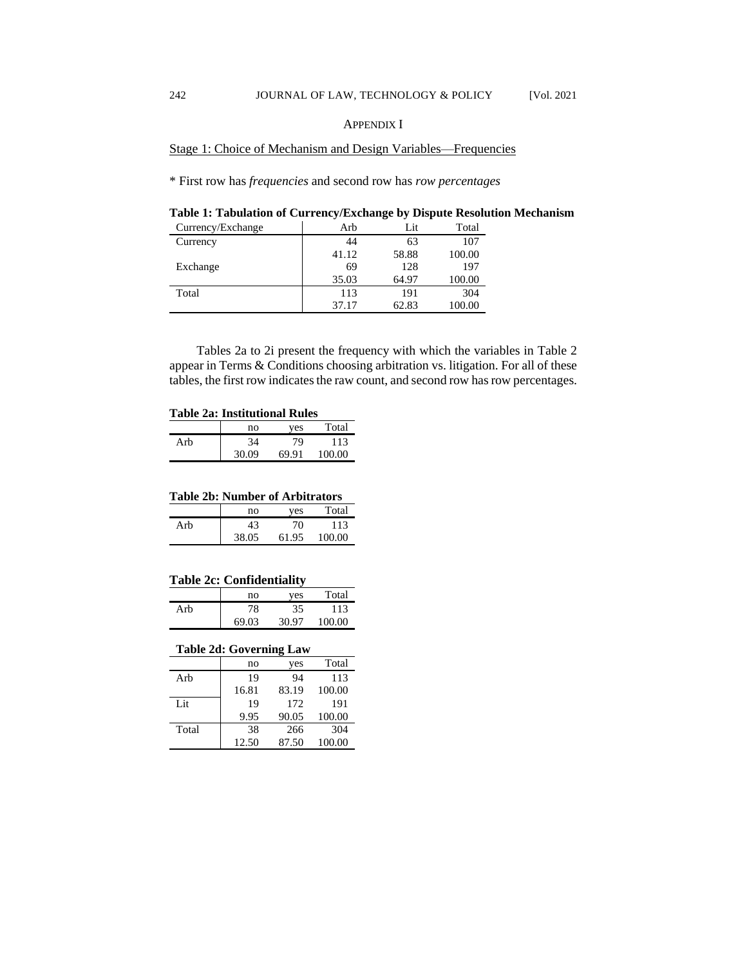Stage 1: Choice of Mechanism and Design Variables—Frequencies

\* First row has *frequencies* and second row has *row percentages*

**Table 1: Tabulation of Currency/Exchange by Dispute Resolution Mechanism**

| Currency/Exchange | Arb   | Lit   | Total  |
|-------------------|-------|-------|--------|
| Currency          | 44    | 63    | 107    |
|                   | 41.12 | 58.88 | 100.00 |
| Exchange          | 69    | 128   | 197    |
|                   | 35.03 | 64.97 | 100.00 |
| Total             | 113   | 191   | 304    |
|                   | 37.17 | 62.83 | 100.00 |

Tables 2a to 2i present the frequency with which the variables in Table 2 appear in Terms & Conditions choosing arbitration vs. litigation. For all of these tables, the first row indicates the raw count, and second row has row percentages.

#### **Table 2a: Institutional Rules**

|     | no    | ves   | Total  |
|-----|-------|-------|--------|
| Arb | 34    | 79    | 113    |
|     | 30.09 | 69.91 | 100.00 |

#### **Table 2b: Number of Arbitrators**

|     | no    | ves   | Total  |
|-----|-------|-------|--------|
| Arb |       | 70    | 113    |
|     | 38.05 | 61.95 | 100.00 |

#### **Table 2c: Confidentiality**

|     | no    | ves   | Total  |
|-----|-------|-------|--------|
| Arb | 78    | 35    | 113    |
|     | 69.03 | 30.97 | 100.00 |

#### **Table 2d: Governing Law**

|       | no    | yes   | Total  |
|-------|-------|-------|--------|
| Arb   | 19    | 94    | 113    |
|       | 16.81 | 83.19 | 100.00 |
| Lit   | 19    | 172   | 191    |
|       | 9.95  | 90.05 | 100.00 |
| Total | 38    | 266   | 304    |
|       | 12.50 | 87.50 | 100.00 |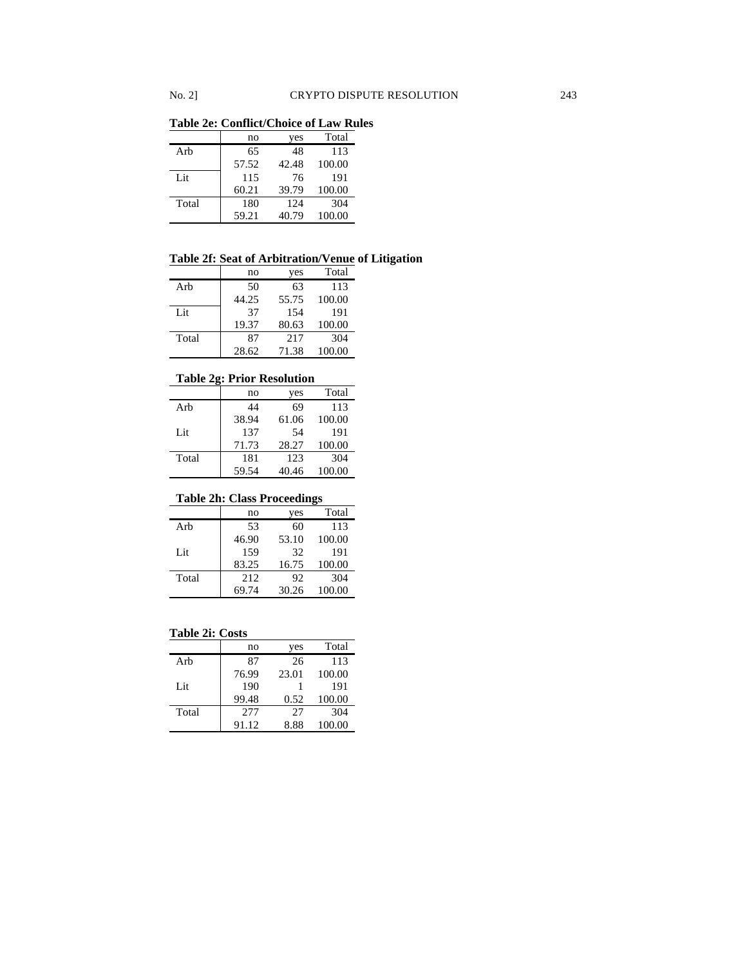**Table 2e: Conflict/Choice of Law Rules**

|       | no    | yes   | Total  |
|-------|-------|-------|--------|
| Arb   | 65    | 48    | 113    |
|       | 57.52 | 42.48 | 100.00 |
| Lit   | 115   | 76    | 191    |
|       | 60.21 | 39.79 | 100.00 |
| Total | 180   | 124   | 304    |
|       | 59.21 | 40.79 | 100.00 |

### **Table 2f: Seat of Arbitration/Venue of Litigation**

|       | no    | yes   | Total  |
|-------|-------|-------|--------|
| Arb   | 50    | 63    | 113    |
|       | 44.25 | 55.75 | 100.00 |
| Lit   | 37    | 154   | 191    |
|       | 19.37 | 80.63 | 100.00 |
| Total | 87    | 217   | 304    |
|       | 28.62 | 71.38 | 100.00 |

#### **Table 2g: Prior Resolution**

|       | no    | yes   | Total  |
|-------|-------|-------|--------|
| Arb   | 44    | 69    | 113    |
|       | 38.94 | 61.06 | 100.00 |
| Lit   | 137   | 54    | 191    |
|       | 71.73 | 28.27 | 100.00 |
| Total | 181   | 123   | 304    |
|       | 59.54 | 40.46 | 100.00 |

#### **Table 2h: Class Proceedings**

|       | no    | yes   | Total  |
|-------|-------|-------|--------|
| Arb   | 53    | 60    | 113    |
|       | 46.90 | 53.10 | 100.00 |
| Lit   | 159   | 32    | 191    |
|       | 83.25 | 16.75 | 100.00 |
| Total | 212   | 92    | 304    |
|       | 69.74 | 30.26 | 100.00 |

### **Table 2i: Costs**

|       | no    | yes   | Total  |
|-------|-------|-------|--------|
| Arb   | 87    | 26    | 113    |
|       | 76.99 | 23.01 | 100.00 |
| Lit   | 190   |       | 191    |
|       | 99.48 | 0.52  | 100.00 |
| Total | 277   | 27    | 304    |
|       | 91.12 | 8.88  | 100.00 |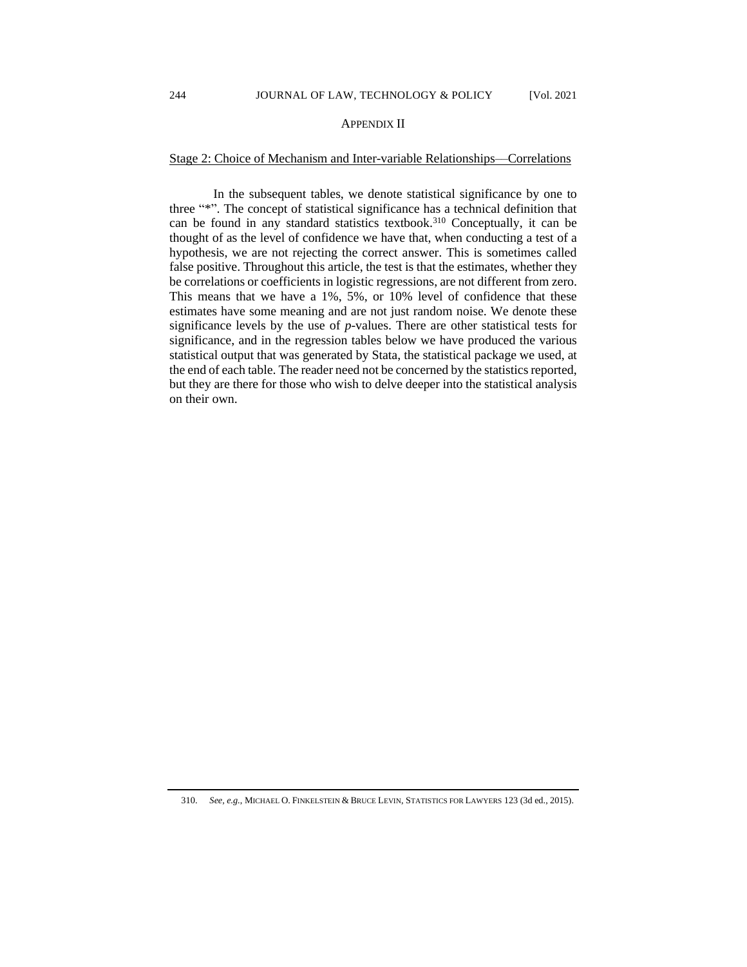#### APPENDIX II

#### Stage 2: Choice of Mechanism and Inter-variable Relationships––Correlations

In the subsequent tables, we denote statistical significance by one to three "\*". The concept of statistical significance has a technical definition that can be found in any standard statistics textbook.<sup>310</sup> Conceptually, it can be thought of as the level of confidence we have that, when conducting a test of a hypothesis, we are not rejecting the correct answer. This is sometimes called false positive. Throughout this article, the test is that the estimates, whether they be correlations or coefficients in logistic regressions, are not different from zero. This means that we have a 1%, 5%, or 10% level of confidence that these estimates have some meaning and are not just random noise. We denote these significance levels by the use of *p*-values. There are other statistical tests for significance, and in the regression tables below we have produced the various statistical output that was generated by Stata, the statistical package we used, at the end of each table. The reader need not be concerned by the statistics reported, but they are there for those who wish to delve deeper into the statistical analysis on their own.

<sup>310.</sup> *See, e.g.*, MICHAEL O. FINKELSTEIN & BRUCE LEVIN, STATISTICS FOR LAWYERS 123 (3d ed., 2015).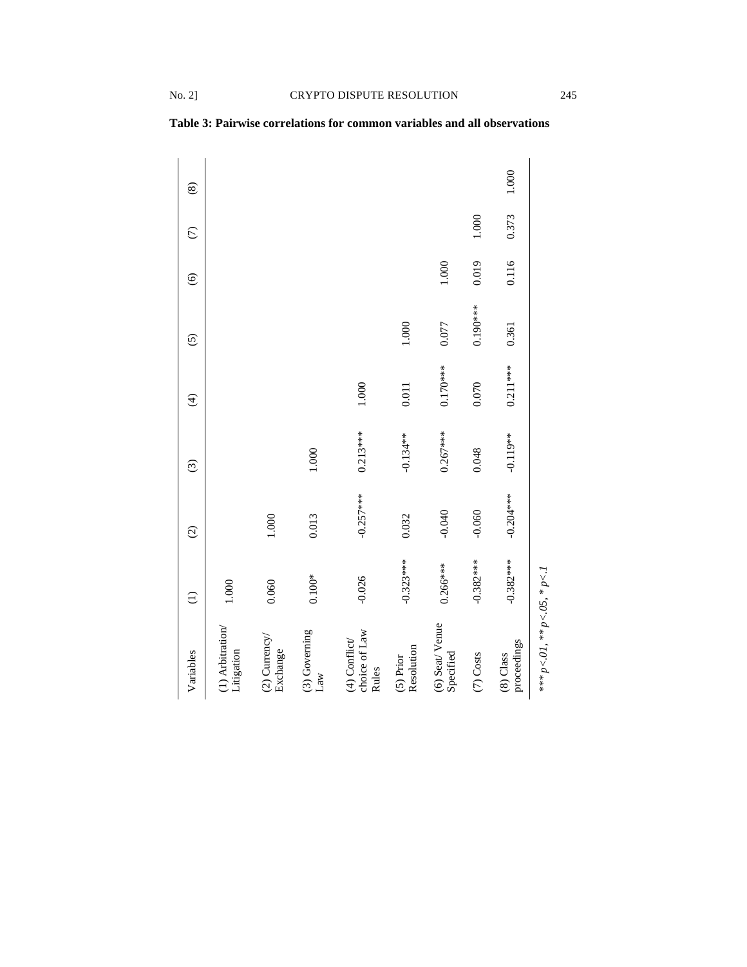| Variables                                 | $\widehat{\Xi}$ | $\widehat{\infty}$ | $\widehat{\odot}$ | $\widehat{\mathcal{F}}$ | $\widehat{c}$ | $\widehat{\mathbf{e}}$ | $\widehat{C}$ | $\circledast$ |
|-------------------------------------------|-----------------|--------------------|-------------------|-------------------------|---------------|------------------------|---------------|---------------|
| $(1)$ Arbitration<br>Litigation           | 1.000           |                    |                   |                         |               |                        |               |               |
| $(2)$ Currency<br>Exchange                | 0.060           | 1.000              |                   |                         |               |                        |               |               |
| (3) Governing<br>Law                      | $0.100*$        | 0.013              | 1.000             |                         |               |                        |               |               |
| choice of Law<br>$(4)$ Conflict/<br>Rules | $-0.026$        | $-0.257***$        | $0.213***$        | 1.000                   |               |                        |               |               |
| Resolution<br>$(5)$ Prior                 | $-0.323***$     | 0.032              | $-0.134**$        | 0.011                   | 1.000         |                        |               |               |
| (6) Seat/Venue<br>Specified               | $0.266***$      | $-0.040$           | $0.267***$        | $0.170***$              | 0.077         | $1.000$                |               |               |
| (7) Costs                                 | $-0.382***$     | $-0.060$           | 0.048             | 0.070                   | $0.190***$    | 0.019                  | 1.000         |               |
| proceedings<br>$(8)$ Class                | $-0.382***$     | $-0.204***$        | $-0.119**$        | $0.211***$              | 0.361         | 0.116                  | 0.373         | 1.000         |
| *** $p < 01$ , ** $p < 05$ , * $p < 1$    |                 |                    |                   |                         |               |                        |               |               |

**Table 3: Pairwise correlations for common variables and all observations**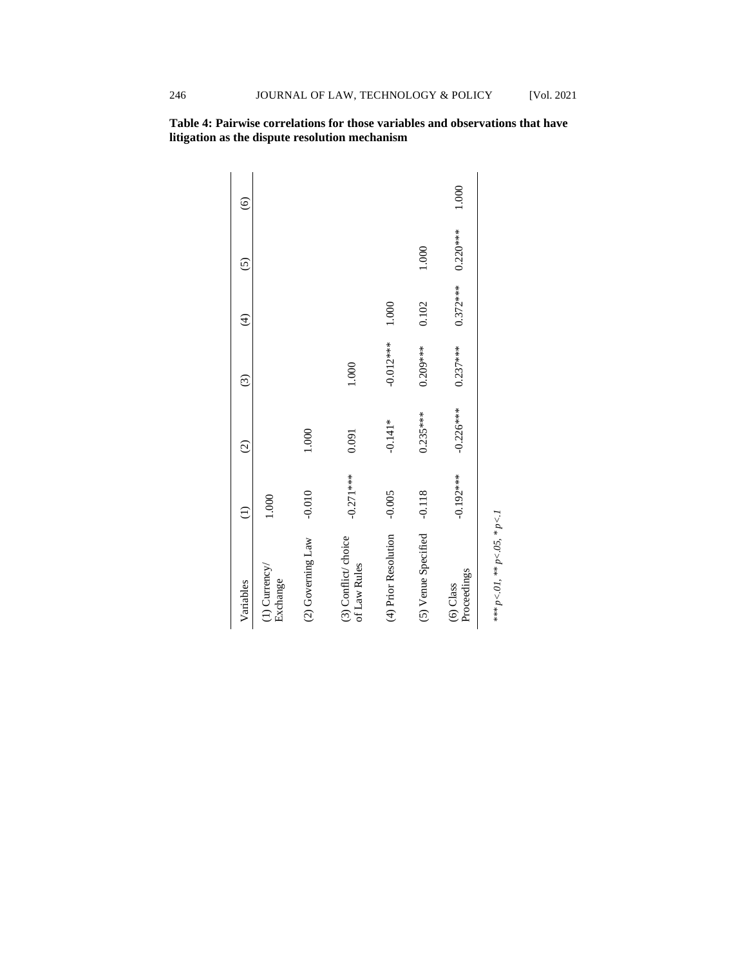1.000 (6)  $0.220***$ 1.000 (5) 0.372\*\*\* 0.102 1.000  $\bigoplus$ -0.012\*\*\* 0.209\*\*\* 0.237\*\*\* 1.000 (3) -0.226\*\*\*  $0.235***$ -0.141\* 1.000 0.091  $\odot$ -0.192\*\*\* -0.271\*\*\* -0.010 -0.005 (5) Venue Specified -0.118 1.000  $\ominus$  $*** p\!<\!01,*** p\!<\!05, *p\!<\!1$ *\*\*\* p<.01, \*\* p<.05, \* p<.1* (4) Prior Resolution (3) Conflict/ choice<br>of Law Rules  $(2)$  Governing Law (3) Conflict/ choice (4) Prior Resolution (5) Venue Specified (2) Governing Law (1) Currency/<br>Exchange (1) Currency/ (6) Class ProceedingsVariables

**Table 4: Pairwise correlations for those variables and observations that have litigation as the dispute resolution mechanism**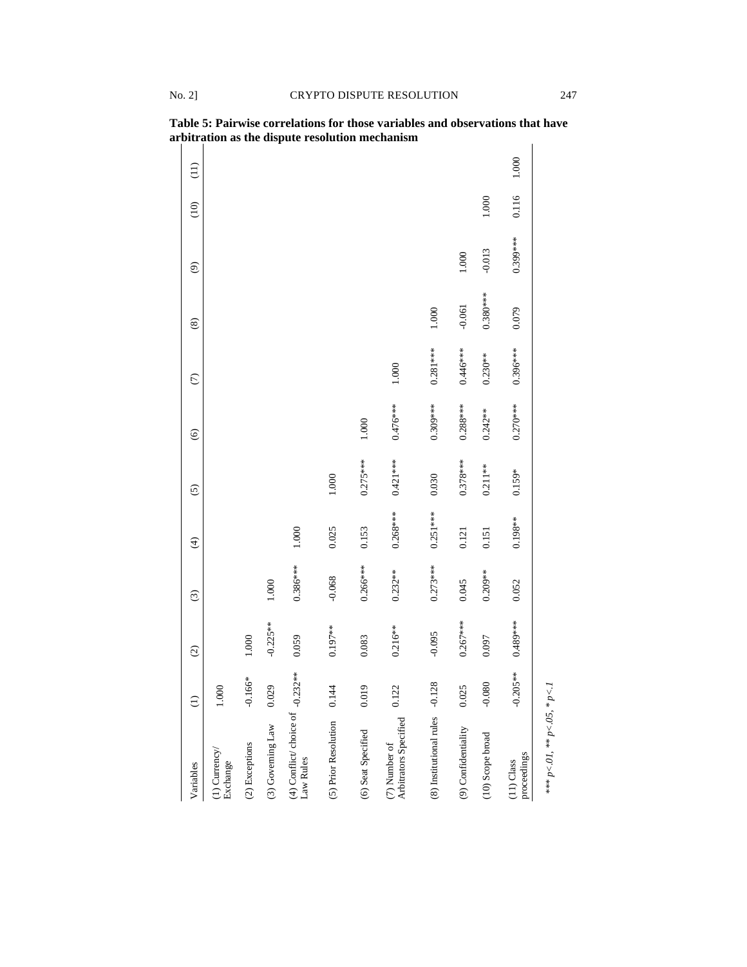| Variables                                       | $\widehat{\Xi}$ | $\odot$     | $\odot$    | $\bigoplus$ | $\odot$    | $\widehat{\mathbf{e}}$ | $\widehat{C}$ | $\circledast$ | $\odot$    | $\frac{1}{2}$ | $\left( \frac{1}{2} \right)$ |
|-------------------------------------------------|-----------------|-------------|------------|-------------|------------|------------------------|---------------|---------------|------------|---------------|------------------------------|
| (1) Currency<br>Exchange                        | 1.000           |             |            |             |            |                        |               |               |            |               |                              |
| (2) Exceptions                                  | .66*<br>$-0.1$  | $1.000\,$   |            |             |            |                        |               |               |            |               |                              |
| (3) Governing Law                               | 0.029           | $-0.225***$ | 1.000      |             |            |                        |               |               |            |               |                              |
| (4) Conflict/ choice of $-0.232**$<br>Law Rules |                 | 0.059       | $0.386***$ | 1.000       |            |                        |               |               |            |               |                              |
| (5) Prior Resolution                            | 0.144           | $0.197***$  | $-0.068$   | 0.025       | 1.000      |                        |               |               |            |               |                              |
| (6) Seat Specified                              | 0.019           | 0.083       | $0.266***$ | 0.153       | $0.275***$ | 1.000                  |               |               |            |               |                              |
| Arbitrators Specified<br>(7) Number of          | 0.122           | $0.216***$  | $0.232**$  | $0.268***$  | $0.421***$ | 0.476***               | 1.000         |               |            |               |                              |
| (8) Institutional rules -0.1                    | 128             | $-0.095$    | $0.273***$ | $0.251***$  | 0.030      | $0.309***$             | $0.281***$    | 1.000         |            |               |                              |
| (9) Confidentiality                             | 0.025           | $0.267***$  | 0.045      | 0.121       | $0.378***$ | $0.288***$             | 0.446***      | $-0.061$      | 1.000      |               |                              |
| (10) Scope broad                                | $-0.080$        | 0.097       | $0.209**$  | 0.151       | $0.211**$  | $0.242**$              | $0.230***$    | $0.380***$    | $-0.013$   | 1.000         |                              |
| proceedings<br>$(11)$ Class                     | $-0.205**$      | $0.489***$  | 0.052      | $0.198***$  | $0.159*$   | $0.270***$             | $0.396***$    | 0.079         | $0.399***$ | 0.116         | 1.000                        |
| *** $p < 01$ , ** $p < 05$ , * $p < 1$          |                 |             |            |             |            |                        |               |               |            |               |                              |

**Table 5: Pairwise correlations for those variables and observations that have arbitration as the dispute resolution mechanism**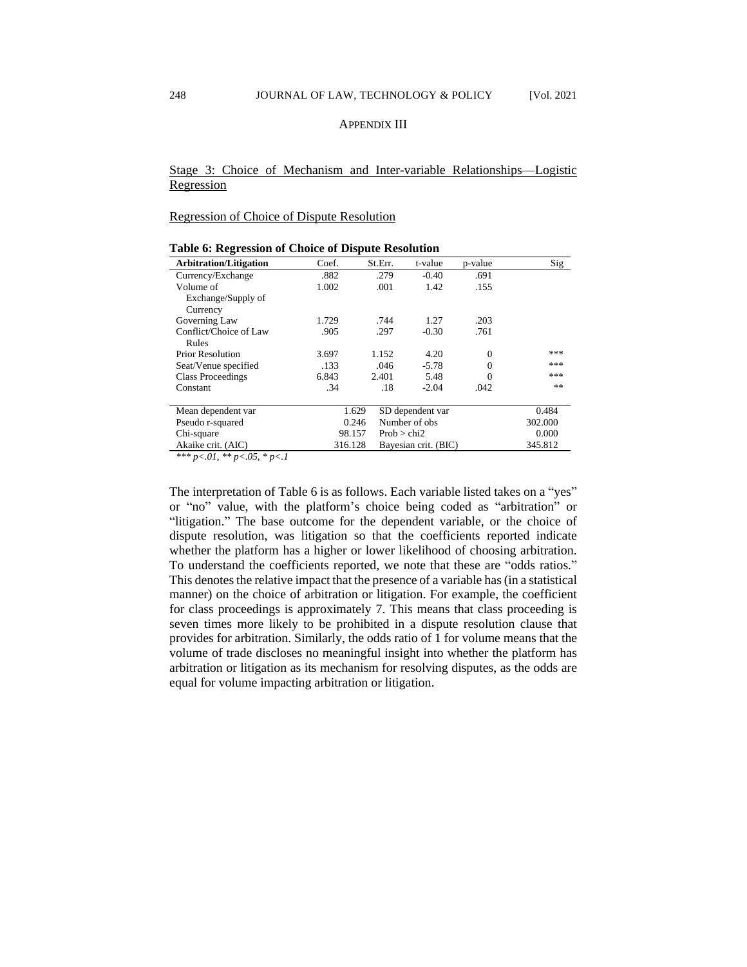#### APPENDIX III

### Stage 3: Choice of Mechanism and Inter-variable Relationships––Logistic **Regression**

Regression of Choice of Dispute Resolution

| radic v. Kegression or Choice or Dispute Resolution |         |             |                      |          |         |
|-----------------------------------------------------|---------|-------------|----------------------|----------|---------|
| <b>Arbitration/Litigation</b>                       | Coef.   | St.Err.     | t-value              | p-value  | Sig     |
| Currency/Exchange                                   | .882    | .279        | $-0.40$              | .691     |         |
| Volume of                                           | 1.002   | .001        | 1.42                 | .155     |         |
| Exchange/Supply of                                  |         |             |                      |          |         |
| Currency                                            |         |             |                      |          |         |
| Governing Law                                       | 1.729   | .744        | 1.27                 | .203     |         |
| Conflict/Choice of Law                              | .905    | .297        | $-0.30$              | .761     |         |
| Rules                                               |         |             |                      |          |         |
| <b>Prior Resolution</b>                             | 3.697   | 1.152       | 4.20                 | $\Omega$ | ***     |
| Seat/Venue specified                                | .133    | .046        | $-5.78$              | $\Omega$ | ***     |
| Class Proceedings                                   | 6.843   | 2.401       | 5.48                 | 0        | ***     |
| Constant                                            | .34     | .18         | $-2.04$              | .042     | **      |
| Mean dependent var                                  | 1.629   |             | SD dependent var     |          | 0.484   |
| Pseudo r-squared                                    | 0.246   |             | Number of obs.       |          | 302,000 |
| Chi-square                                          | 98.157  | Prob > chi2 |                      |          | 0.000   |
| Akaike crit. (AIC)                                  | 316.128 |             | Bayesian crit. (BIC) |          | 345.812 |
| $\sim$ $ \sim$<br>$\mathbf{r}$                      |         |             |                      |          |         |

| Table 6: Regression of Choice of Dispute Resolution |  |
|-----------------------------------------------------|--|
|-----------------------------------------------------|--|

*\*\*\* p<.01, \*\* p<.05, \* p<.1*

The interpretation of Table 6 is as follows. Each variable listed takes on a "yes" or "no" value, with the platform's choice being coded as "arbitration" or "litigation." The base outcome for the dependent variable, or the choice of dispute resolution, was litigation so that the coefficients reported indicate whether the platform has a higher or lower likelihood of choosing arbitration. To understand the coefficients reported, we note that these are "odds ratios." This denotes the relative impact that the presence of a variable has (in a statistical manner) on the choice of arbitration or litigation. For example, the coefficient for class proceedings is approximately 7. This means that class proceeding is seven times more likely to be prohibited in a dispute resolution clause that provides for arbitration. Similarly, the odds ratio of 1 for volume means that the volume of trade discloses no meaningful insight into whether the platform has arbitration or litigation as its mechanism for resolving disputes, as the odds are equal for volume impacting arbitration or litigation.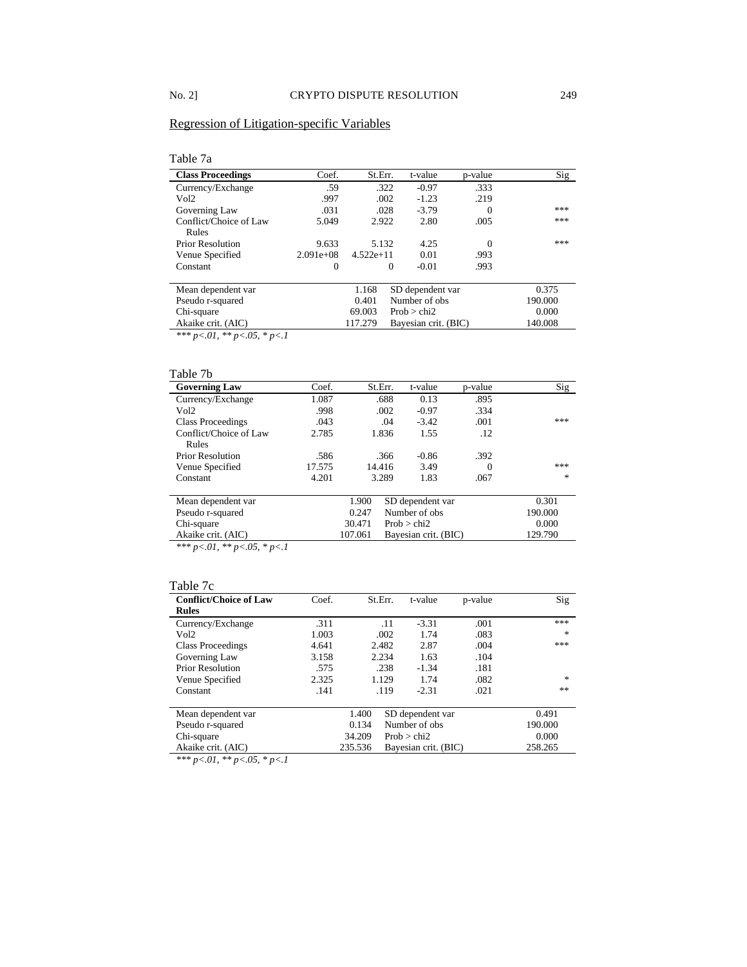### Regression of Litigation-specific Variables

### Table 7a

| <b>Class Proceedings</b>                         | Coef.       | St.Err.                                      | t-value        | p-value | Sig   |
|--------------------------------------------------|-------------|----------------------------------------------|----------------|---------|-------|
| Currency/Exchange                                | .59         | .322                                         | $-0.97$        | .333    |       |
| Vol2                                             | .997        | .002                                         | $-1.23$        | .219    |       |
| Governing Law                                    | .031        | .028                                         | $-3.79$        |         | ***   |
| Conflict/Choice of Law<br>Rules                  | 5.049       | 2.922                                        | 2.80           | .005    | ***   |
| <b>Prior Resolution</b>                          | 9.633       | 5.132                                        | 4.25           |         | ***   |
| Venue Specified                                  | $2.091e+08$ | $4.522e+11$                                  | 0.01           | .993    |       |
| Constant                                         | $\theta$    | $\Omega$                                     | $-0.01$        | .993    |       |
| $\mathbf{r}$<br>$\blacksquare$<br>$\blacksquare$ |             | $\alpha$ $\sim$ $\alpha$<br>1.1 <sub>0</sub> | $\blacksquare$ |         | 0.277 |

| Mean dependent var |         | 1.168 SD dependent var | 0.375   |
|--------------------|---------|------------------------|---------|
| Pseudo r-squared   |         | 0.401 Number of obs    | 190.000 |
| Chi-square         | 69.003  | Prob > chi2            | 0.000   |
| Akaike crit. (AIC) | 117.279 | Bayesian crit. (BIC)   | 140.008 |
|                    |         |                        |         |

*\*\*\* p<.01, \*\* p<.05, \* p<.1*

#### Table 7b

| <b>Governing Law</b>     | Coef.  | St.Err. | t-value              | p-value | Sig     |
|--------------------------|--------|---------|----------------------|---------|---------|
| Currency/Exchange        | 1.087  |         | .688<br>0.13         | .895    |         |
| Vol <sub>2</sub>         | .998   |         | .002<br>$-0.97$      | .334    |         |
| <b>Class Proceedings</b> | .043   |         | $-3.42$<br>.04       | .001    | ***     |
| Conflict/Choice of Law   | 2.785  | 1.836   | 1.55                 | .12     |         |
| Rules                    |        |         |                      |         |         |
| <b>Prior Resolution</b>  | .586   |         | $-0.86$<br>.366      | .392    |         |
| Venue Specified          | 17.575 | 14.416  | 3.49                 | 0       | ***     |
| Constant                 | 4.201  | 3.289   | 1.83                 | .067    | 永       |
|                          |        |         |                      |         |         |
| Mean dependent var       |        | 1.900   | SD dependent var     |         | 0.301   |
| Pseudo r-squared         |        | 0.247   | Number of obs        |         | 190.000 |
| Chi-square               |        | 30.471  | Prob > chi2          |         | 0.000   |
| Akaike crit. (AIC)       |        | 107.061 | Bayesian crit. (BIC) |         | 129.790 |

*\*\*\* p<.01, \*\* p<.05, \* p<.1*

#### Table 7c

| <b>Conflict/Choice of Law</b><br><b>Rules</b> | Coef. | St.Err. | t-value          | p-value | Sig     |
|-----------------------------------------------|-------|---------|------------------|---------|---------|
| Currency/Exchange                             | .311  | .11     | $-3.31$          | .001    | ***     |
| Vol2                                          | 1.003 | .002    | 1.74             | .083    | 永       |
| <b>Class Proceedings</b>                      | 4.641 | 2.482   | 2.87             | .004    | ***     |
| Governing Law                                 | 3.158 | 2.234   | 1.63             | .104    |         |
| <b>Prior Resolution</b>                       | .575  | .238    | $-1.34$          | .181    |         |
| Venue Specified                               | 2.325 | 1.129   | 1.74             | .082    | 永       |
| Constant                                      | .141  | .119    | $-2.31$          | .021    | **      |
| Mean dependent var                            |       | 1.400   | SD dependent var |         | 0.491   |
| Pseudo r-squared                              |       | 0.134   | Number of obs    |         | 190.000 |

| Chi-square         | $34.209$ Prob $>$ chi2       | $0.000\,$ |
|--------------------|------------------------------|-----------|
| Akaike crit. (AIC) | 235.536 Bayesian crit. (BIC) | 258.265   |

 $\frac{P_{\text{RMR}}}{* \times p}$  *\*\* p* <.01, \*\* *p* <.05, \* *p* <.1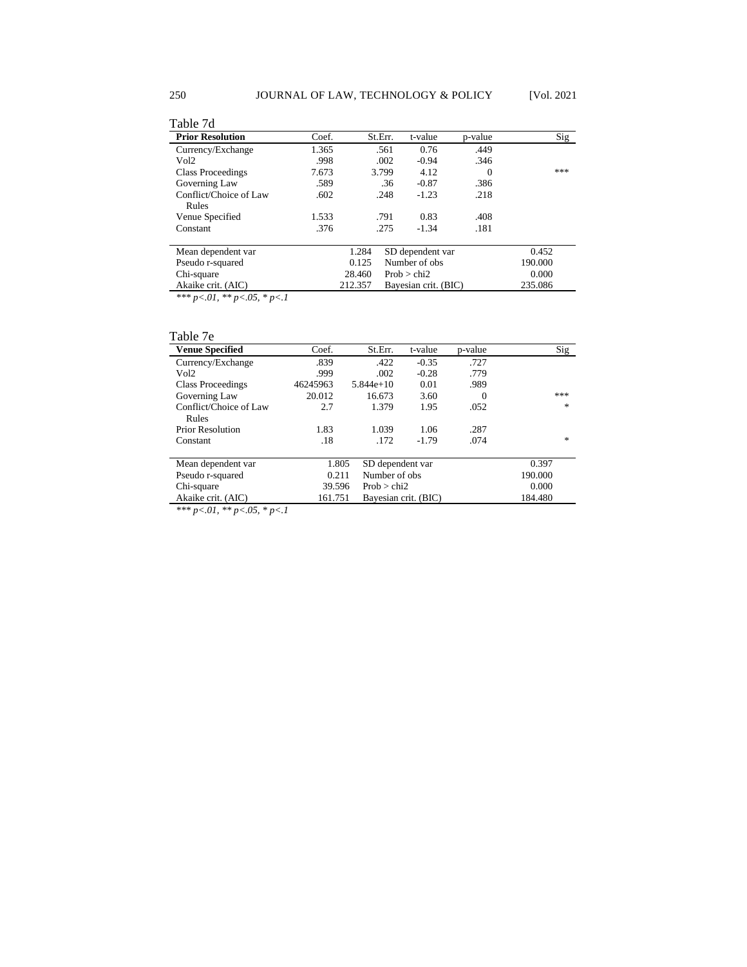| <b>Prior Resolution</b> | Coef. |         | St.Err. | t-value              | p-value | Sig     |
|-------------------------|-------|---------|---------|----------------------|---------|---------|
| Currency/Exchange       | 1.365 |         | .561    | 0.76                 | .449    |         |
| Vol <sub>2</sub>        | .998  |         | .002    | $-0.94$              | .346    |         |
| Class Proceedings       | 7.673 |         | 3.799   | 4.12                 | 0       | ***     |
| Governing Law           | .589  |         | .36     | $-0.87$              | .386    |         |
| Conflict/Choice of Law  | .602  |         | .248    | $-1.23$              | .218    |         |
| Rules                   |       |         |         |                      |         |         |
| Venue Specified         | 1.533 |         | .791    | 0.83                 | .408    |         |
| Constant                | .376  |         | .275    | $-1.34$              | .181    |         |
| Mean dependent var      |       | 1.284   |         | SD dependent var     |         | 0.452   |
| Pseudo r-squared        |       | 0.125   |         | Number of obs        |         | 190.000 |
| Chi-square              |       | 28.460  |         | Prob > chi2          |         | 0.000   |
| Akaike crit. (AIC)      |       | 212.357 |         | Bayesian crit. (BIC) |         | 235.086 |

*Akaike crit. (AIC)*<br>\*\*\* *p<.01,* \*\* *p* <.05, \* *p* <.1

## Table 7e

| <b>Venue Specified</b>                 | Coef.    | St.Err.              | t-value | p-value | Sig           |
|----------------------------------------|----------|----------------------|---------|---------|---------------|
| Currency/Exchange                      | .839     | .422                 | $-0.35$ | .727    |               |
| Vol <sub>2</sub>                       | .999     | .002                 | $-0.28$ | .779    |               |
| Class Proceedings                      | 46245963 | $5.844e+10$          | 0.01    | .989    |               |
| Governing Law                          | 20.012   | 16.673               | 3.60    | 0       | ***           |
| Conflict/Choice of Law                 | 2.7      | 1.379                | 1.95    | .052    | $\frac{1}{2}$ |
| Rules                                  |          |                      |         |         |               |
| <b>Prior Resolution</b>                | 1.83     | 1.039                | 1.06    | .287    |               |
| Constant                               | .18      | .172                 | $-1.79$ | .074    | *             |
|                                        |          |                      |         |         |               |
| Mean dependent var                     | 1.805    | SD dependent var     |         |         | 0.397         |
| Pseudo r-squared                       | 0.211    | Number of obs.       |         |         | 190.000       |
| Chi-square                             | 39.596   | Prob > chi2          |         |         | 0.000         |
| Akaike crit. (AIC)                     | 161.751  | Bayesian crit. (BIC) |         |         | 184.480       |
| *** $p < 01$ , ** $p < 05$ , * $p < 1$ |          |                      |         |         |               |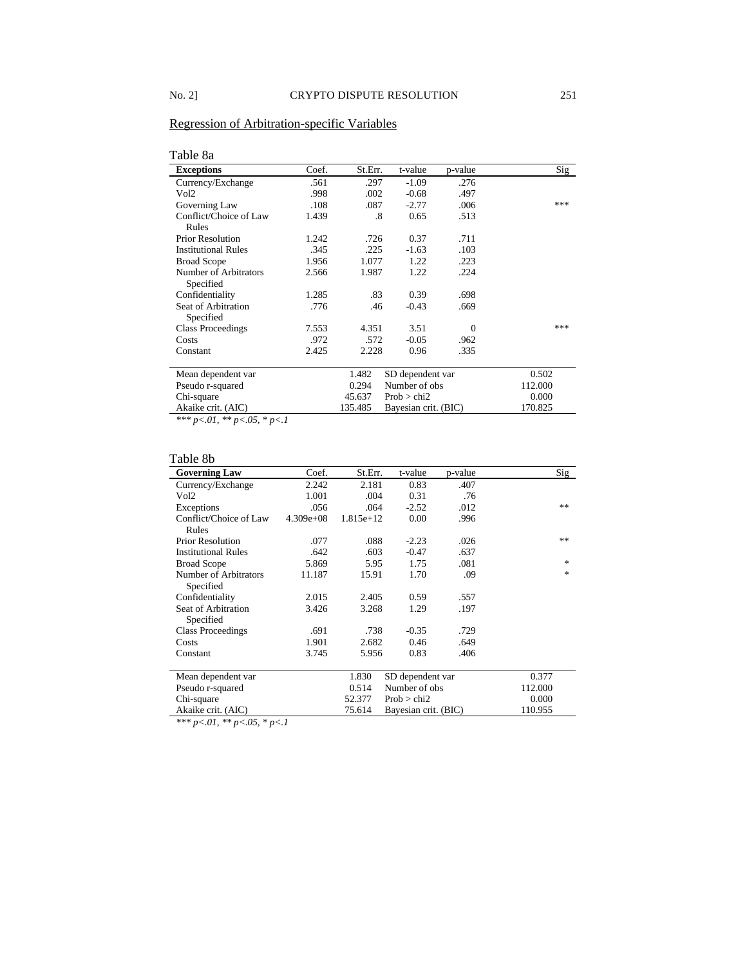## Regression of Arbitration-specific Variables

## Table 8a

| <b>Exceptions</b>          | Coef. | St.Err. | t-value              | p-value  | Sig     |
|----------------------------|-------|---------|----------------------|----------|---------|
| Currency/Exchange          | .561  | .297    | $-1.09$              | .276     |         |
| Vol2                       | .998  | .002    | $-0.68$              | .497     |         |
| Governing Law              | .108  | .087    | $-2.77$              | .006     | ***     |
| Conflict/Choice of Law     | 1.439 | .8      | 0.65                 | .513     |         |
| Rules                      |       |         |                      |          |         |
| <b>Prior Resolution</b>    | 1.242 | .726    | 0.37                 | .711     |         |
| <b>Institutional Rules</b> | .345  | .225    | $-1.63$              | .103     |         |
| <b>Broad Scope</b>         | 1.956 | 1.077   | 1.22                 | .223     |         |
| Number of Arbitrators      | 2.566 | 1.987   | 1.22                 | .224     |         |
| Specified                  |       |         |                      |          |         |
| Confidentiality            | 1.285 | .83     | 0.39                 | .698     |         |
| Seat of Arbitration        | .776  | .46     | $-0.43$              | .669     |         |
| Specified                  |       |         |                      |          |         |
| <b>Class Proceedings</b>   | 7.553 | 4.351   | 3.51                 | $\Omega$ | ***     |
| Costs                      | .972  | .572    | $-0.05$              | .962     |         |
| Constant                   | 2.425 | 2.228   | 0.96                 | .335     |         |
| Mean dependent var         |       | 1.482   | SD dependent var     |          | 0.502   |
| Pseudo r-squared           |       | 0.294   | Number of obs        |          | 112.000 |
| Chi-square                 |       | 45.637  | Prob > chi2          |          | 0.000   |
| Akaike crit. (AIC)         |       | 135.485 | Bayesian crit. (BIC) |          | 170.825 |

*\*\*\* p<.01, \*\* p<.05, \* p<.1*

# Table 8b

| <b>Governing Law</b>               | Coef.       | St.Err.     | t-value              | p-value | Sig           |
|------------------------------------|-------------|-------------|----------------------|---------|---------------|
| Currency/Exchange                  | 2.242       | 2.181       | 0.83                 | .407    |               |
| Vol2                               | 1.001       | .004        | 0.31                 | .76     |               |
| Exceptions                         | .056        | .064        | $-2.52$              | .012    | **            |
| Conflict/Choice of Law<br>Rules    | $4.309e+08$ | $1.815e+12$ | 0.00                 | .996    |               |
| <b>Prior Resolution</b>            | .077        | .088        | $-2.23$              | .026    | **            |
| <b>Institutional Rules</b>         | .642        | .603        | $-0.47$              | .637    |               |
| <b>Broad Scope</b>                 | 5.869       | 5.95        | 1.75                 | .081    | $\frac{1}{2}$ |
| Number of Arbitrators<br>Specified | 11.187      | 15.91       | 1.70                 | .09     | $\frac{1}{2}$ |
| Confidentiality                    | 2.015       | 2.405       | 0.59                 | .557    |               |
| Seat of Arbitration<br>Specified   | 3.426       | 3.268       | 1.29                 | .197    |               |
| <b>Class Proceedings</b>           | .691        | .738        | $-0.35$              | .729    |               |
| Costs                              | 1.901       | 2.682       | 0.46                 | .649    |               |
| Constant                           | 3.745       | 5.956       | 0.83                 | .406    |               |
| Mean dependent var                 |             | 1.830       | SD dependent var     |         | 0.377         |
| Pseudo r-squared                   |             | 0.514       | Number of obs        |         | 112.000       |
| Chi-square                         |             | 52.377      | Prob > chi2          |         | 0.000         |
| Akaike crit. (AIC)                 |             | 75.614      | Bayesian crit. (BIC) |         | 110.955       |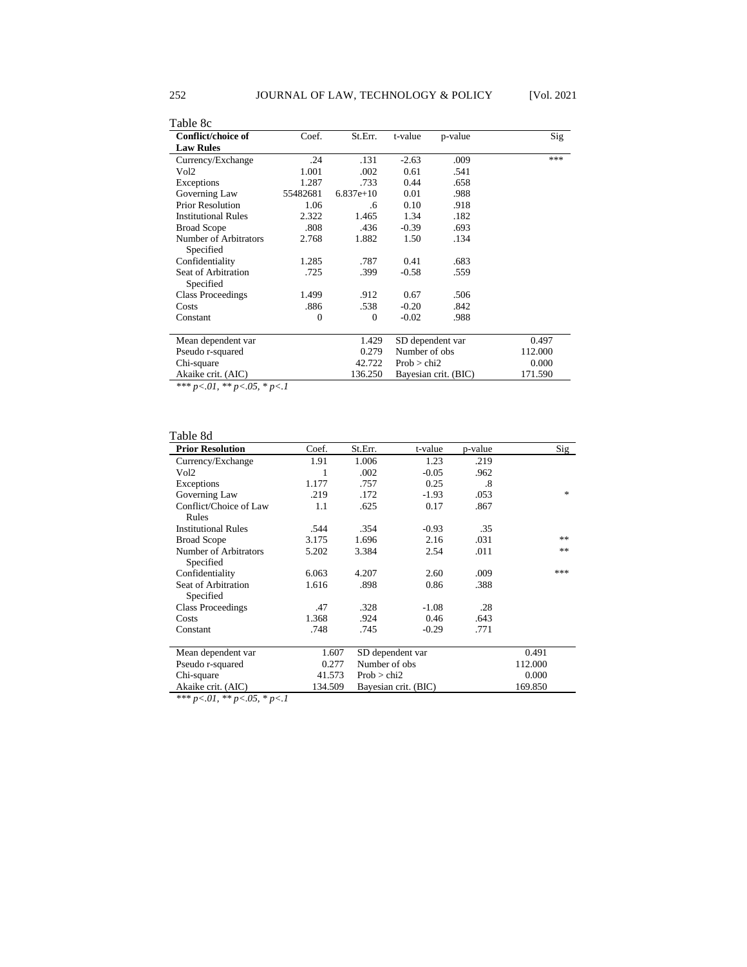| Table 8c                   |          |              |                  |                          |         |
|----------------------------|----------|--------------|------------------|--------------------------|---------|
| Conflict/choice of         | Coef.    | St.Err.      | t-value          | p-value                  | Sig     |
| <b>Law Rules</b>           |          |              |                  |                          |         |
| Currency/Exchange          | .24      | .131         | $-2.63$          | .009                     | ***     |
| Vol2                       | 1.001    | .002         | 0.61             | .541                     |         |
| Exceptions                 | 1.287    | .733         | 0.44             | .658                     |         |
| Governing Law              | 55482681 | $6.837e+10$  | 0.01             | .988                     |         |
| <b>Prior Resolution</b>    | 1.06     | .6           | 0.10             | .918                     |         |
| <b>Institutional Rules</b> | 2.322    | 1.465        | 1.34             | .182                     |         |
| <b>Broad Scope</b>         | .808     | .436         | $-0.39$          | .693                     |         |
| Number of Arbitrators      | 2.768    | 1.882        | 1.50             | .134                     |         |
| Specified                  |          |              |                  |                          |         |
| Confidentiality            | 1.285    | .787         | 0.41             | .683                     |         |
| Seat of Arbitration        | .725     | .399         | $-0.58$          | .559                     |         |
| Specified                  |          |              |                  |                          |         |
| <b>Class Proceedings</b>   | 1.499    | .912         | 0.67             | .506                     |         |
| Costs                      | .886     | .538         | $-0.20$          | .842                     |         |
| Constant                   | $\Omega$ | $\mathbf{0}$ | $-0.02$          | .988                     |         |
|                            |          |              |                  |                          |         |
| Mean dependent var         |          | 1.429        | SD dependent var |                          | 0.497   |
| Pseudo r-squared           |          | 0.279        |                  | 112.000<br>Number of obs |         |
| Chi-square                 |          | 42.722       | Prob > chi2      |                          | 0.000   |
| Akaike crit. (AIC)         |          | 136.250      |                  | Bayesian crit. (BIC)     | 171.590 |

| able |  | 8d |  |
|------|--|----|--|
|      |  |    |  |

| l'able 8d                          |         |                  |                      |         |         |
|------------------------------------|---------|------------------|----------------------|---------|---------|
| <b>Prior Resolution</b>            | Coef.   | St.Err.          | t-value              | p-value | Sig     |
| Currency/Exchange                  | 1.91    | 1.006            | 1.23                 | .219    |         |
| Vol2                               | 1       | .002             | $-0.05$              | .962    |         |
| Exceptions                         | 1.177   | .757             | 0.25                 | .8      |         |
| Governing Law                      | .219    | .172             | $-1.93$              | .053    | *       |
| Conflict/Choice of Law<br>Rules    | 1.1     | .625             | 0.17                 | .867    |         |
| <b>Institutional Rules</b>         | .544    | .354             | $-0.93$              | .35     |         |
| <b>Broad Scope</b>                 | 3.175   | 1.696            | 2.16                 | .031    | **      |
| Number of Arbitrators<br>Specified | 5.202   | 3.384            | 2.54                 | .011    | **      |
| Confidentiality                    | 6.063   | 4.207            | 2.60                 | .009    | ***     |
| Seat of Arbitration<br>Specified   | 1.616   | .898             | 0.86                 | .388    |         |
| <b>Class Proceedings</b>           | .47     | .328             | $-1.08$              | .28     |         |
| Costs                              | 1.368   | .924             | 0.46                 | .643    |         |
| Constant                           | .748    | .745             | $-0.29$              | .771    |         |
| Mean dependent var                 | 1.607   | SD dependent var |                      |         | 0.491   |
| Pseudo r-squared                   | 0.277   | Number of obs    |                      |         | 112.000 |
| Chi-square                         | 41.573  | Prob > chi2      |                      |         | 0.000   |
| Akaike crit. (AIC)                 | 134.509 |                  | Bayesian crit. (BIC) |         | 169.850 |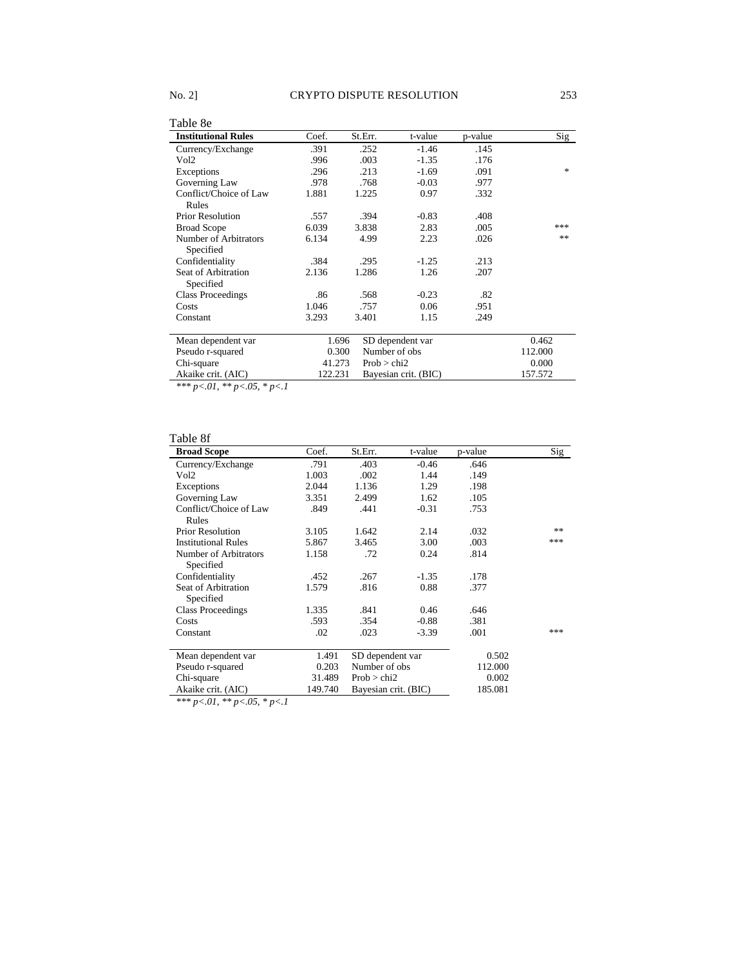| Table 8e                           |         |               |                      |         |         |
|------------------------------------|---------|---------------|----------------------|---------|---------|
| <b>Institutional Rules</b>         | Coef.   | St.Err.       | t-value              | p-value | Sig     |
| Currency/Exchange                  | .391    | .252          | $-1.46$              | .145    |         |
| Vol2                               | .996    | .003          | $-1.35$              | .176    |         |
| Exceptions                         | .296    | .213          | $-1.69$              | .091    | 索       |
| Governing Law                      | .978    | .768          | $-0.03$              | .977    |         |
| Conflict/Choice of Law<br>Rules    | 1.881   | 1.225         | 0.97                 | .332    |         |
| <b>Prior Resolution</b>            | .557    | .394          | $-0.83$              | .408    |         |
| <b>Broad Scope</b>                 | 6.039   | 3.838         | 2.83                 | .005    | ***     |
| Number of Arbitrators<br>Specified | 6.134   | 4.99          | 2.23                 | .026    | **      |
| Confidentiality                    | .384    | .295          | $-1.25$              | .213    |         |
| Seat of Arbitration<br>Specified   | 2.136   | 1.286         | 1.26                 | .207    |         |
| <b>Class Proceedings</b>           | .86     | .568          | $-0.23$              | .82     |         |
| Costs                              | 1.046   | .757          | 0.06                 | .951    |         |
| Constant                           | 3.293   | 3.401         | 1.15                 | .249    |         |
| Mean dependent var                 | 1.696   |               | SD dependent var     |         | 0.462   |
| Pseudo r-squared                   | 0.300   | Number of obs |                      |         | 112.000 |
| Chi-square                         | 41.273  | Prob > chi2   |                      |         | 0.000   |
| Akaike crit. (AIC)                 | 122.231 |               | Bayesian crit. (BIC) |         | 157.572 |

## Table 8f

| <b>Broad Scope</b>                 | Coef.   | St.Err.          | t-value              | p-value | Sig |
|------------------------------------|---------|------------------|----------------------|---------|-----|
| Currency/Exchange                  | .791    | .403             | $-0.46$              | .646    |     |
| Vol2                               | 1.003   | .002             | 1.44                 | .149    |     |
| Exceptions                         | 2.044   | 1.136            | 1.29                 | .198    |     |
| Governing Law                      | 3.351   | 2.499            | 1.62                 | .105    |     |
| Conflict/Choice of Law             | .849    | .441             | $-0.31$              | .753    |     |
| Rules                              |         |                  |                      |         |     |
| <b>Prior Resolution</b>            | 3.105   | 1.642            | 2.14                 | .032    | **  |
| <b>Institutional Rules</b>         | 5.867   | 3.465            | 3.00                 | .003    | *** |
| Number of Arbitrators<br>Specified | 1.158   | .72              | 0.24                 | .814    |     |
| Confidentiality                    | .452    | .267             | $-1.35$              | .178    |     |
| Seat of Arbitration<br>Specified   | 1.579   | .816             | 0.88                 | .377    |     |
| <b>Class Proceedings</b>           | 1.335   | .841             | 0.46                 | .646    |     |
| Costs                              | .593    | .354             | $-0.88$              | .381    |     |
| Constant                           | .02     | .023             | $-3.39$              | .001    | *** |
| Mean dependent var                 | 1.491   | SD dependent var |                      | 0.502   |     |
| Pseudo r-squared                   | 0.203   | Number of obs    |                      | 112.000 |     |
| Chi-square                         | 31.489  | Prob > chi2      |                      | 0.002   |     |
| Akaike crit. (AIC)                 | 149.740 |                  | Bayesian crit. (BIC) | 185.081 |     |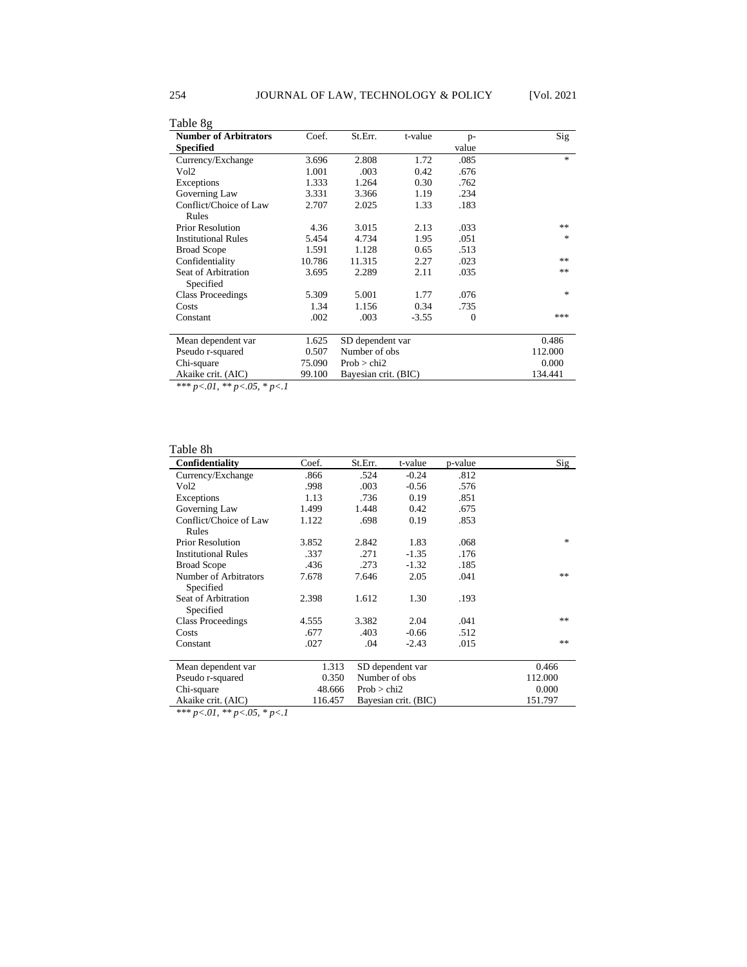| Table 8g                     |        |                      |         |          |                  |
|------------------------------|--------|----------------------|---------|----------|------------------|
| <b>Number of Arbitrators</b> | Coef.  | St.Err.              | t-value | $p-$     | Sig              |
| <b>Specified</b>             |        |                      |         | value    |                  |
| Currency/Exchange            | 3.696  | 2.808                | 1.72    | .085     | $\mathcal{H}$    |
| Vol2                         | 1.001  | .003                 | 0.42    | .676     |                  |
| Exceptions                   | 1.333  | 1.264                | 0.30    | .762     |                  |
| Governing Law                | 3.331  | 3.366                | 1.19    | .234     |                  |
| Conflict/Choice of Law       | 2.707  | 2.025                | 1.33    | .183     |                  |
| Rules                        |        |                      |         |          |                  |
| <b>Prior Resolution</b>      | 4.36   | 3.015                | 2.13    | .033     | **               |
| <b>Institutional Rules</b>   | 5.454  | 4.734                | 1.95    | .051     | $\frac{1}{2\pi}$ |
| <b>Broad Scope</b>           | 1.591  | 1.128                | 0.65    | .513     |                  |
| Confidentiality              | 10.786 | 11.315               | 2.27    | .023     | **               |
| Seat of Arbitration          | 3.695  | 2.289                | 2.11    | .035     | **               |
| Specified                    |        |                      |         |          |                  |
| <b>Class Proceedings</b>     | 5.309  | 5.001                | 1.77    | .076     | $\frac{1}{2}$    |
| Costs                        | 1.34   | 1.156                | 0.34    | .735     |                  |
| Constant                     | .002   | .003                 | $-3.55$ | $\theta$ | ***              |
|                              |        |                      |         |          |                  |
| Mean dependent var           | 1.625  | SD dependent var     |         |          | 0.486            |
| Pseudo r-squared             | 0.507  | Number of obs        |         |          | 112.000          |
| Chi-square                   | 75.090 | Prob > chi2          |         |          | 0.000            |
| Akaike crit. (AIC)           | 99.100 | Bayesian crit. (BIC) |         |          | 134.441          |

### Table 8h

| Confidentiality                    | Coef.   | St.Err.          | t-value              | p-value | Sig                               |
|------------------------------------|---------|------------------|----------------------|---------|-----------------------------------|
| Currency/Exchange                  | .866    | .524             | $-0.24$              | .812    |                                   |
| Vol2                               | .998    | .003             | $-0.56$              | .576    |                                   |
| Exceptions                         | 1.13    | .736             | 0.19                 | .851    |                                   |
| Governing Law                      | 1.499   | 1.448            | 0.42                 | .675    |                                   |
| Conflict/Choice of Law             | 1.122   | .698             | 0.19                 | .853    |                                   |
| Rules                              |         |                  |                      |         |                                   |
| <b>Prior Resolution</b>            | 3.852   | 2.842            | 1.83                 | .068    | $\frac{d\mathbf{x}}{d\mathbf{x}}$ |
| <b>Institutional Rules</b>         | .337    | .271             | $-1.35$              | .176    |                                   |
| <b>Broad Scope</b>                 | .436    | .273             | $-1.32$              | .185    |                                   |
| Number of Arbitrators<br>Specified | 7.678   | 7.646            | 2.05                 | .041    | **                                |
| Seat of Arbitration<br>Specified   | 2.398   | 1.612            | 1.30                 | .193    |                                   |
| <b>Class Proceedings</b>           | 4.555   | 3.382            | 2.04                 | .041    | **                                |
| Costs                              | .677    | .403             | $-0.66$              | .512    |                                   |
| Constant                           | .027    | .04              | $-2.43$              | .015    | **                                |
| Mean dependent var                 | 1.313   | SD dependent var |                      | 0.466   |                                   |
| Pseudo r-squared                   | 0.350   | Number of obs    |                      |         | 112.000                           |
| Chi-square                         | 48.666  | Prob > chi2      |                      |         | 0.000                             |
| Akaike crit. (AIC)                 | 116.457 |                  | Bayesian crit. (BIC) |         | 151.797                           |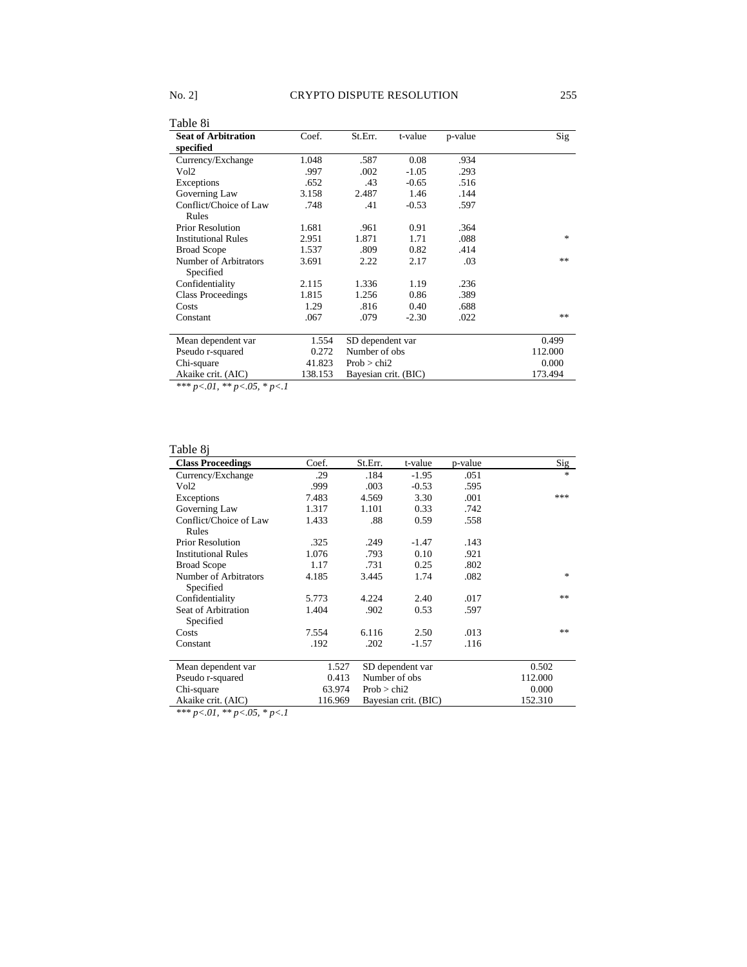| Table 8i                                |         |                      |         |         |         |
|-----------------------------------------|---------|----------------------|---------|---------|---------|
| <b>Seat of Arbitration</b><br>specified | Coef.   | St.Err.              | t-value | p-value | Sig     |
| Currency/Exchange                       | 1.048   | .587                 | 0.08    | .934    |         |
| Vol2                                    | .997    | .002                 | $-1.05$ | .293    |         |
| Exceptions                              | .652    | .43                  | $-0.65$ | .516    |         |
| Governing Law                           | 3.158   | 2.487                | 1.46    | .144    |         |
| Conflict/Choice of Law                  | .748    | .41                  | $-0.53$ | .597    |         |
| Rules                                   |         |                      |         |         |         |
| <b>Prior Resolution</b>                 | 1.681   | .961                 | 0.91    | .364    |         |
| <b>Institutional Rules</b>              | 2.951   | 1.871                | 1.71    | .088    | 宋       |
| <b>Broad Scope</b>                      | 1.537   | .809                 | 0.82    | .414    |         |
| Number of Arbitrators                   | 3.691   | 2.22                 | 2.17    | .03     | **      |
| Specified                               |         |                      |         |         |         |
| Confidentiality                         | 2.115   | 1.336                | 1.19    | .236    |         |
| <b>Class Proceedings</b>                | 1.815   | 1.256                | 0.86    | .389    |         |
| Costs                                   | 1.29    | .816                 | 0.40    | .688    |         |
| Constant                                | .067    | .079                 | $-2.30$ | .022    | **      |
|                                         |         |                      |         |         |         |
| Mean dependent var                      | 1.554   | SD dependent var     |         |         | 0.499   |
| Pseudo r-squared                        | 0.272   | Number of obs        |         |         | 112.000 |
| Chi-square                              | 41.823  | Prob > chi2          |         |         | 0.000   |
| Akaike crit. (AIC)                      | 138.153 | Bayesian crit. (BIC) |         |         | 173.494 |

## Table 8j

| <b>Class Proceedings</b>   | Coef.   | St.Err.          | t-value              | p-value | Sig     |
|----------------------------|---------|------------------|----------------------|---------|---------|
| Currency/Exchange          | .29     | .184             | $-1.95$              | .051    | $*$     |
| Vol2                       | .999    | .003             | $-0.53$              | .595    |         |
| Exceptions                 | 7.483   | 4.569            | 3.30                 | .001    | ***     |
| Governing Law              | 1.317   | 1.101            | 0.33                 | .742    |         |
| Conflict/Choice of Law     | 1.433   | .88              | 0.59                 | .558    |         |
| Rules                      |         |                  |                      |         |         |
| <b>Prior Resolution</b>    | .325    | .249             | $-1.47$              | .143    |         |
| <b>Institutional Rules</b> | 1.076   | .793             | 0.10                 | .921    |         |
| <b>Broad Scope</b>         | 1.17    | .731             | 0.25                 | .802    |         |
| Number of Arbitrators      | 4.185   | 3.445            | 1.74                 | .082    | *       |
| Specified                  |         |                  |                      |         |         |
| Confidentiality            | 5.773   | 4.224            | 2.40                 | .017    | **      |
| Seat of Arbitration        | 1.404   | .902             | 0.53                 | .597    |         |
| Specified                  |         |                  |                      |         |         |
| Costs                      | 7.554   | 6.116            | 2.50                 | .013    | **      |
| Constant                   | .192    | .202             | $-1.57$              | .116    |         |
| Mean dependent var         | 1.527   | SD dependent var |                      |         | 0.502   |
| Pseudo r-squared           | 0.413   | Number of obs    |                      |         | 112.000 |
| Chi-square                 | 63.974  |                  | Prob > chi2          |         | 0.000   |
| Akaike crit. (AIC)         | 116.969 |                  | Bayesian crit. (BIC) |         | 152.310 |